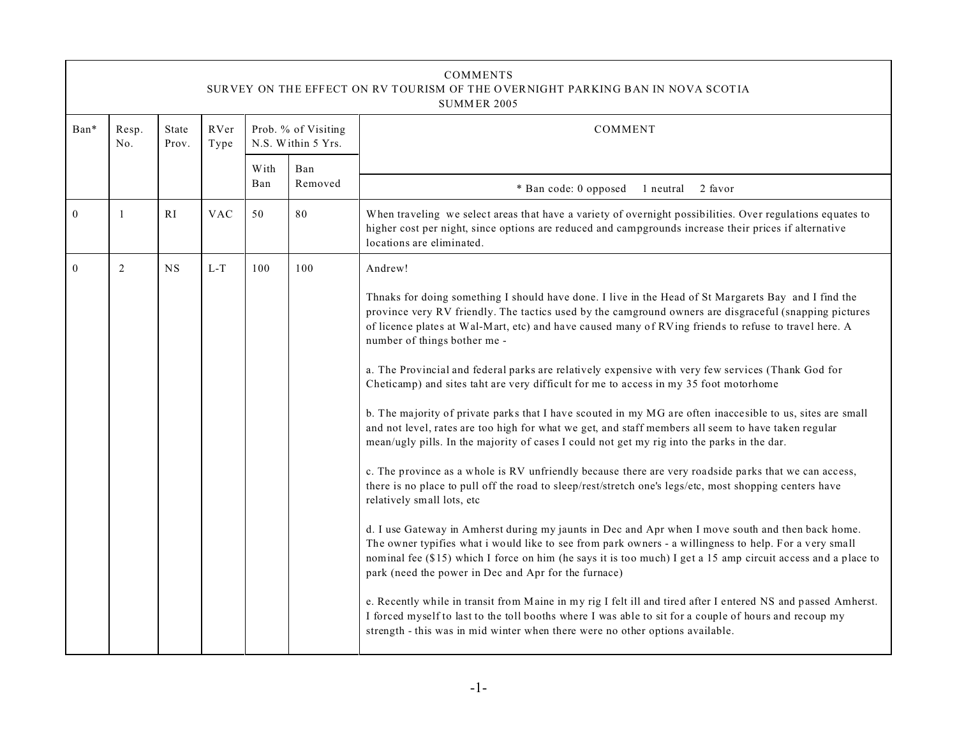|          | <b>COMMENTS</b><br>SURVEY ON THE EFFECT ON RV TOURISM OF THE OVERNIGHT PARKING BAN IN NOVA SCOTIA<br><b>SUMMER 2005</b> |                |              |             |                                           |                                                                                                                                                                                                                                                                                                                                                                                                                                                                                                                                                                                                                                                                                                                                                                                                                                                                                                                                                                                                                                                                                                                                                                                                                                                                                                                                                                                                                                                                                                                                                                                                                                                                                                                                                                                                                                             |  |  |  |  |  |
|----------|-------------------------------------------------------------------------------------------------------------------------|----------------|--------------|-------------|-------------------------------------------|---------------------------------------------------------------------------------------------------------------------------------------------------------------------------------------------------------------------------------------------------------------------------------------------------------------------------------------------------------------------------------------------------------------------------------------------------------------------------------------------------------------------------------------------------------------------------------------------------------------------------------------------------------------------------------------------------------------------------------------------------------------------------------------------------------------------------------------------------------------------------------------------------------------------------------------------------------------------------------------------------------------------------------------------------------------------------------------------------------------------------------------------------------------------------------------------------------------------------------------------------------------------------------------------------------------------------------------------------------------------------------------------------------------------------------------------------------------------------------------------------------------------------------------------------------------------------------------------------------------------------------------------------------------------------------------------------------------------------------------------------------------------------------------------------------------------------------------------|--|--|--|--|--|
| Ban*     | Resp.<br>No.                                                                                                            | State<br>Prov. | RVer<br>Type |             | Prob. % of Visiting<br>N.S. Within 5 Yrs. | COMMENT                                                                                                                                                                                                                                                                                                                                                                                                                                                                                                                                                                                                                                                                                                                                                                                                                                                                                                                                                                                                                                                                                                                                                                                                                                                                                                                                                                                                                                                                                                                                                                                                                                                                                                                                                                                                                                     |  |  |  |  |  |
|          |                                                                                                                         |                |              | With<br>Ban | Ban<br>Removed                            | * Ban code: 0 opposed 1 neutral<br>2 favor                                                                                                                                                                                                                                                                                                                                                                                                                                                                                                                                                                                                                                                                                                                                                                                                                                                                                                                                                                                                                                                                                                                                                                                                                                                                                                                                                                                                                                                                                                                                                                                                                                                                                                                                                                                                  |  |  |  |  |  |
| $\theta$ | 1                                                                                                                       | RI             | <b>VAC</b>   | 50          | 80                                        | When traveling we select areas that have a variety of overnight possibilities. Over regulations equates to<br>higher cost per night, since options are reduced and campgrounds increase their prices if alternative<br>locations are eliminated.                                                                                                                                                                                                                                                                                                                                                                                                                                                                                                                                                                                                                                                                                                                                                                                                                                                                                                                                                                                                                                                                                                                                                                                                                                                                                                                                                                                                                                                                                                                                                                                            |  |  |  |  |  |
| $\theta$ | 2                                                                                                                       | $_{\rm NS}$    | $L-T$        | 100         | 100                                       | Andrew!<br>Thnaks for doing something I should have done. I live in the Head of St Margarets Bay and I find the<br>province very RV friendly. The tactics used by the camground owners are disgraceful (snapping pictures<br>of licence plates at Wal-Mart, etc) and have caused many of RVing friends to refuse to travel here. A<br>number of things bother me -<br>a. The Provincial and federal parks are relatively expensive with very few services (Thank God for<br>Cheticamp) and sites taht are very difficult for me to access in my 35 foot motorhome<br>b. The majority of private parks that I have scouted in my MG are often inaccesible to us, sites are small<br>and not level, rates are too high for what we get, and staff members all seem to have taken regular<br>mean/ugly pills. In the majority of cases I could not get my rig into the parks in the dar.<br>c. The province as a whole is RV unfriendly because there are very roadside parks that we can access,<br>there is no place to pull off the road to sleep/rest/stretch one's legs/etc, most shopping centers have<br>relatively small lots, etc<br>d. I use Gateway in Amherst during my jaunts in Dec and Apr when I move south and then back home.<br>The owner typifies what i would like to see from park owners - a willingness to help. For a very small<br>nominal fee (\$15) which I force on him (he says it is too much) I get a 15 amp circuit access and a place to<br>park (need the power in Dec and Apr for the furnace)<br>e. Recently while in transit from Maine in my rig I felt ill and tired after I entered NS and passed Amherst.<br>I forced myself to last to the toll booths where I was able to sit for a couple of hours and recoup my<br>strength - this was in mid winter when there were no other options available. |  |  |  |  |  |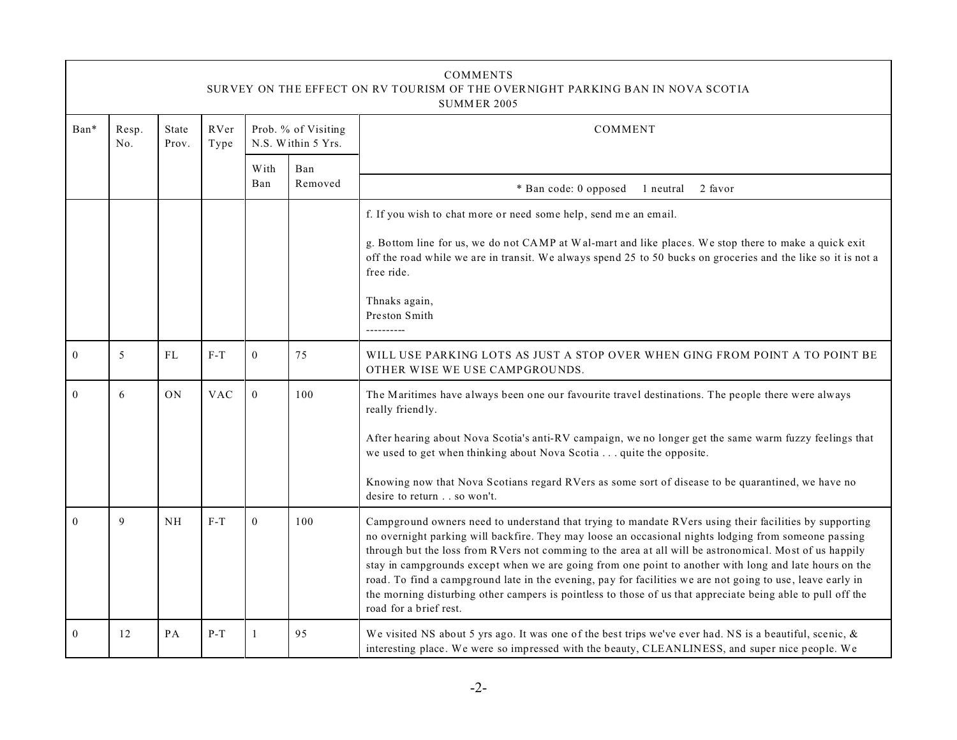|              | <b>COMMENTS</b><br>SURVEY ON THE EFFECT ON RV TOURISM OF THE OVERNIGHT PARKING BAN IN NOVA SCOTIA<br><b>SUMMER 2005</b> |                |              |                                           |                |                                                                                                                                                                                                                                                                                                                                                                                                                                                                                                                                                                                                                                                                                            |  |  |  |  |  |
|--------------|-------------------------------------------------------------------------------------------------------------------------|----------------|--------------|-------------------------------------------|----------------|--------------------------------------------------------------------------------------------------------------------------------------------------------------------------------------------------------------------------------------------------------------------------------------------------------------------------------------------------------------------------------------------------------------------------------------------------------------------------------------------------------------------------------------------------------------------------------------------------------------------------------------------------------------------------------------------|--|--|--|--|--|
| Ban*         | Resp.<br>No.                                                                                                            | State<br>Prov. | RVer<br>Type | Prob. % of Visiting<br>N.S. Within 5 Yrs. |                | <b>COMMENT</b>                                                                                                                                                                                                                                                                                                                                                                                                                                                                                                                                                                                                                                                                             |  |  |  |  |  |
|              |                                                                                                                         |                |              | With<br>Ban                               | Ban<br>Removed |                                                                                                                                                                                                                                                                                                                                                                                                                                                                                                                                                                                                                                                                                            |  |  |  |  |  |
|              |                                                                                                                         |                |              |                                           |                | * Ban code: 0 opposed<br>2 favor<br>1 neutral                                                                                                                                                                                                                                                                                                                                                                                                                                                                                                                                                                                                                                              |  |  |  |  |  |
|              |                                                                                                                         |                |              |                                           |                | f. If you wish to chat more or need some help, send me an email.                                                                                                                                                                                                                                                                                                                                                                                                                                                                                                                                                                                                                           |  |  |  |  |  |
|              |                                                                                                                         |                |              |                                           |                | g. Bottom line for us, we do not CAMP at Wal-mart and like places. We stop there to make a quick exit<br>off the road while we are in transit. We always spend 25 to 50 bucks on groceries and the like so it is not a<br>free ride.<br>Thnaks again,<br>Preston Smith                                                                                                                                                                                                                                                                                                                                                                                                                     |  |  |  |  |  |
|              |                                                                                                                         |                |              |                                           |                | ----------                                                                                                                                                                                                                                                                                                                                                                                                                                                                                                                                                                                                                                                                                 |  |  |  |  |  |
| $\bf{0}$     | 5                                                                                                                       | ${\rm FL}$     | $F-T$        | $\boldsymbol{0}$                          | 75             | WILL USE PARKING LOTS AS JUST A STOP OVER WHEN GING FROM POINT A TO POINT BE<br>OTHER WISE WE USE CAMPGROUNDS.                                                                                                                                                                                                                                                                                                                                                                                                                                                                                                                                                                             |  |  |  |  |  |
| $\mathbf{0}$ | 6                                                                                                                       | <b>ON</b>      | <b>VAC</b>   | $\boldsymbol{0}$                          | 100            | The Maritimes have always been one our favourite travel destinations. The people there were always<br>really friendly.<br>After hearing about Nova Scotia's anti-RV campaign, we no longer get the same warm fuzzy feelings that<br>we used to get when thinking about Nova Scotia quite the opposite.                                                                                                                                                                                                                                                                                                                                                                                     |  |  |  |  |  |
|              |                                                                                                                         |                |              |                                           |                | Knowing now that Nova Scotians regard RVers as some sort of disease to be quarantined, we have no<br>desire to return so won't.                                                                                                                                                                                                                                                                                                                                                                                                                                                                                                                                                            |  |  |  |  |  |
| $\mathbf{0}$ | 9                                                                                                                       | <b>NH</b>      | $F-T$        | $\boldsymbol{0}$                          | 100            | Campground owners need to understand that trying to mandate RVers using their facilities by supporting<br>no overnight parking will backfire. They may loose an occasional nights lodging from someone passing<br>through but the loss from RVers not comming to the area at all will be astronomical. Most of us happily<br>stay in campgrounds except when we are going from one point to another with long and late hours on the<br>road. To find a campground late in the evening, pay for facilities we are not going to use, leave early in<br>the morning disturbing other campers is pointless to those of us that appreciate being able to pull off the<br>road for a brief rest. |  |  |  |  |  |
| $\mathbf{0}$ | 12                                                                                                                      | PA             | $P-T$        | $\mathbf{1}$                              | 95             | We visited NS about 5 yrs ago. It was one of the best trips we've ever had. NS is a beautiful, scenic, $\&$<br>interesting place. We were so impressed with the beauty, CLEANLINESS, and super nice people. We                                                                                                                                                                                                                                                                                                                                                                                                                                                                             |  |  |  |  |  |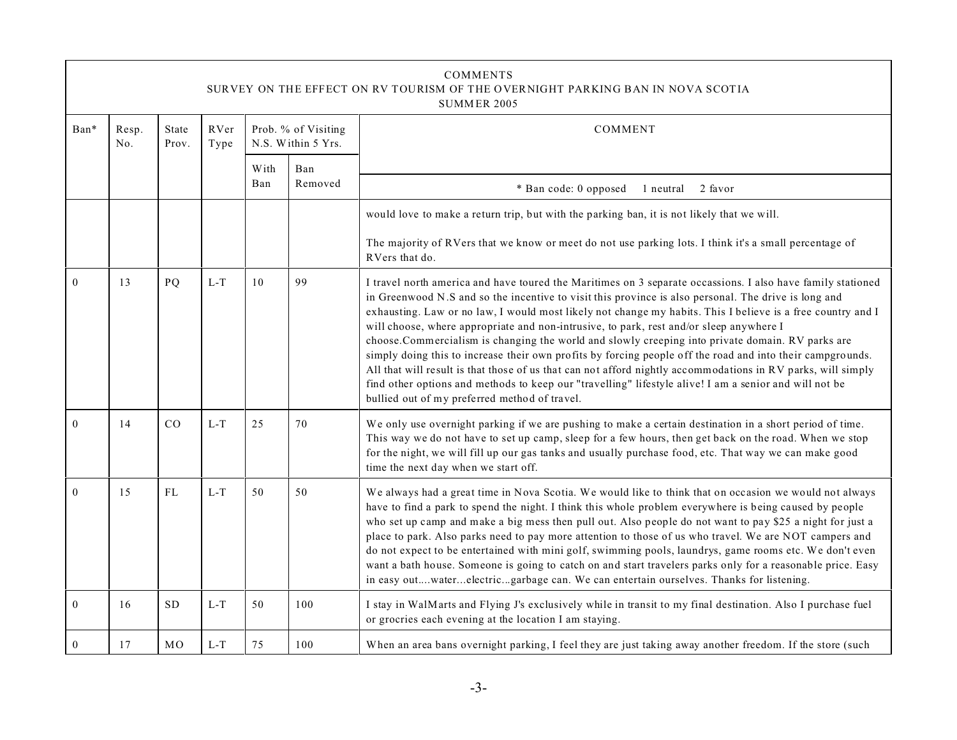|              | <b>COMMENTS</b><br>SURVEY ON THE EFFECT ON RV TOURISM OF THE OVERNIGHT PARKING BAN IN NOVA SCOTIA<br><b>SUMMER 2005</b> |                |                                |             |                                           |                                                                                                                                                                                                                                                                                                                                                                                                                                                                                                                                                                                                                                                                                                                                                                                                                                                                                                                             |  |  |  |  |
|--------------|-------------------------------------------------------------------------------------------------------------------------|----------------|--------------------------------|-------------|-------------------------------------------|-----------------------------------------------------------------------------------------------------------------------------------------------------------------------------------------------------------------------------------------------------------------------------------------------------------------------------------------------------------------------------------------------------------------------------------------------------------------------------------------------------------------------------------------------------------------------------------------------------------------------------------------------------------------------------------------------------------------------------------------------------------------------------------------------------------------------------------------------------------------------------------------------------------------------------|--|--|--|--|
| Ban*         | Resp.<br>No.                                                                                                            | State<br>Prov. | RVer<br>Type                   |             | Prob. % of Visiting<br>N.S. Within 5 Yrs. | <b>COMMENT</b>                                                                                                                                                                                                                                                                                                                                                                                                                                                                                                                                                                                                                                                                                                                                                                                                                                                                                                              |  |  |  |  |
|              |                                                                                                                         |                |                                | With<br>Ban | Ban<br>Removed                            | * Ban code: 0 opposed<br>1 neutral<br>2 favor                                                                                                                                                                                                                                                                                                                                                                                                                                                                                                                                                                                                                                                                                                                                                                                                                                                                               |  |  |  |  |
|              |                                                                                                                         |                |                                |             |                                           | would love to make a return trip, but with the parking ban, it is not likely that we will.                                                                                                                                                                                                                                                                                                                                                                                                                                                                                                                                                                                                                                                                                                                                                                                                                                  |  |  |  |  |
|              |                                                                                                                         |                |                                |             |                                           | The majority of RVers that we know or meet do not use parking lots. I think it's a small percentage of<br>RVers that do.                                                                                                                                                                                                                                                                                                                                                                                                                                                                                                                                                                                                                                                                                                                                                                                                    |  |  |  |  |
| $\mathbf{0}$ | 13                                                                                                                      | PQ             | $L-T$                          | 10          | 99                                        | I travel north america and have toured the Maritimes on 3 separate occassions. I also have family stationed<br>in Greenwood N.S and so the incentive to visit this province is also personal. The drive is long and<br>exhausting. Law or no law, I would most likely not change my habits. This I believe is a free country and I<br>will choose, where appropriate and non-intrusive, to park, rest and/or sleep anywhere I<br>choose. Commercialism is changing the world and slowly creeping into private domain. RV parks are<br>simply doing this to increase their own profits by forcing people off the road and into their campgrounds.<br>All that will result is that those of us that can not afford nightly accommodations in RV parks, will simply<br>find other options and methods to keep our "travelling" lifestyle alive! I am a senior and will not be<br>bullied out of my preferred method of travel. |  |  |  |  |
| $\mathbf{0}$ | 14                                                                                                                      | CO             | $L-T$                          | 25          | 70                                        | We only use overnight parking if we are pushing to make a certain destination in a short period of time.<br>This way we do not have to set up camp, sleep for a few hours, then get back on the road. When we stop<br>for the night, we will fill up our gas tanks and usually purchase food, etc. That way we can make good<br>time the next day when we start off.                                                                                                                                                                                                                                                                                                                                                                                                                                                                                                                                                        |  |  |  |  |
| $\theta$     | 15                                                                                                                      | FL             | $L-T$                          | 50          | 50                                        | We always had a great time in Nova Scotia. We would like to think that on occasion we would not always<br>have to find a park to spend the night. I think this whole problem everywhere is being caused by people<br>who set up camp and make a big mess then pull out. Also people do not want to pay \$25 a night for just a<br>place to park. Also parks need to pay more attention to those of us who travel. We are NOT campers and<br>do not expect to be entertained with mini golf, swimming pools, laundrys, game rooms etc. We don't even<br>want a bath house. Someone is going to catch on and start travelers parks only for a reasonable price. Easy<br>in easy outwaterelectricgarbage can. We can entertain ourselves. Thanks for listening.                                                                                                                                                                |  |  |  |  |
| $\mathbf{0}$ | 16                                                                                                                      | <b>SD</b>      | $L-T$                          | 50          | 100                                       | I stay in WalMarts and Flying J's exclusively while in transit to my final destination. Also I purchase fuel<br>or grocries each evening at the location I am staying.                                                                                                                                                                                                                                                                                                                                                                                                                                                                                                                                                                                                                                                                                                                                                      |  |  |  |  |
| $\mathbf{0}$ | 17                                                                                                                      | MO             | $\mathbf{L}\text{-}\mathbf{T}$ | 75          | 100                                       | When an area bans overnight parking, I feel they are just taking away another freedom. If the store (such                                                                                                                                                                                                                                                                                                                                                                                                                                                                                                                                                                                                                                                                                                                                                                                                                   |  |  |  |  |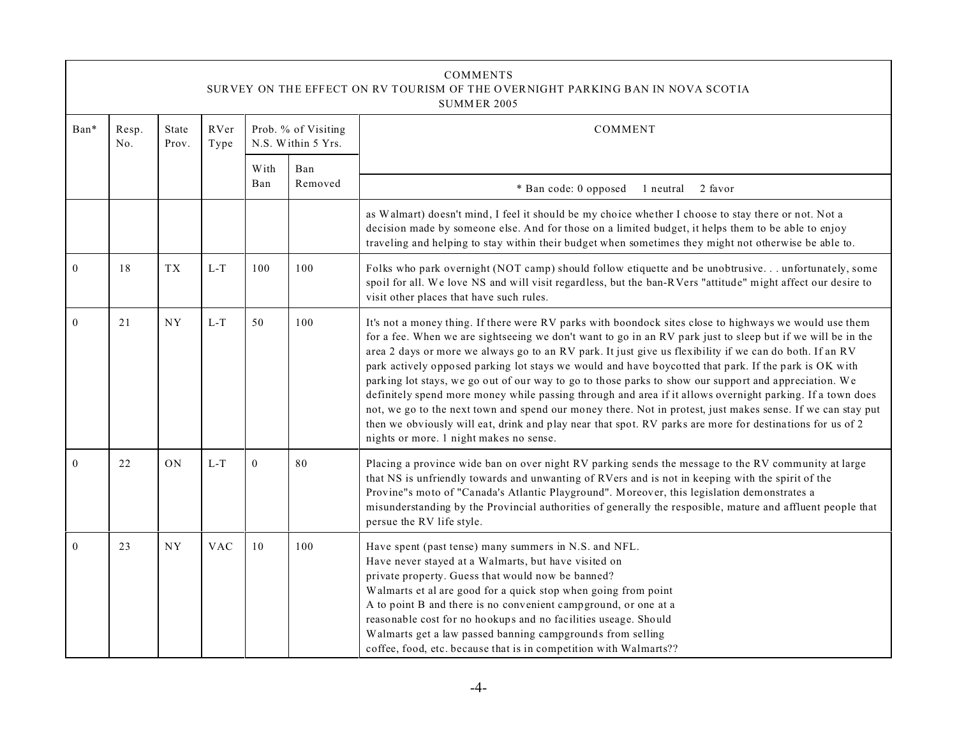|                | <b>COMMENTS</b><br>SURVEY ON THE EFFECT ON RV TOURISM OF THE OVERNIGHT PARKING BAN IN NOVA SCOTIA<br><b>SUMMER 2005</b> |                |                                |                  |                                           |                                                                                                                                                                                                                                                                                                                                                                                                                                                                                                                                                                                                                                                                                                                                                                                                                                                                                                                                        |  |  |  |
|----------------|-------------------------------------------------------------------------------------------------------------------------|----------------|--------------------------------|------------------|-------------------------------------------|----------------------------------------------------------------------------------------------------------------------------------------------------------------------------------------------------------------------------------------------------------------------------------------------------------------------------------------------------------------------------------------------------------------------------------------------------------------------------------------------------------------------------------------------------------------------------------------------------------------------------------------------------------------------------------------------------------------------------------------------------------------------------------------------------------------------------------------------------------------------------------------------------------------------------------------|--|--|--|
| Ban*           | Resp.<br>No.                                                                                                            | State<br>Prov. | RVer<br>Type                   |                  | Prob. % of Visiting<br>N.S. Within 5 Yrs. | COMMENT                                                                                                                                                                                                                                                                                                                                                                                                                                                                                                                                                                                                                                                                                                                                                                                                                                                                                                                                |  |  |  |
|                |                                                                                                                         |                |                                | With<br>Ban      | Ban<br>Removed                            | * Ban code: 0 opposed<br>1 neutral<br>2 favor                                                                                                                                                                                                                                                                                                                                                                                                                                                                                                                                                                                                                                                                                                                                                                                                                                                                                          |  |  |  |
|                |                                                                                                                         |                |                                |                  |                                           | as Walmart) doesn't mind, I feel it should be my choice whether I choose to stay there or not. Not a<br>decision made by someone else. And for those on a limited budget, it helps them to be able to enjoy<br>traveling and helping to stay within their budget when sometimes they might not otherwise be able to.                                                                                                                                                                                                                                                                                                                                                                                                                                                                                                                                                                                                                   |  |  |  |
| $\overline{0}$ | 18                                                                                                                      | <b>TX</b>      | $L-T$                          | 100              | 100                                       | Folks who park overnight (NOT camp) should follow etiquette and be unobtrusiveunfortunately, some<br>spoil for all. We love NS and will visit regardless, but the ban-RVers "attitude" might affect our desire to<br>visit other places that have such rules.                                                                                                                                                                                                                                                                                                                                                                                                                                                                                                                                                                                                                                                                          |  |  |  |
| $\theta$       | 21                                                                                                                      | NY             | $L-T$                          | 50               | 100                                       | It's not a money thing. If there were RV parks with boondock sites close to highways we would use them<br>for a fee. When we are sightseeing we don't want to go in an RV park just to sleep but if we will be in the<br>area 2 days or more we always go to an RV park. It just give us flexibility if we can do both. If an RV<br>park actively opposed parking lot stays we would and have boycotted that park. If the park is OK with<br>parking lot stays, we go out of our way to go to those parks to show our support and appreciation. We<br>definitely spend more money while passing through and area if it allows overnight parking. If a town does<br>not, we go to the next town and spend our money there. Not in protest, just makes sense. If we can stay put<br>then we obviously will eat, drink and play near that spot. RV parks are more for destinations for us of 2<br>nights or more. 1 night makes no sense. |  |  |  |
| $\mathbf{0}$   | 22                                                                                                                      | <b>ON</b>      | $\mathbf{L}\text{-}\mathbf{T}$ | $\boldsymbol{0}$ | 80                                        | Placing a province wide ban on over night RV parking sends the message to the RV community at large<br>that NS is unfriendly towards and unwanting of RVers and is not in keeping with the spirit of the<br>Provine"s moto of "Canada's Atlantic Playground". Moreover, this legislation demonstrates a<br>misunderstanding by the Provincial authorities of generally the resposible, mature and affluent people that<br>persue the RV life style.                                                                                                                                                                                                                                                                                                                                                                                                                                                                                    |  |  |  |
| $\theta$       | 23                                                                                                                      | NY             | <b>VAC</b>                     | 10               | 100                                       | Have spent (past tense) many summers in N.S. and NFL.<br>Have never stayed at a Walmarts, but have visited on<br>private property. Guess that would now be banned?<br>Walmarts et al are good for a quick stop when going from point<br>A to point B and there is no convenient campground, or one at a<br>reasonable cost for no hookups and no facilities useage. Should<br>Walmarts get a law passed banning campgrounds from selling<br>coffee, food, etc. because that is in competition with Walmarts??                                                                                                                                                                                                                                                                                                                                                                                                                          |  |  |  |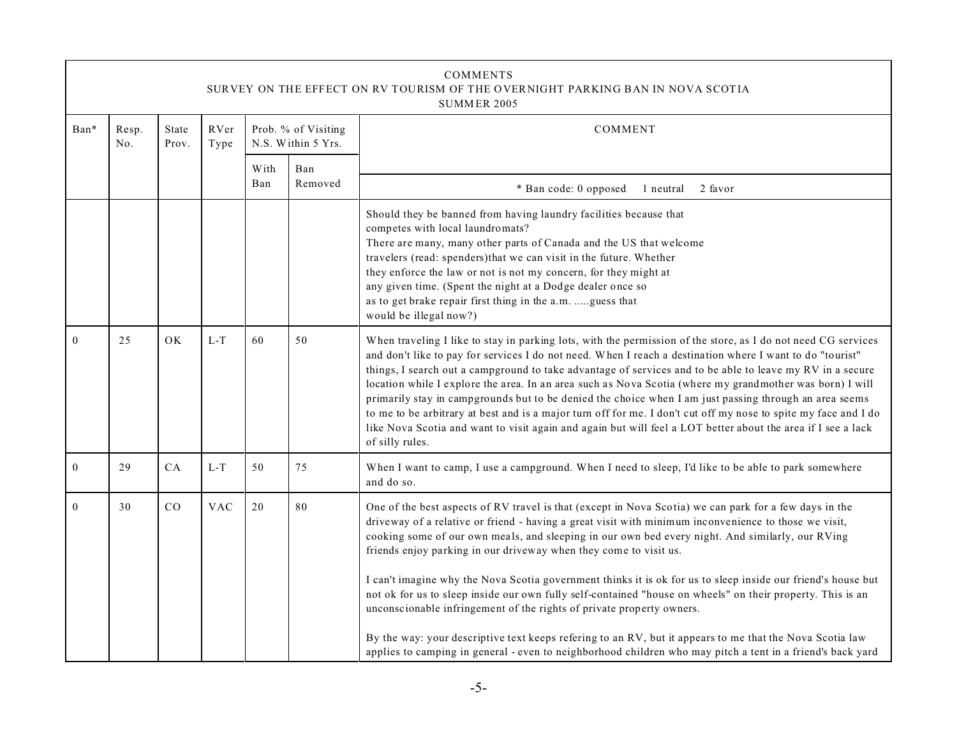|              | <b>COMMENTS</b><br>SURVEY ON THE EFFECT ON RV TOURISM OF THE OVERNIGHT PARKING BAN IN NOVA SCOTIA<br><b>SUMMER 2005</b> |                 |              |             |                                           |                                                                                                                                                                                                                                                                                                                                                                                                                                                                                                                                                                                                                                                                                                                                                                                                                                                                                                                           |  |  |  |  |
|--------------|-------------------------------------------------------------------------------------------------------------------------|-----------------|--------------|-------------|-------------------------------------------|---------------------------------------------------------------------------------------------------------------------------------------------------------------------------------------------------------------------------------------------------------------------------------------------------------------------------------------------------------------------------------------------------------------------------------------------------------------------------------------------------------------------------------------------------------------------------------------------------------------------------------------------------------------------------------------------------------------------------------------------------------------------------------------------------------------------------------------------------------------------------------------------------------------------------|--|--|--|--|
| Ban*         | Resp.<br>No.                                                                                                            | State<br>Prov.  | RVer<br>Type |             | Prob. % of Visiting<br>N.S. Within 5 Yrs. | COMMENT                                                                                                                                                                                                                                                                                                                                                                                                                                                                                                                                                                                                                                                                                                                                                                                                                                                                                                                   |  |  |  |  |
|              |                                                                                                                         |                 |              | With<br>Ban | Ban<br>Removed                            |                                                                                                                                                                                                                                                                                                                                                                                                                                                                                                                                                                                                                                                                                                                                                                                                                                                                                                                           |  |  |  |  |
|              |                                                                                                                         |                 |              |             |                                           | * Ban code: 0 opposed<br>1 neutral 2 favor                                                                                                                                                                                                                                                                                                                                                                                                                                                                                                                                                                                                                                                                                                                                                                                                                                                                                |  |  |  |  |
|              |                                                                                                                         |                 |              |             |                                           | Should they be banned from having laundry facilities because that<br>competes with local laundromats?<br>There are many, many other parts of Canada and the US that welcome<br>travelers (read: spenders)that we can visit in the future. Whether<br>they enforce the law or not is not my concern, for they might at<br>any given time. (Spent the night at a Dodge dealer once so<br>as to get brake repair first thing in the a.m. guess that<br>would be illegal now?)                                                                                                                                                                                                                                                                                                                                                                                                                                                |  |  |  |  |
| $\theta$     | 25                                                                                                                      | $\overline{OK}$ | $L-T$        | 60          | 50                                        | When traveling I like to stay in parking lots, with the permission of the store, as I do not need CG services<br>and don't like to pay for services I do not need. When I reach a destination where I want to do "tourist"<br>things, I search out a campground to take advantage of services and to be able to leave my RV in a secure<br>location while I explore the area. In an area such as Nova Scotia (where my grandmother was born) I will<br>primarily stay in campgrounds but to be denied the choice when I am just passing through an area seems<br>to me to be arbitrary at best and is a major turn off for me. I don't cut off my nose to spite my face and I do<br>like Nova Scotia and want to visit again and again but will feel a LOT better about the area if I see a lack<br>of silly rules.                                                                                                       |  |  |  |  |
| $\mathbf{0}$ | 29                                                                                                                      | CA              | $L-T$        | 50          | 75                                        | When I want to camp, I use a campground. When I need to sleep, I'd like to be able to park somewhere<br>and do so.                                                                                                                                                                                                                                                                                                                                                                                                                                                                                                                                                                                                                                                                                                                                                                                                        |  |  |  |  |
| $\theta$     | 30                                                                                                                      | CO              | <b>VAC</b>   | 20          | 80                                        | One of the best aspects of RV travel is that (except in Nova Scotia) we can park for a few days in the<br>driveway of a relative or friend - having a great visit with minimum inconvenience to those we visit,<br>cooking some of our own meals, and sleeping in our own bed every night. And similarly, our RVing<br>friends enjoy parking in our driveway when they come to visit us.<br>I can't imagine why the Nova Scotia government thinks it is ok for us to sleep inside our friend's house but<br>not ok for us to sleep inside our own fully self-contained "house on wheels" on their property. This is an<br>unconscionable infringement of the rights of private property owners.<br>By the way: your descriptive text keeps refering to an RV, but it appears to me that the Nova Scotia law<br>applies to camping in general - even to neighborhood children who may pitch a tent in a friend's back yard |  |  |  |  |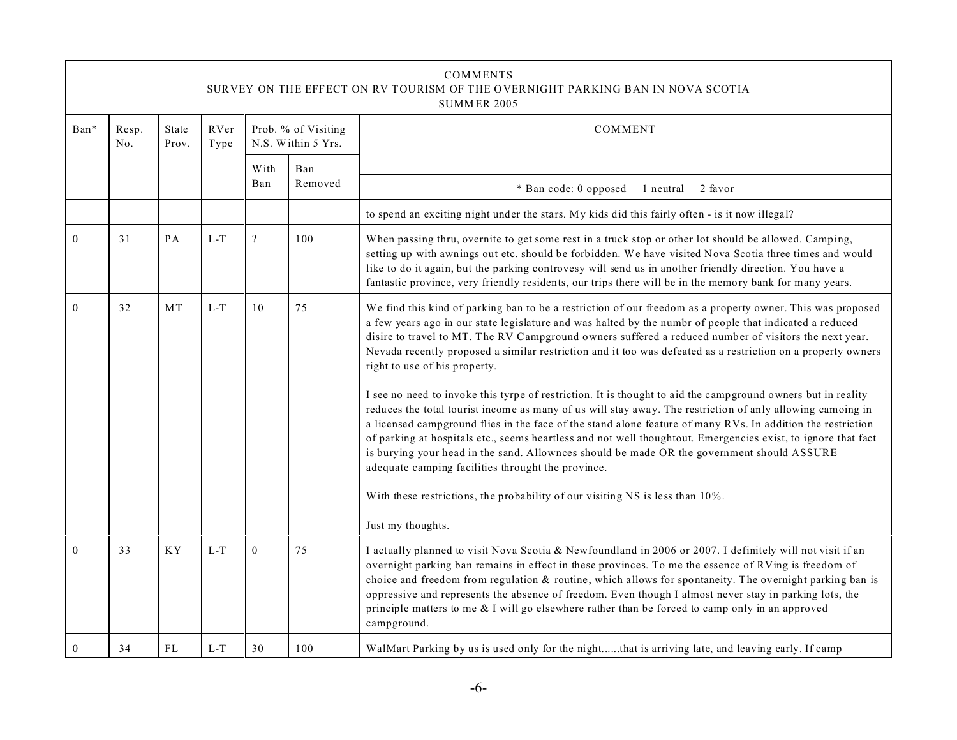|                | <b>COMMENTS</b><br>SURVEY ON THE EFFECT ON RV TOURISM OF THE OVERNIGHT PARKING BAN IN NOVA SCOTIA<br><b>SUMMER 2005</b> |                |                                |                          |                                           |                                                                                                                                                                                                                                                                                                                                                                                                                                                                                                                                                                                                                                                                                                                                                                                                                                                                                                                                                                                                                                                                                                                                                                                                         |  |  |  |  |
|----------------|-------------------------------------------------------------------------------------------------------------------------|----------------|--------------------------------|--------------------------|-------------------------------------------|---------------------------------------------------------------------------------------------------------------------------------------------------------------------------------------------------------------------------------------------------------------------------------------------------------------------------------------------------------------------------------------------------------------------------------------------------------------------------------------------------------------------------------------------------------------------------------------------------------------------------------------------------------------------------------------------------------------------------------------------------------------------------------------------------------------------------------------------------------------------------------------------------------------------------------------------------------------------------------------------------------------------------------------------------------------------------------------------------------------------------------------------------------------------------------------------------------|--|--|--|--|
| Ban*           | Resp.<br>No.                                                                                                            | State<br>Prov. | RVer<br>Type                   |                          | Prob. % of Visiting<br>N.S. Within 5 Yrs. | <b>COMMENT</b>                                                                                                                                                                                                                                                                                                                                                                                                                                                                                                                                                                                                                                                                                                                                                                                                                                                                                                                                                                                                                                                                                                                                                                                          |  |  |  |  |
|                |                                                                                                                         |                |                                | With<br>Ban              | Ban<br>Removed                            | * Ban code: 0 opposed<br>1 neutral<br>2 favor                                                                                                                                                                                                                                                                                                                                                                                                                                                                                                                                                                                                                                                                                                                                                                                                                                                                                                                                                                                                                                                                                                                                                           |  |  |  |  |
|                |                                                                                                                         |                |                                |                          |                                           | to spend an exciting night under the stars. My kids did this fairly often - is it now illegal?                                                                                                                                                                                                                                                                                                                                                                                                                                                                                                                                                                                                                                                                                                                                                                                                                                                                                                                                                                                                                                                                                                          |  |  |  |  |
| $\overline{0}$ | 31                                                                                                                      | PA             | $\mathbf{L}\text{-}\mathbf{T}$ | $\overline{\mathcal{C}}$ | 100                                       | When passing thru, overnite to get some rest in a truck stop or other lot should be allowed. Camping,<br>setting up with awnings out etc. should be forbidden. We have visited Nova Scotia three times and would<br>like to do it again, but the parking controvesy will send us in another friendly direction. You have a<br>fantastic province, very friendly residents, our trips there will be in the memory bank for many years.                                                                                                                                                                                                                                                                                                                                                                                                                                                                                                                                                                                                                                                                                                                                                                   |  |  |  |  |
| $\theta$       | 32                                                                                                                      | MT             | $L-T$                          | 10                       | 75                                        | We find this kind of parking ban to be a restriction of our freedom as a property owner. This was proposed<br>a few years ago in our state legislature and was halted by the numbr of people that indicated a reduced<br>disire to travel to MT. The RV Campground owners suffered a reduced number of visitors the next year.<br>Nevada recently proposed a similar restriction and it too was defeated as a restriction on a property owners<br>right to use of his property.<br>I see no need to invoke this tyrpe of restriction. It is thought to aid the campground owners but in reality<br>reduces the total tourist income as many of us will stay away. The restriction of anly allowing camoing in<br>a licensed campground flies in the face of the stand alone feature of many RVs. In addition the restriction<br>of parking at hospitals etc., seems heartless and not well thoughtout. Emergencies exist, to ignore that fact<br>is burying your head in the sand. Allownces should be made OR the government should ASSURE<br>adequate camping facilities throught the province.<br>With these restrictions, the probability of our visiting NS is less than 10%.<br>Just my thoughts. |  |  |  |  |
| $\theta$       | 33                                                                                                                      | <b>KY</b>      | $\mathbf{L}\text{-}\mathbf{T}$ | $\mathbf{0}$             | 75                                        | I actually planned to visit Nova Scotia & Newfoundland in 2006 or 2007. I definitely will not visit if an<br>overnight parking ban remains in effect in these provinces. To me the essence of RVing is freedom of<br>choice and freedom from regulation $\&$ routine, which allows for spontaneity. The overnight parking ban is<br>oppressive and represents the absence of freedom. Even though I almost never stay in parking lots, the<br>principle matters to me $\&$ I will go elsewhere rather than be forced to camp only in an approved<br>campground.                                                                                                                                                                                                                                                                                                                                                                                                                                                                                                                                                                                                                                         |  |  |  |  |
| $\Omega$       | 34                                                                                                                      | FL             | $\mathbf{L}\text{-}\mathbf{T}$ | 30                       | 100                                       | WalMart Parking by us is used only for the nightthat is arriving late, and leaving early. If camp                                                                                                                                                                                                                                                                                                                                                                                                                                                                                                                                                                                                                                                                                                                                                                                                                                                                                                                                                                                                                                                                                                       |  |  |  |  |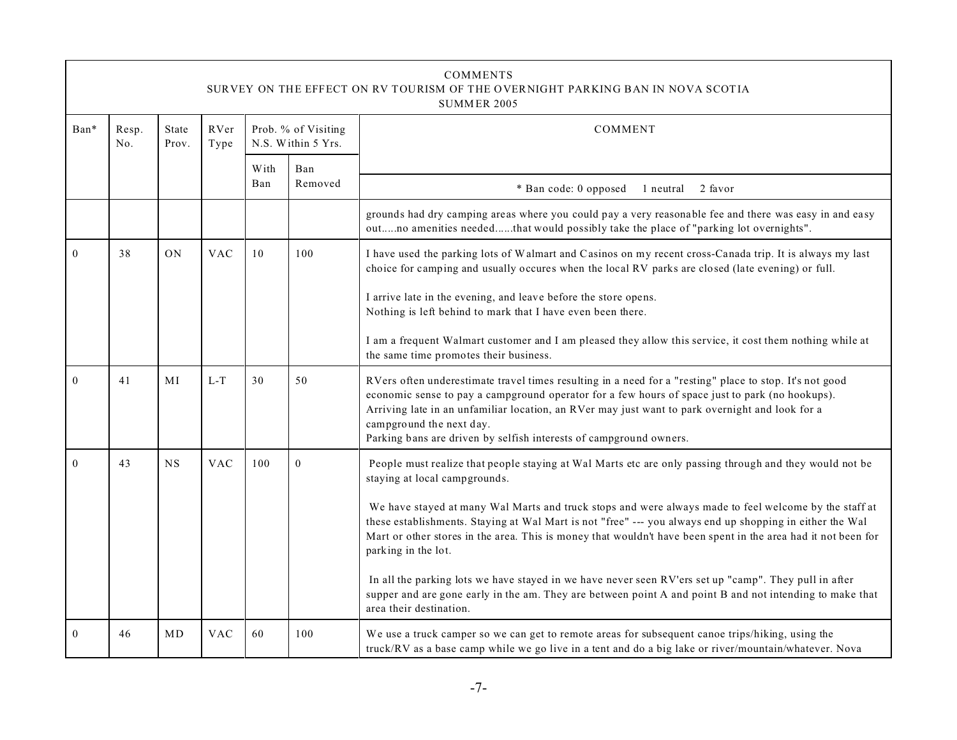|                | <b>COMMENTS</b><br>SURVEY ON THE EFFECT ON RV TOURISM OF THE OVERNIGHT PARKING BAN IN NOVA SCOTIA<br><b>SUMMER 2005</b> |                |              |                                           |                  |                                                                                                                                                                                                                                                                                                                                                                                                                 |  |  |  |  |
|----------------|-------------------------------------------------------------------------------------------------------------------------|----------------|--------------|-------------------------------------------|------------------|-----------------------------------------------------------------------------------------------------------------------------------------------------------------------------------------------------------------------------------------------------------------------------------------------------------------------------------------------------------------------------------------------------------------|--|--|--|--|
| Ban*           | Resp.<br>No.                                                                                                            | State<br>Prov. | RVer<br>Type | Prob. % of Visiting<br>N.S. Within 5 Yrs. |                  | <b>COMMENT</b>                                                                                                                                                                                                                                                                                                                                                                                                  |  |  |  |  |
|                |                                                                                                                         |                |              | With<br>Ban                               | Ban<br>Removed   |                                                                                                                                                                                                                                                                                                                                                                                                                 |  |  |  |  |
|                |                                                                                                                         |                |              |                                           |                  | * Ban code: 0 opposed<br>1 neutral<br>2 favor                                                                                                                                                                                                                                                                                                                                                                   |  |  |  |  |
|                |                                                                                                                         |                |              |                                           |                  | grounds had dry camping areas where you could pay a very reasonable fee and there was easy in and easy<br>outno amenities neededthat would possibly take the place of "parking lot overnights".                                                                                                                                                                                                                 |  |  |  |  |
| $\mathbf{0}$   | 38                                                                                                                      | ON             | <b>VAC</b>   | 10                                        | 100              | I have used the parking lots of Walmart and Casinos on my recent cross-Canada trip. It is always my last<br>choice for camping and usually occures when the local RV parks are closed (late evening) or full.<br>I arrive late in the evening, and leave before the store opens.<br>Nothing is left behind to mark that I have even been there.                                                                 |  |  |  |  |
|                |                                                                                                                         |                |              |                                           |                  | I am a frequent Walmart customer and I am pleased they allow this service, it cost them nothing while at<br>the same time promotes their business.                                                                                                                                                                                                                                                              |  |  |  |  |
| $\overline{0}$ | 41                                                                                                                      | MI             | $L-T$        | 30                                        | 50               | RVers often underestimate travel times resulting in a need for a "resting" place to stop. It's not good<br>economic sense to pay a campground operator for a few hours of space just to park (no hookups).<br>Arriving late in an unfamiliar location, an RVer may just want to park overnight and look for a<br>campground the next day.<br>Parking bans are driven by selfish interests of campground owners. |  |  |  |  |
| $\mathbf{0}$   | 43                                                                                                                      | $_{\rm NS}$    | <b>VAC</b>   | 100                                       | $\boldsymbol{0}$ | People must realize that people staying at Wal Marts etc are only passing through and they would not be<br>staying at local campgrounds.                                                                                                                                                                                                                                                                        |  |  |  |  |
|                |                                                                                                                         |                |              |                                           |                  | We have stayed at many Wal Marts and truck stops and were always made to feel welcome by the staff at<br>these establishments. Staying at Wal Mart is not "free" --- you always end up shopping in either the Wal<br>Mart or other stores in the area. This is money that wouldn't have been spent in the area had it not been for<br>parking in the lot.                                                       |  |  |  |  |
|                |                                                                                                                         |                |              |                                           |                  | In all the parking lots we have stayed in we have never seen RV'ers set up "camp". They pull in after<br>supper and are gone early in the am. They are between point A and point B and not intending to make that<br>area their destination.                                                                                                                                                                    |  |  |  |  |
| $\mathbf{0}$   | 46                                                                                                                      | MD             | <b>VAC</b>   | 60                                        | 100              | We use a truck camper so we can get to remote areas for subsequent canoe trips/hiking, using the<br>truck/RV as a base camp while we go live in a tent and do a big lake or river/mountain/whatever. Nova                                                                                                                                                                                                       |  |  |  |  |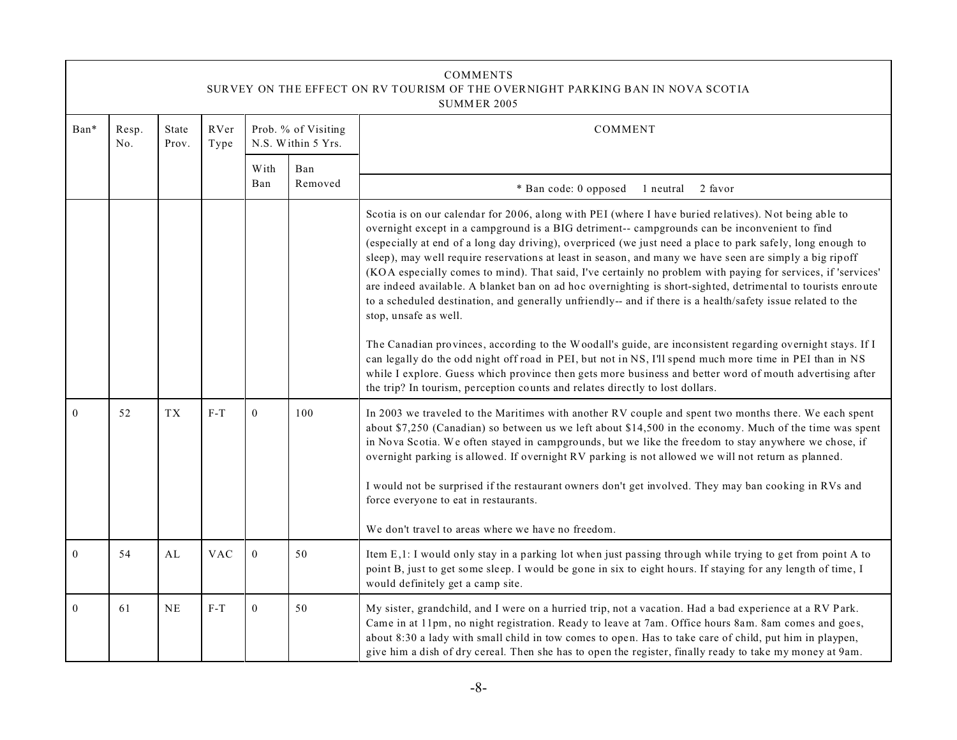|              | <b>COMMENTS</b><br>SURVEY ON THE EFFECT ON RV TOURISM OF THE OVERNIGHT PARKING BAN IN NOVA SCOTIA<br><b>SUMMER 2005</b> |                |              |                  |                                           |                                                                                                                                                                                                                                                                                                                                                                                                                                                                                                                                                                                                                                                                                                                                                                                                                                                                                                                                                                                                                                                                                                                                                                                                                                |  |  |  |  |
|--------------|-------------------------------------------------------------------------------------------------------------------------|----------------|--------------|------------------|-------------------------------------------|--------------------------------------------------------------------------------------------------------------------------------------------------------------------------------------------------------------------------------------------------------------------------------------------------------------------------------------------------------------------------------------------------------------------------------------------------------------------------------------------------------------------------------------------------------------------------------------------------------------------------------------------------------------------------------------------------------------------------------------------------------------------------------------------------------------------------------------------------------------------------------------------------------------------------------------------------------------------------------------------------------------------------------------------------------------------------------------------------------------------------------------------------------------------------------------------------------------------------------|--|--|--|--|
| Ban*         | Resp.<br>No.                                                                                                            | State<br>Prov. | RVer<br>Type |                  | Prob. % of Visiting<br>N.S. Within 5 Yrs. | COMMENT                                                                                                                                                                                                                                                                                                                                                                                                                                                                                                                                                                                                                                                                                                                                                                                                                                                                                                                                                                                                                                                                                                                                                                                                                        |  |  |  |  |
|              |                                                                                                                         |                | With         | Ban              |                                           |                                                                                                                                                                                                                                                                                                                                                                                                                                                                                                                                                                                                                                                                                                                                                                                                                                                                                                                                                                                                                                                                                                                                                                                                                                |  |  |  |  |
|              |                                                                                                                         |                |              | Ban              | Removed                                   | * Ban code: 0 opposed<br>1 neutral 2 favor                                                                                                                                                                                                                                                                                                                                                                                                                                                                                                                                                                                                                                                                                                                                                                                                                                                                                                                                                                                                                                                                                                                                                                                     |  |  |  |  |
|              |                                                                                                                         |                |              |                  |                                           | Scotia is on our calendar for 2006, along with PEI (where I have buried relatives). Not being able to<br>overnight except in a campground is a BIG detriment-- campgrounds can be inconvenient to find<br>(especially at end of a long day driving), overpriced (we just need a place to park safely, long enough to<br>sleep), may well require reservations at least in season, and many we have seen are simply a big ripoff<br>(KOA especially comes to mind). That said, I've certainly no problem with paying for services, if 'services'<br>are indeed available. A blanket ban on ad hoc overnighting is short-sighted, detrimental to tourists enroute<br>to a scheduled destination, and generally unfriendly-- and if there is a health/safety issue related to the<br>stop, unsafe as well.<br>The Canadian provinces, according to the Woodall's guide, are inconsistent regarding overnight stays. If I<br>can legally do the odd night off road in PEI, but not in NS, I'll spend much more time in PEI than in NS<br>while I explore. Guess which province then gets more business and better word of mouth advertising after<br>the trip? In tourism, perception counts and relates directly to lost dollars. |  |  |  |  |
| $\bf{0}$     | 52                                                                                                                      | <b>TX</b>      | $F-T$        | $\boldsymbol{0}$ | 100                                       | In 2003 we traveled to the Maritimes with another RV couple and spent two months there. We each spent<br>about \$7,250 (Canadian) so between us we left about \$14,500 in the economy. Much of the time was spent<br>in Nova Scotia. We often stayed in campgrounds, but we like the freedom to stay anywhere we chose, if<br>overnight parking is allowed. If overnight RV parking is not allowed we will not return as planned.<br>I would not be surprised if the restaurant owners don't get involved. They may ban cooking in RVs and<br>force everyone to eat in restaurants.<br>We don't travel to areas where we have no freedom.                                                                                                                                                                                                                                                                                                                                                                                                                                                                                                                                                                                      |  |  |  |  |
| $\theta$     | 54                                                                                                                      | AL             | <b>VAC</b>   | $\mathbf{0}$     | 50                                        | Item E,1: I would only stay in a parking lot when just passing through while trying to get from point A to<br>point B, just to get some sleep. I would be gone in six to eight hours. If staying for any length of time, I<br>would definitely get a camp site.                                                                                                                                                                                                                                                                                                                                                                                                                                                                                                                                                                                                                                                                                                                                                                                                                                                                                                                                                                |  |  |  |  |
| $\mathbf{0}$ | 61                                                                                                                      | <b>NE</b>      | $F-T$        | $\boldsymbol{0}$ | 50                                        | My sister, grandchild, and I were on a hurried trip, not a vacation. Had a bad experience at a RV Park.<br>Came in at 11pm, no night registration. Ready to leave at 7am. Office hours 8am. 8am comes and goes,<br>about 8:30 a lady with small child in tow comes to open. Has to take care of child, put him in playpen,<br>give him a dish of dry cereal. Then she has to open the register, finally ready to take my money at 9am.                                                                                                                                                                                                                                                                                                                                                                                                                                                                                                                                                                                                                                                                                                                                                                                         |  |  |  |  |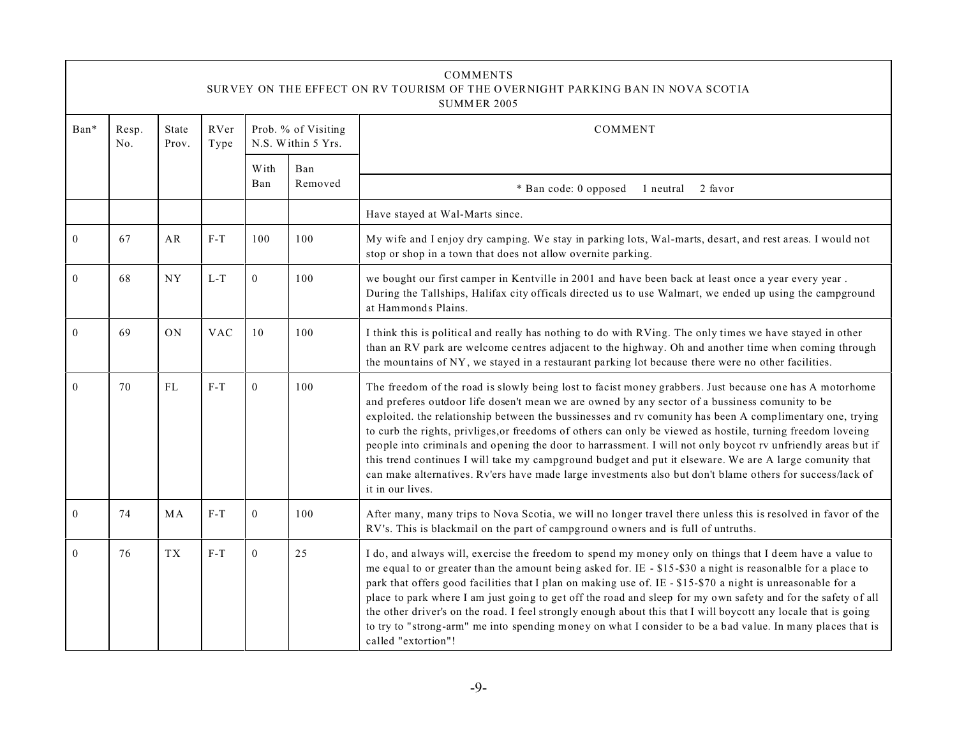|                  | <b>COMMENTS</b><br>SURVEY ON THE EFFECT ON RV TOURISM OF THE OVERNIGHT PARKING BAN IN NOVA SCOTIA<br><b>SUMMER 2005</b> |                  |                                |                                           |                |                                                                                                                                                                                                                                                                                                                                                                                                                                                                                                                                                                                                                                                                                                                                                                                                   |  |  |  |  |
|------------------|-------------------------------------------------------------------------------------------------------------------------|------------------|--------------------------------|-------------------------------------------|----------------|---------------------------------------------------------------------------------------------------------------------------------------------------------------------------------------------------------------------------------------------------------------------------------------------------------------------------------------------------------------------------------------------------------------------------------------------------------------------------------------------------------------------------------------------------------------------------------------------------------------------------------------------------------------------------------------------------------------------------------------------------------------------------------------------------|--|--|--|--|
| Ban*             | Resp.<br>No.                                                                                                            | State<br>Prov.   | RVer<br>Type                   | Prob. % of Visiting<br>N.S. Within 5 Yrs. |                | <b>COMMENT</b>                                                                                                                                                                                                                                                                                                                                                                                                                                                                                                                                                                                                                                                                                                                                                                                    |  |  |  |  |
|                  |                                                                                                                         |                  |                                | With<br>Ban                               | Ban<br>Removed | * Ban code: 0 opposed<br>1 neutral 2 favor                                                                                                                                                                                                                                                                                                                                                                                                                                                                                                                                                                                                                                                                                                                                                        |  |  |  |  |
|                  |                                                                                                                         |                  |                                |                                           |                | Have stayed at Wal-Marts since.                                                                                                                                                                                                                                                                                                                                                                                                                                                                                                                                                                                                                                                                                                                                                                   |  |  |  |  |
| $\overline{0}$   | 67                                                                                                                      | AR               | $F-T$                          | 100                                       | 100            | My wife and I enjoy dry camping. We stay in parking lots, Wal-marts, desart, and rest areas. I would not<br>stop or shop in a town that does not allow overnite parking.                                                                                                                                                                                                                                                                                                                                                                                                                                                                                                                                                                                                                          |  |  |  |  |
| $\mathbf{0}$     | 68                                                                                                                      | NY.              | $\mathbf{L}\text{-}\mathbf{T}$ | $\boldsymbol{0}$                          | 100            | we bought our first camper in Kentville in 2001 and have been back at least once a year every year.<br>During the Tallships, Halifax city officals directed us to use Walmart, we ended up using the campground<br>at Hammonds Plains.                                                                                                                                                                                                                                                                                                                                                                                                                                                                                                                                                            |  |  |  |  |
| $\mathbf{0}$     | 69                                                                                                                      | ON               | <b>VAC</b>                     | 10                                        | 100            | I think this is political and really has nothing to do with RVing. The only times we have stayed in other<br>than an RV park are welcome centres adjacent to the highway. Oh and another time when coming through<br>the mountains of NY, we stayed in a restaurant parking lot because there were no other facilities.                                                                                                                                                                                                                                                                                                                                                                                                                                                                           |  |  |  |  |
| $\mathbf{0}$     | 70                                                                                                                      | FL               | $F-T$                          | $\boldsymbol{0}$                          | 100            | The freedom of the road is slowly being lost to facist money grabbers. Just because one has A motorhome<br>and preferes outdoor life dosen't mean we are owned by any sector of a bussiness comunity to be<br>exploited. the relationship between the bussinesses and rv comunity has been A complimentary one, trying<br>to curb the rights, privliges, or freedoms of others can only be viewed as hostile, turning freedom loveing<br>people into criminals and opening the door to harrassment. I will not only boycot rv unfriendly areas but if<br>this trend continues I will take my campground budget and put it elseware. We are A large comunity that<br>can make alternatives. Rv'ers have made large investments also but don't blame others for success/lack of<br>it in our lives. |  |  |  |  |
| $\boldsymbol{0}$ | 74                                                                                                                      | <b>MA</b>        | $F-T$                          | $\boldsymbol{0}$                          | 100            | After many, many trips to Nova Scotia, we will no longer travel there unless this is resolved in favor of the<br>RV's. This is blackmail on the part of campground owners and is full of untruths.                                                                                                                                                                                                                                                                                                                                                                                                                                                                                                                                                                                                |  |  |  |  |
| $\theta$         | 76                                                                                                                      | ${\rm T}{\rm X}$ | $F-T$                          | $\boldsymbol{0}$                          | 25             | I do, and always will, exercise the freedom to spend my money only on things that I deem have a value to<br>me equal to or greater than the amount being asked for. IE - \$15-\$30 a night is reasonalble for a place to<br>park that offers good facilities that I plan on making use of. IE - \$15-\$70 a night is unreasonable for a<br>place to park where I am just going to get off the road and sleep for my own safety and for the safety of all<br>the other driver's on the road. I feel strongly enough about this that I will boycott any locale that is going<br>to try to "strong-arm" me into spending money on what I consider to be a bad value. In many places that is<br>called "extortion"!                                                                                   |  |  |  |  |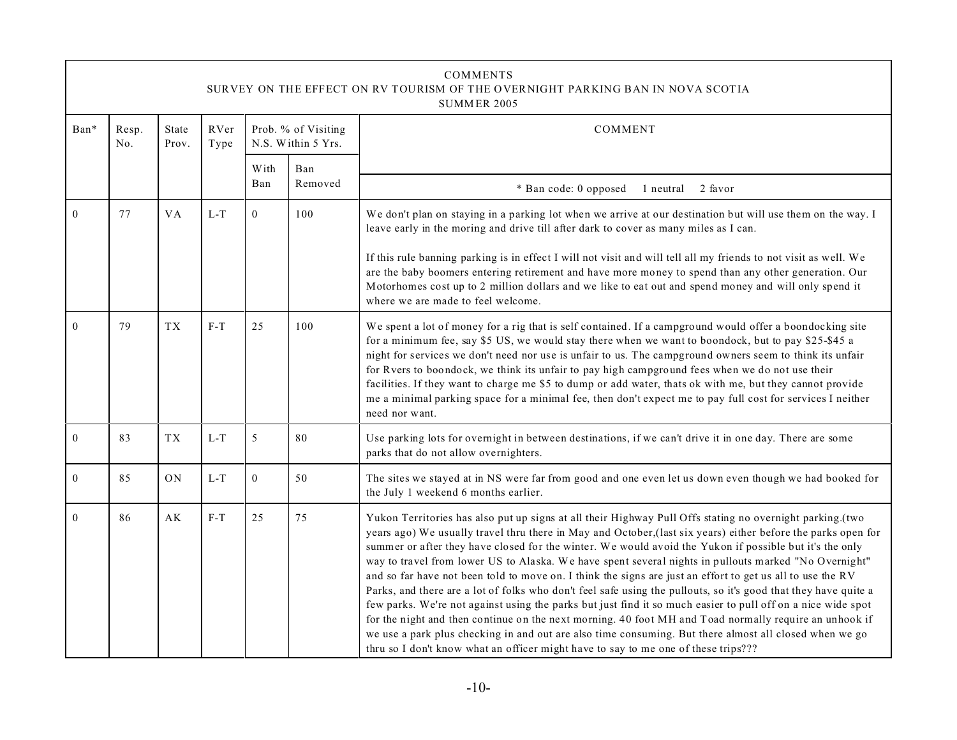|                  | COMMENTS<br>SURVEY ON THE EFFECT ON RV TOURISM OF THE OVERNIGHT PARKING BAN IN NOVA SCOTIA<br><b>SUMMER 2005</b> |                  |                                |                                           |                |                                                                                                                                                                                                                                                                                                                                                                                                                                                                                                                                                                                                                                                                                                                                                                                                                                                                                                                                                                                                                                                                                                          |  |  |  |
|------------------|------------------------------------------------------------------------------------------------------------------|------------------|--------------------------------|-------------------------------------------|----------------|----------------------------------------------------------------------------------------------------------------------------------------------------------------------------------------------------------------------------------------------------------------------------------------------------------------------------------------------------------------------------------------------------------------------------------------------------------------------------------------------------------------------------------------------------------------------------------------------------------------------------------------------------------------------------------------------------------------------------------------------------------------------------------------------------------------------------------------------------------------------------------------------------------------------------------------------------------------------------------------------------------------------------------------------------------------------------------------------------------|--|--|--|
| Ban*             | Resp.<br>No.                                                                                                     | State<br>Prov.   | RVer<br>Type                   | Prob. % of Visiting<br>N.S. Within 5 Yrs. |                | COMMENT                                                                                                                                                                                                                                                                                                                                                                                                                                                                                                                                                                                                                                                                                                                                                                                                                                                                                                                                                                                                                                                                                                  |  |  |  |
|                  |                                                                                                                  |                  |                                | With<br>Ban                               | Ban<br>Removed | * Ban code: 0 opposed<br>1 neutral<br>2 favor                                                                                                                                                                                                                                                                                                                                                                                                                                                                                                                                                                                                                                                                                                                                                                                                                                                                                                                                                                                                                                                            |  |  |  |
| $\theta$         | 77                                                                                                               | <b>VA</b>        | $L-T$                          | $\overline{0}$                            | 100            | We don't plan on staying in a parking lot when we arrive at our destination but will use them on the way. I<br>leave early in the moring and drive till after dark to cover as many miles as I can.<br>If this rule banning parking is in effect I will not visit and will tell all my friends to not visit as well. We<br>are the baby boomers entering retirement and have more money to spend than any other generation. Our<br>Motorhomes cost up to 2 million dollars and we like to eat out and spend money and will only spend it<br>where we are made to feel welcome.                                                                                                                                                                                                                                                                                                                                                                                                                                                                                                                           |  |  |  |
| $\Omega$         | 79                                                                                                               | <b>TX</b>        | $F-T$                          | 25                                        | 100            | We spent a lot of money for a rig that is self contained. If a campground would offer a boondocking site<br>for a minimum fee, say \$5 US, we would stay there when we want to boondock, but to pay \$25-\$45 a<br>night for services we don't need nor use is unfair to us. The campground owners seem to think its unfair<br>for Rvers to boondock, we think its unfair to pay high campground fees when we do not use their<br>facilities. If they want to charge me \$5 to dump or add water, thats ok with me, but they cannot provide<br>me a minimal parking space for a minimal fee, then don't expect me to pay full cost for services I neither<br>need nor want.                                                                                                                                                                                                                                                                                                                                                                                                                              |  |  |  |
| $\boldsymbol{0}$ | 83                                                                                                               | ${\rm T}{\rm X}$ | $\mathbf{L}\text{-}\mathbf{T}$ | 5                                         | 80             | Use parking lots for overnight in between destinations, if we can't drive it in one day. There are some<br>parks that do not allow overnighters.                                                                                                                                                                                                                                                                                                                                                                                                                                                                                                                                                                                                                                                                                                                                                                                                                                                                                                                                                         |  |  |  |
| $\theta$         | 85                                                                                                               | <b>ON</b>        | $L-T$                          | $\overline{0}$                            | 50             | The sites we stayed at in NS were far from good and one even let us down even though we had booked for<br>the July 1 weekend 6 months earlier.                                                                                                                                                                                                                                                                                                                                                                                                                                                                                                                                                                                                                                                                                                                                                                                                                                                                                                                                                           |  |  |  |
| $\mathbf{0}$     | 86                                                                                                               | AK               | $F-T$                          | 25                                        | 75             | Yukon Territories has also put up signs at all their Highway Pull Offs stating no overnight parking.(two<br>years ago) We usually travel thru there in May and October, (last six years) either before the parks open for<br>summer or after they have closed for the winter. We would avoid the Yukon if possible but it's the only<br>way to travel from lower US to Alaska. We have spent several nights in pullouts marked "No Overnight"<br>and so far have not been told to move on. I think the signs are just an effort to get us all to use the RV<br>Parks, and there are a lot of folks who don't feel safe using the pullouts, so it's good that they have quite a<br>few parks. We're not against using the parks but just find it so much easier to pull off on a nice wide spot<br>for the night and then continue on the next morning. 40 foot MH and Toad normally require an unhook if<br>we use a park plus checking in and out are also time consuming. But there almost all closed when we go<br>thru so I don't know what an officer might have to say to me one of these trips??? |  |  |  |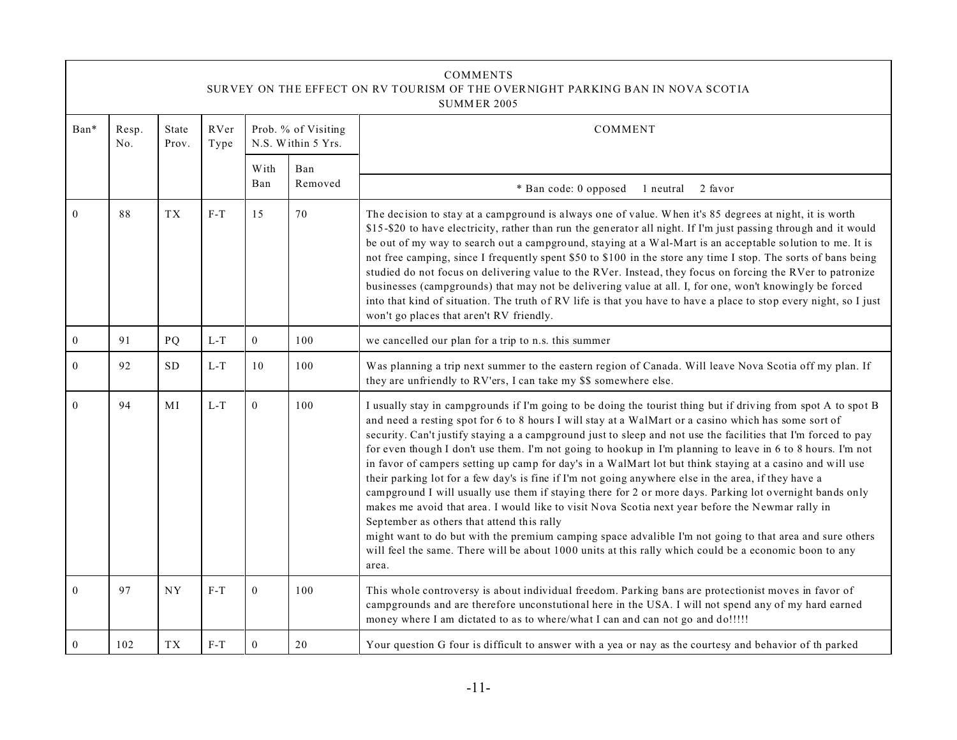|              | <b>COMMENTS</b><br>SURVEY ON THE EFFECT ON RV TOURISM OF THE OVERNIGHT PARKING BAN IN NOVA SCOTIA<br><b>SUMMER 2005</b> |                  |              |                  |                                           |                                                                                                                                                                                                                                                                                                                                                                                                                                                                                                                                                                                                                                                                                                                                                                                                                                                                                                                                                                                                                                                                                                                                                                          |  |  |  |  |
|--------------|-------------------------------------------------------------------------------------------------------------------------|------------------|--------------|------------------|-------------------------------------------|--------------------------------------------------------------------------------------------------------------------------------------------------------------------------------------------------------------------------------------------------------------------------------------------------------------------------------------------------------------------------------------------------------------------------------------------------------------------------------------------------------------------------------------------------------------------------------------------------------------------------------------------------------------------------------------------------------------------------------------------------------------------------------------------------------------------------------------------------------------------------------------------------------------------------------------------------------------------------------------------------------------------------------------------------------------------------------------------------------------------------------------------------------------------------|--|--|--|--|
| Ban*         | Resp.<br>No.                                                                                                            | State<br>Prov.   | RVer<br>Type |                  | Prob. % of Visiting<br>N.S. Within 5 Yrs. | COMMENT                                                                                                                                                                                                                                                                                                                                                                                                                                                                                                                                                                                                                                                                                                                                                                                                                                                                                                                                                                                                                                                                                                                                                                  |  |  |  |  |
|              |                                                                                                                         |                  |              | With<br>Ban      | Ban<br>Removed                            | * Ban code: 0 opposed<br>1 neutral 2 favor                                                                                                                                                                                                                                                                                                                                                                                                                                                                                                                                                                                                                                                                                                                                                                                                                                                                                                                                                                                                                                                                                                                               |  |  |  |  |
| $\theta$     | 88                                                                                                                      | ${\rm T}{\rm X}$ | $F-T$        | 15               | 70                                        | The decision to stay at a campground is always one of value. When it's 85 degrees at night, it is worth<br>\$15-\$20 to have electricity, rather than run the generator all night. If I'm just passing through and it would<br>be out of my way to search out a campground, staying at a Wal-Mart is an acceptable solution to me. It is<br>not free camping, since I frequently spent \$50 to \$100 in the store any time I stop. The sorts of bans being<br>studied do not focus on delivering value to the RVer. Instead, they focus on forcing the RVer to patronize<br>businesses (campgrounds) that may not be delivering value at all. I, for one, won't knowingly be forced<br>into that kind of situation. The truth of RV life is that you have to have a place to stop every night, so I just<br>won't go places that aren't RV friendly.                                                                                                                                                                                                                                                                                                                     |  |  |  |  |
| $\bf{0}$     | 91                                                                                                                      | PQ               | $L-T$        | $\mathbf{0}$     | 100                                       | we cancelled our plan for a trip to n.s. this summer                                                                                                                                                                                                                                                                                                                                                                                                                                                                                                                                                                                                                                                                                                                                                                                                                                                                                                                                                                                                                                                                                                                     |  |  |  |  |
| $\mathbf{0}$ | 92                                                                                                                      | <b>SD</b>        | $L-T$        | 10               | 100                                       | Was planning a trip next summer to the eastern region of Canada. Will leave Nova Scotia off my plan. If<br>they are unfriendly to RV'ers, I can take my \$\$ somewhere else.                                                                                                                                                                                                                                                                                                                                                                                                                                                                                                                                                                                                                                                                                                                                                                                                                                                                                                                                                                                             |  |  |  |  |
| $\theta$     | 94                                                                                                                      | MI               | $L-T$        | $\mathbf{0}$     | 100                                       | I usually stay in campgrounds if I'm going to be doing the tourist thing but if driving from spot A to spot B<br>and need a resting spot for 6 to 8 hours I will stay at a WalMart or a casino which has some sort of<br>security. Can't justify staying a a campground just to sleep and not use the facilities that I'm forced to pay<br>for even though I don't use them. I'm not going to hookup in I'm planning to leave in 6 to 8 hours. I'm not<br>in favor of campers setting up camp for day's in a WalMart lot but think staying at a casino and will use<br>their parking lot for a few day's is fine if I'm not going anywhere else in the area, if they have a<br>campground I will usually use them if staying there for 2 or more days. Parking lot overnight bands only<br>makes me avoid that area. I would like to visit Nova Scotia next year before the Newmar rally in<br>September as others that attend this rally<br>might want to do but with the premium camping space advalible I'm not going to that area and sure others<br>will feel the same. There will be about 1000 units at this rally which could be a economic boon to any<br>area. |  |  |  |  |
| $\mathbf{0}$ | 97                                                                                                                      | NY.              | $F-T$        | $\boldsymbol{0}$ | 100                                       | This whole controversy is about individual freedom. Parking bans are protectionist moves in favor of<br>campgrounds and are therefore unconstutional here in the USA. I will not spend any of my hard earned<br>money where I am dictated to as to where/what I can and can not go and do!!!!!                                                                                                                                                                                                                                                                                                                                                                                                                                                                                                                                                                                                                                                                                                                                                                                                                                                                           |  |  |  |  |
| $\mathbf{0}$ | 102                                                                                                                     | <b>TX</b>        | $F-T$        | $\theta$         | 20                                        | Your question G four is difficult to answer with a yea or nay as the courtesy and behavior of th parked                                                                                                                                                                                                                                                                                                                                                                                                                                                                                                                                                                                                                                                                                                                                                                                                                                                                                                                                                                                                                                                                  |  |  |  |  |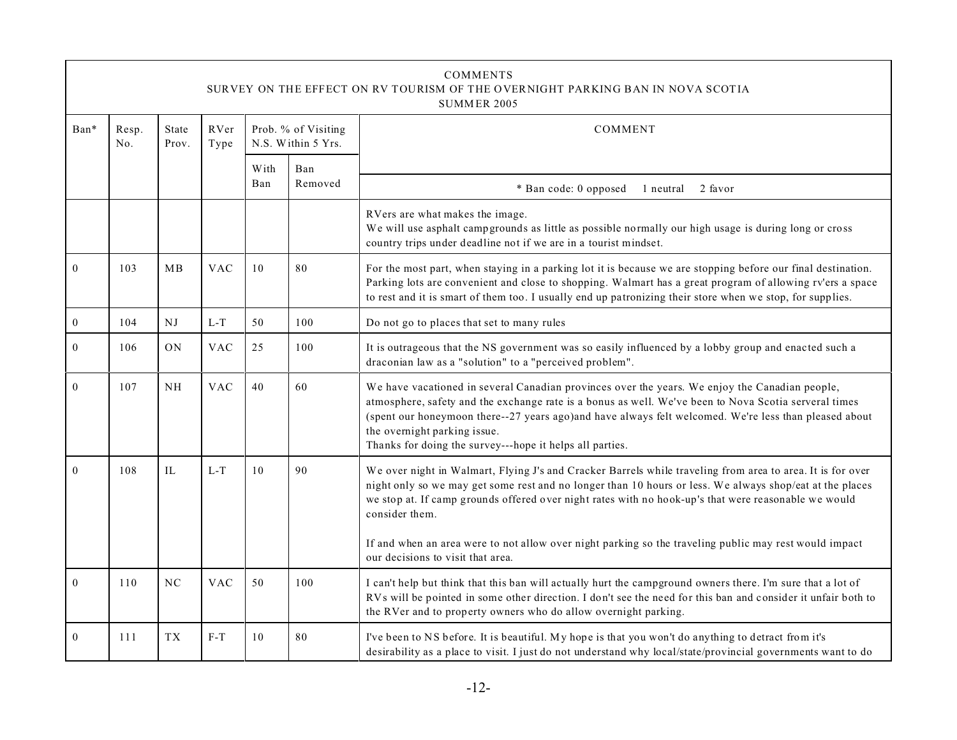|                  | <b>COMMENTS</b><br>SURVEY ON THE EFFECT ON RV TOURISM OF THE OVERNIGHT PARKING BAN IN NOVA SCOTIA<br><b>SUMMER 2005</b> |                        |              |                                           |                |                                                                                                                                                                                                                                                                                                                                                                                                                                                                                                 |  |  |  |
|------------------|-------------------------------------------------------------------------------------------------------------------------|------------------------|--------------|-------------------------------------------|----------------|-------------------------------------------------------------------------------------------------------------------------------------------------------------------------------------------------------------------------------------------------------------------------------------------------------------------------------------------------------------------------------------------------------------------------------------------------------------------------------------------------|--|--|--|
| Ban*             | Resp.<br>No.                                                                                                            | State<br>Prov.         | RVer<br>Type | Prob. % of Visiting<br>N.S. Within 5 Yrs. |                | <b>COMMENT</b>                                                                                                                                                                                                                                                                                                                                                                                                                                                                                  |  |  |  |
|                  |                                                                                                                         |                        |              | With<br>Ban                               | Ban<br>Removed |                                                                                                                                                                                                                                                                                                                                                                                                                                                                                                 |  |  |  |
|                  |                                                                                                                         |                        |              |                                           |                | * Ban code: 0 opposed<br>1 neutral<br>2 favor<br>RVers are what makes the image.<br>We will use asphalt campgrounds as little as possible normally our high usage is during long or cross<br>country trips under deadline not if we are in a tourist mindset.                                                                                                                                                                                                                                   |  |  |  |
| $\boldsymbol{0}$ | 103                                                                                                                     | $\mathbf{M}\mathbf{B}$ | <b>VAC</b>   | 10                                        | 80             | For the most part, when staying in a parking lot it is because we are stopping before our final destination.<br>Parking lots are convenient and close to shopping. Walmart has a great program of allowing rv'ers a space<br>to rest and it is smart of them too. I usually end up patronizing their store when we stop, for supplies.                                                                                                                                                          |  |  |  |
| $\boldsymbol{0}$ | 104                                                                                                                     | NJ                     | $L-T$        | 50                                        | 100            | Do not go to places that set to many rules                                                                                                                                                                                                                                                                                                                                                                                                                                                      |  |  |  |
| $\boldsymbol{0}$ | 106                                                                                                                     | <b>ON</b>              | <b>VAC</b>   | 25                                        | 100            | It is outrageous that the NS government was so easily influenced by a lobby group and enacted such a<br>draconian law as a "solution" to a "perceived problem".                                                                                                                                                                                                                                                                                                                                 |  |  |  |
| $\theta$         | 107                                                                                                                     | NH                     | <b>VAC</b>   | 40                                        | 60             | We have vacationed in several Canadian provinces over the years. We enjoy the Canadian people,<br>atmosphere, safety and the exchange rate is a bonus as well. We've been to Nova Scotia serveral times<br>(spent our honeymoon there--27 years ago)and have always felt welcomed. We're less than pleased about<br>the overnight parking issue.<br>Thanks for doing the survey---hope it helps all parties.                                                                                    |  |  |  |
| $\theta$         | 108                                                                                                                     | IL                     | $L-T$        | 10                                        | 90             | We over night in Walmart, Flying J's and Cracker Barrels while traveling from area to area. It is for over<br>night only so we may get some rest and no longer than 10 hours or less. We always shop/eat at the places<br>we stop at. If camp grounds offered over night rates with no hook-up's that were reasonable we would<br>consider them.<br>If and when an area were to not allow over night parking so the traveling public may rest would impact<br>our decisions to visit that area. |  |  |  |
| $\theta$         | 110                                                                                                                     | NC                     | <b>VAC</b>   | 50                                        | 100            | I can't help but think that this ban will actually hurt the campground owners there. I'm sure that a lot of<br>RVs will be pointed in some other direction. I don't see the need for this ban and consider it unfair both to<br>the RVer and to property owners who do allow overnight parking.                                                                                                                                                                                                 |  |  |  |
| $\boldsymbol{0}$ | 111                                                                                                                     | <b>TX</b>              | $F-T$        | 10                                        | 80             | I've been to NS before. It is beautiful. My hope is that you won't do anything to detract from it's<br>desirability as a place to visit. I just do not understand why local/state/provincial governments want to do                                                                                                                                                                                                                                                                             |  |  |  |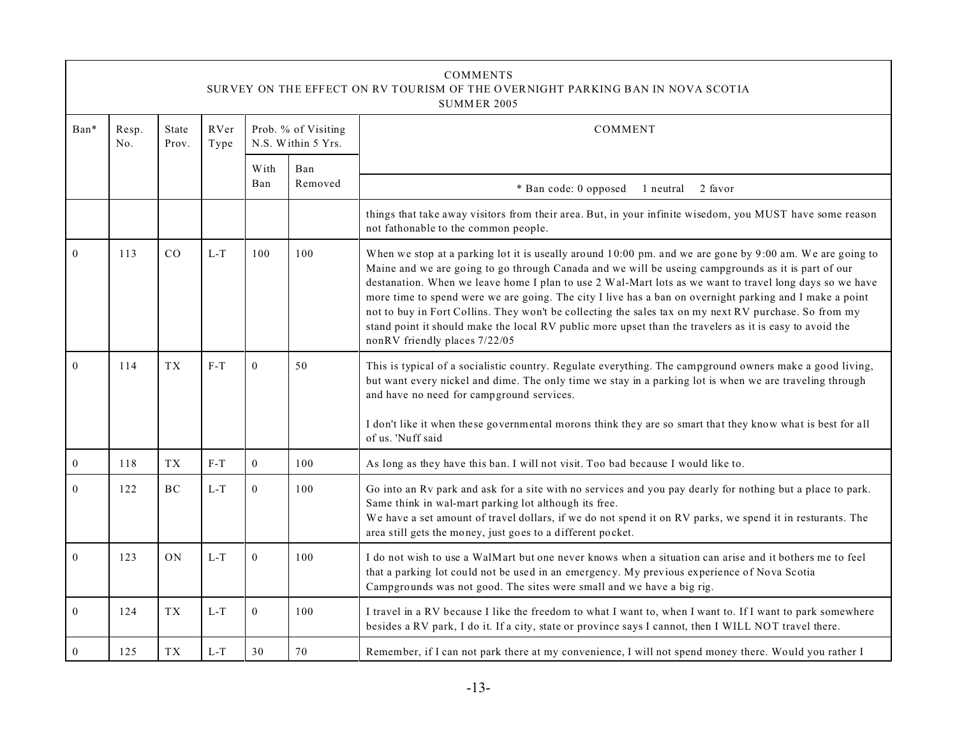|                  | <b>COMMENTS</b><br>SURVEY ON THE EFFECT ON RV TOURISM OF THE OVERNIGHT PARKING BAN IN NOVA SCOTIA<br><b>SUMMER 2005</b> |                |              |                                           |                           |                                                                                                                                                                                                                                                                                                                                                                                                                                                                                                                                                                                                                                                                                           |  |  |  |  |
|------------------|-------------------------------------------------------------------------------------------------------------------------|----------------|--------------|-------------------------------------------|---------------------------|-------------------------------------------------------------------------------------------------------------------------------------------------------------------------------------------------------------------------------------------------------------------------------------------------------------------------------------------------------------------------------------------------------------------------------------------------------------------------------------------------------------------------------------------------------------------------------------------------------------------------------------------------------------------------------------------|--|--|--|--|
| Ban*             | Resp.<br>No.                                                                                                            | State<br>Prov. | RVer<br>Type | Prob. % of Visiting<br>N.S. Within 5 Yrs. |                           | <b>COMMENT</b>                                                                                                                                                                                                                                                                                                                                                                                                                                                                                                                                                                                                                                                                            |  |  |  |  |
|                  |                                                                                                                         |                |              | With<br>Ban                               | $\mathbf{Ban}$<br>Removed |                                                                                                                                                                                                                                                                                                                                                                                                                                                                                                                                                                                                                                                                                           |  |  |  |  |
|                  |                                                                                                                         |                |              |                                           |                           | * Ban code: 0 opposed<br>1 neutral<br>2 favor                                                                                                                                                                                                                                                                                                                                                                                                                                                                                                                                                                                                                                             |  |  |  |  |
|                  |                                                                                                                         |                |              |                                           |                           | things that take away visitors from their area. But, in your infinite wisedom, you MUST have some reason<br>not fathonable to the common people.                                                                                                                                                                                                                                                                                                                                                                                                                                                                                                                                          |  |  |  |  |
| $\mathbf{0}$     | 113                                                                                                                     | CO             | $L-T$        | 100                                       | 100                       | When we stop at a parking lot it is useally around 10:00 pm. and we are gone by 9:00 am. We are going to<br>Maine and we are going to go through Canada and we will be useing campgrounds as it is part of our<br>destanation. When we leave home I plan to use 2 Wal-Mart lots as we want to travel long days so we have<br>more time to spend were we are going. The city I live has a ban on overnight parking and I make a point<br>not to buy in Fort Collins. They won't be collecting the sales tax on my next RV purchase. So from my<br>stand point it should make the local RV public more upset than the travelers as it is easy to avoid the<br>nonRV friendly places 7/22/05 |  |  |  |  |
| $\mathbf{0}$     | 114                                                                                                                     | <b>TX</b>      | $F-T$        | $\mathbf{0}$                              | 50                        | This is typical of a socialistic country. Regulate everything. The campground owners make a good living,<br>but want every nickel and dime. The only time we stay in a parking lot is when we are traveling through<br>and have no need for campground services.<br>I don't like it when these governmental morons think they are so smart that they know what is best for all<br>of us. 'Nuff said                                                                                                                                                                                                                                                                                       |  |  |  |  |
| $\mathbf{0}$     | 118                                                                                                                     | <b>TX</b>      | $F-T$        | $\mathbf{0}$                              | 100                       | As long as they have this ban. I will not visit. Too bad because I would like to.                                                                                                                                                                                                                                                                                                                                                                                                                                                                                                                                                                                                         |  |  |  |  |
| $\mathbf{0}$     | 122                                                                                                                     | <b>BC</b>      | $L-T$        | $\mathbf{0}$                              | 100                       | Go into an Rv park and ask for a site with no services and you pay dearly for nothing but a place to park.<br>Same think in wal-mart parking lot although its free.<br>We have a set amount of travel dollars, if we do not spend it on RV parks, we spend it in resturants. The<br>area still gets the money, just goes to a different pocket.                                                                                                                                                                                                                                                                                                                                           |  |  |  |  |
| $\boldsymbol{0}$ | 123                                                                                                                     | ON             | $L-T$        | $\boldsymbol{0}$                          | 100                       | I do not wish to use a WalMart but one never knows when a situation can arise and it bothers me to feel<br>that a parking lot could not be used in an emergency. My previous experience of Nova Scotia<br>Campgrounds was not good. The sites were small and we have a big rig.                                                                                                                                                                                                                                                                                                                                                                                                           |  |  |  |  |
| $\overline{0}$   | 124                                                                                                                     | <b>TX</b>      | $L-T$        | $\mathbf{0}$                              | 100                       | I travel in a RV because I like the freedom to what I want to, when I want to. If I want to park somewhere<br>besides a RV park, I do it. If a city, state or province says I cannot, then I WILL NOT travel there.                                                                                                                                                                                                                                                                                                                                                                                                                                                                       |  |  |  |  |
| $\mathbf{0}$     | 125                                                                                                                     | TX             | $L-T$        | 30                                        | 70                        | Remember, if I can not park there at my convenience, I will not spend money there. Would you rather I                                                                                                                                                                                                                                                                                                                                                                                                                                                                                                                                                                                     |  |  |  |  |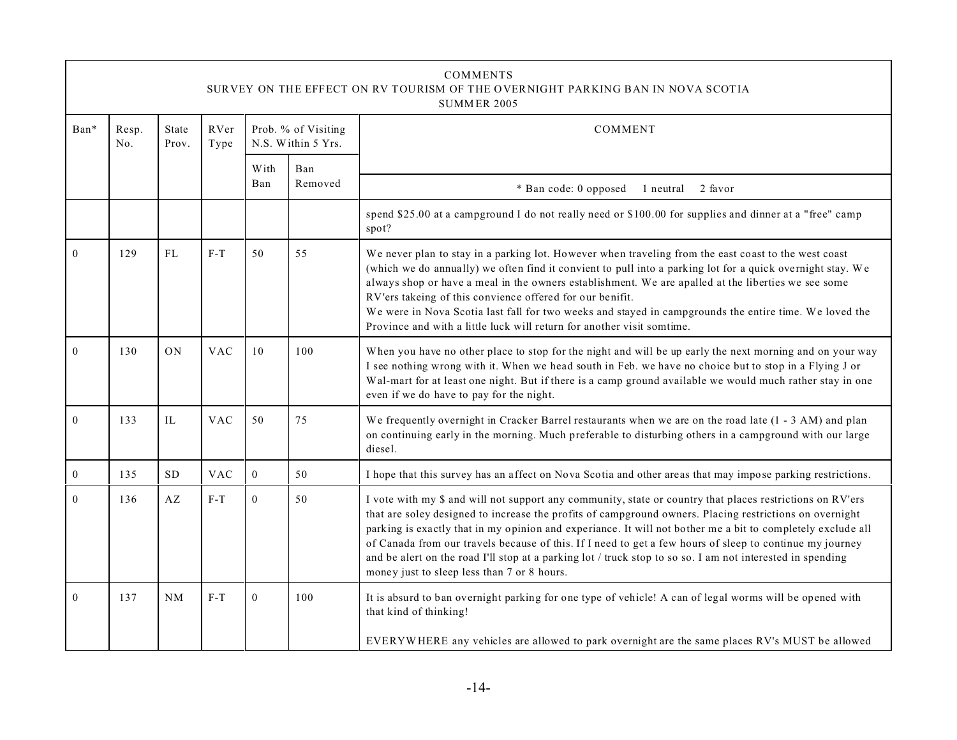|              | <b>COMMENTS</b><br>SURVEY ON THE EFFECT ON RV TOURISM OF THE OVERNIGHT PARKING BAN IN NOVA SCOTIA<br><b>SUMMER 2005</b> |                       |              |                                           |                |                                                                                                                                                                                                                                                                                                                                                                                                                                                                                                                                                                                                              |  |  |  |  |
|--------------|-------------------------------------------------------------------------------------------------------------------------|-----------------------|--------------|-------------------------------------------|----------------|--------------------------------------------------------------------------------------------------------------------------------------------------------------------------------------------------------------------------------------------------------------------------------------------------------------------------------------------------------------------------------------------------------------------------------------------------------------------------------------------------------------------------------------------------------------------------------------------------------------|--|--|--|--|
| Ban*         | Resp.<br>No.                                                                                                            | <b>State</b><br>Prov. | RVer<br>Type | Prob. % of Visiting<br>N.S. Within 5 Yrs. |                | <b>COMMENT</b>                                                                                                                                                                                                                                                                                                                                                                                                                                                                                                                                                                                               |  |  |  |  |
|              |                                                                                                                         |                       |              | With<br>Ban                               | Ban<br>Removed |                                                                                                                                                                                                                                                                                                                                                                                                                                                                                                                                                                                                              |  |  |  |  |
|              |                                                                                                                         |                       |              |                                           |                | * Ban code: 0 opposed<br>1 neutral<br>2 favor                                                                                                                                                                                                                                                                                                                                                                                                                                                                                                                                                                |  |  |  |  |
|              |                                                                                                                         |                       |              |                                           |                | spend \$25.00 at a campground I do not really need or \$100.00 for supplies and dinner at a "free" camp<br>spot?                                                                                                                                                                                                                                                                                                                                                                                                                                                                                             |  |  |  |  |
| $\theta$     | 129                                                                                                                     | FL                    | $F-T$        | 50                                        | 55             | We never plan to stay in a parking lot. However when traveling from the east coast to the west coast<br>(which we do annually) we often find it convient to pull into a parking lot for a quick overnight stay. We<br>always shop or have a meal in the owners establishment. We are apalled at the liberties we see some<br>RV'ers takeing of this convience offered for our benifit.<br>We were in Nova Scotia last fall for two weeks and stayed in campgrounds the entire time. We loved the<br>Province and with a little luck will return for another visit somtime.                                   |  |  |  |  |
| $\theta$     | 130                                                                                                                     | <b>ON</b>             | <b>VAC</b>   | 10                                        | 100            | When you have no other place to stop for the night and will be up early the next morning and on your way<br>I see nothing wrong with it. When we head south in Feb. we have no choice but to stop in a Flying J or<br>Wal-mart for at least one night. But if there is a camp ground available we would much rather stay in one<br>even if we do have to pay for the night.                                                                                                                                                                                                                                  |  |  |  |  |
| $\mathbf{0}$ | 133                                                                                                                     | IL                    | <b>VAC</b>   | 50                                        | 75             | We frequently overnight in Cracker Barrel restaurants when we are on the road late (1 - 3 AM) and plan<br>on continuing early in the morning. Much preferable to disturbing others in a campground with our large<br>diesel.                                                                                                                                                                                                                                                                                                                                                                                 |  |  |  |  |
| $\mathbf{0}$ | 135                                                                                                                     | <b>SD</b>             | <b>VAC</b>   | $\theta$                                  | 50             | I hope that this survey has an affect on Nova Scotia and other areas that may impose parking restrictions.                                                                                                                                                                                                                                                                                                                                                                                                                                                                                                   |  |  |  |  |
| $\theta$     | 136                                                                                                                     | AZ                    | $F-T$        | $\boldsymbol{0}$                          | 50             | I vote with my \$ and will not support any community, state or country that places restrictions on RV'ers<br>that are soley designed to increase the profits of campground owners. Placing restrictions on overnight<br>parking is exactly that in my opinion and experiance. It will not bother me a bit to completely exclude all<br>of Canada from our travels because of this. If I need to get a few hours of sleep to continue my journey<br>and be alert on the road I'll stop at a parking lot / truck stop to so so. I am not interested in spending<br>money just to sleep less than 7 or 8 hours. |  |  |  |  |
| $\mathbf{0}$ | 137                                                                                                                     | NM                    | $F-T$        | $\mathbf{0}$                              | 100            | It is absurd to ban overnight parking for one type of vehicle! A can of legal worms will be opened with<br>that kind of thinking!<br>EVERYWHERE any vehicles are allowed to park overnight are the same places RV's MUST be allowed                                                                                                                                                                                                                                                                                                                                                                          |  |  |  |  |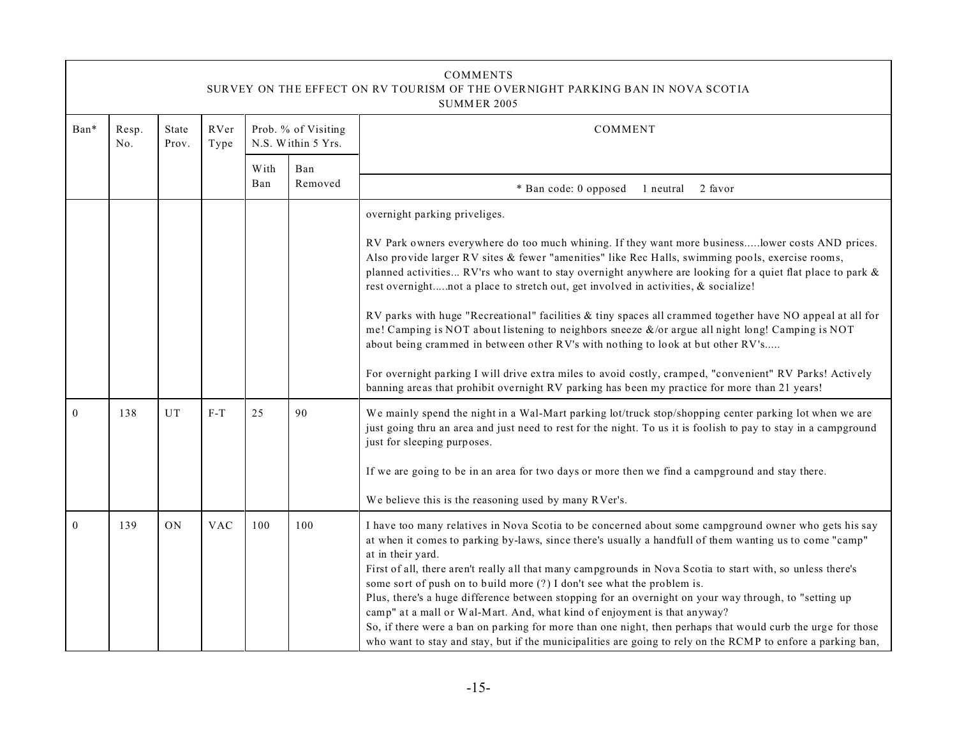|          | <b>COMMENTS</b><br>SURVEY ON THE EFFECT ON RV TOURISM OF THE OVERNIGHT PARKING BAN IN NOVA SCOTIA<br><b>SUMMER 2005</b> |                |              |                        |                                           |                                                                                                                                                                                                                                                                                                                                                                                                                                                                                                                                                                                                                                                                                                                                                                                                                                                                                                                                                                |  |  |  |  |
|----------|-------------------------------------------------------------------------------------------------------------------------|----------------|--------------|------------------------|-------------------------------------------|----------------------------------------------------------------------------------------------------------------------------------------------------------------------------------------------------------------------------------------------------------------------------------------------------------------------------------------------------------------------------------------------------------------------------------------------------------------------------------------------------------------------------------------------------------------------------------------------------------------------------------------------------------------------------------------------------------------------------------------------------------------------------------------------------------------------------------------------------------------------------------------------------------------------------------------------------------------|--|--|--|--|
| Ban*     | Resp.<br>No.                                                                                                            | State<br>Prov. | RVer<br>Type |                        | Prob. % of Visiting<br>N.S. Within 5 Yrs. | <b>COMMENT</b>                                                                                                                                                                                                                                                                                                                                                                                                                                                                                                                                                                                                                                                                                                                                                                                                                                                                                                                                                 |  |  |  |  |
|          |                                                                                                                         |                |              | With<br>$\mathbf{Ban}$ | Ban<br>Removed                            | * Ban code: 0 opposed<br>1 neutral<br>2 favor                                                                                                                                                                                                                                                                                                                                                                                                                                                                                                                                                                                                                                                                                                                                                                                                                                                                                                                  |  |  |  |  |
|          |                                                                                                                         |                |              |                        |                                           | overnight parking priveliges.<br>RV Park owners everywhere do too much whining. If they want more businesslower costs AND prices.<br>Also provide larger RV sites & fewer "amenities" like Rec Halls, swimming pools, exercise rooms,<br>planned activities RV'rs who want to stay overnight anywhere are looking for a quiet flat place to park &<br>rest overnightnot a place to stretch out, get involved in activities, & socialize!<br>RV parks with huge "Recreational" facilities & tiny spaces all crammed together have NO appeal at all for<br>me! Camping is NOT about listening to neighbors sneeze $\&$ /or argue all night long! Camping is NOT<br>about being crammed in between other RV's with nothing to look at but other RV's<br>For overnight parking I will drive extra miles to avoid costly, cramped, "convenient" RV Parks! Actively<br>banning areas that prohibit overnight RV parking has been my practice for more than 21 years! |  |  |  |  |
| $\theta$ | 138                                                                                                                     | UT             | $F-T$        | 25                     | 90                                        | We mainly spend the night in a Wal-Mart parking lot/truck stop/shopping center parking lot when we are<br>just going thru an area and just need to rest for the night. To us it is foolish to pay to stay in a campground<br>just for sleeping purposes.<br>If we are going to be in an area for two days or more then we find a campground and stay there.<br>We believe this is the reasoning used by many RVer's.                                                                                                                                                                                                                                                                                                                                                                                                                                                                                                                                           |  |  |  |  |
| $\theta$ | 139                                                                                                                     | ON             | <b>VAC</b>   | 100                    | 100                                       | I have too many relatives in Nova Scotia to be concerned about some campground owner who gets his say<br>at when it comes to parking by-laws, since there's usually a handfull of them wanting us to come "camp"<br>at in their yard.<br>First of all, there aren't really all that many campgrounds in Nova Scotia to start with, so unless there's<br>some sort of push on to build more (?) I don't see what the problem is.<br>Plus, there's a huge difference between stopping for an overnight on your way through, to "setting up<br>camp" at a mall or Wal-Mart. And, what kind of enjoyment is that anyway?<br>So, if there were a ban on parking for more than one night, then perhaps that would curb the urge for those<br>who want to stay and stay, but if the municipalities are going to rely on the RCMP to enfore a parking ban,                                                                                                             |  |  |  |  |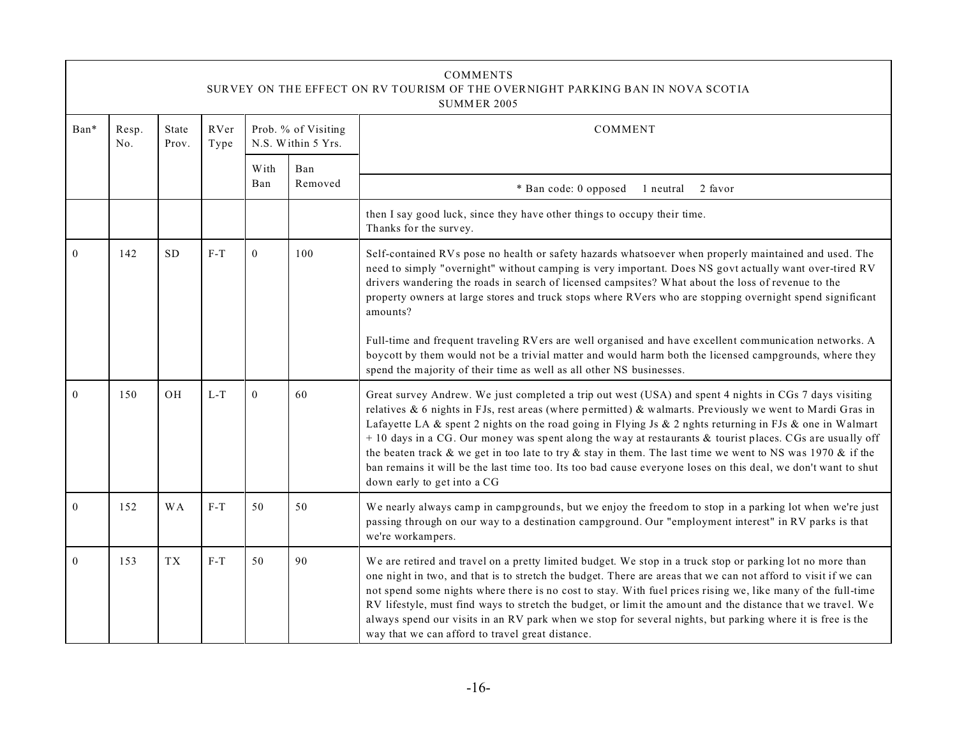|          | <b>COMMENTS</b><br>SURVEY ON THE EFFECT ON RV TOURISM OF THE OVERNIGHT PARKING BAN IN NOVA SCOTIA<br><b>SUMMER 2005</b> |            |              |                                           |                |                                                                                                                                                                                                                                                                                                                                                                                                                                                                                                                                                                                                                                                                                                             |  |  |  |  |  |
|----------|-------------------------------------------------------------------------------------------------------------------------|------------|--------------|-------------------------------------------|----------------|-------------------------------------------------------------------------------------------------------------------------------------------------------------------------------------------------------------------------------------------------------------------------------------------------------------------------------------------------------------------------------------------------------------------------------------------------------------------------------------------------------------------------------------------------------------------------------------------------------------------------------------------------------------------------------------------------------------|--|--|--|--|--|
| Ban*     | State<br>Resp.<br>No.<br>Prov.                                                                                          |            | RVer<br>Type | Prob. % of Visiting<br>N.S. Within 5 Yrs. |                | <b>COMMENT</b>                                                                                                                                                                                                                                                                                                                                                                                                                                                                                                                                                                                                                                                                                              |  |  |  |  |  |
|          |                                                                                                                         |            |              | With<br>Ban                               | Ban<br>Removed | * Ban code: 0 opposed<br>1 neutral 2 favor                                                                                                                                                                                                                                                                                                                                                                                                                                                                                                                                                                                                                                                                  |  |  |  |  |  |
|          |                                                                                                                         |            |              |                                           |                | then I say good luck, since they have other things to occupy their time.<br>Thanks for the survey.                                                                                                                                                                                                                                                                                                                                                                                                                                                                                                                                                                                                          |  |  |  |  |  |
| $\theta$ | 142                                                                                                                     | ${\rm SD}$ | $F-T$        | $\mathbf{0}$                              | 100            | Self-contained RVs pose no health or safety hazards whatsoever when properly maintained and used. The<br>need to simply "overnight" without camping is very important. Does NS govt actually want over-tired RV<br>drivers wandering the roads in search of licensed campsites? What about the loss of revenue to the<br>property owners at large stores and truck stops where RVers who are stopping overnight spend significant<br>amounts?                                                                                                                                                                                                                                                               |  |  |  |  |  |
|          |                                                                                                                         |            |              |                                           |                | Full-time and frequent traveling RVers are well organised and have excellent communication networks. A<br>boycott by them would not be a trivial matter and would harm both the licensed campgrounds, where they<br>spend the majority of their time as well as all other NS businesses.                                                                                                                                                                                                                                                                                                                                                                                                                    |  |  |  |  |  |
| $\theta$ | 150                                                                                                                     | <b>OH</b>  | $L-T$        | $\mathbf{0}$                              | 60             | Great survey Andrew. We just completed a trip out west (USA) and spent 4 nights in CGs 7 days visiting<br>relatives & 6 nights in FJs, rest areas (where permitted) & walmarts. Previously we went to Mardi Gras in<br>Lafayette LA & spent 2 nights on the road going in Flying Js & 2 nghts returning in FJs & one in Walmart<br>+ 10 days in a CG. Our money was spent along the way at restaurants & tourist places. CGs are usually off<br>the beaten track & we get in too late to try & stay in them. The last time we went to NS was 1970 & if the<br>ban remains it will be the last time too. Its too bad cause everyone loses on this deal, we don't want to shut<br>down early to get into a CG |  |  |  |  |  |
| $\theta$ | 152                                                                                                                     | <b>WA</b>  | $F-T$        | 50                                        | 50             | We nearly always camp in campgrounds, but we enjoy the freedom to stop in a parking lot when we're just<br>passing through on our way to a destination campground. Our "employment interest" in RV parks is that<br>we're workampers.                                                                                                                                                                                                                                                                                                                                                                                                                                                                       |  |  |  |  |  |
| $\theta$ | 153                                                                                                                     | <b>TX</b>  | $F-T$        | 50                                        | 90             | We are retired and travel on a pretty limited budget. We stop in a truck stop or parking lot no more than<br>one night in two, and that is to stretch the budget. There are areas that we can not afford to visit if we can<br>not spend some nights where there is no cost to stay. With fuel prices rising we, like many of the full-time<br>RV lifestyle, must find ways to stretch the budget, or limit the amount and the distance that we travel. We<br>always spend our visits in an RV park when we stop for several nights, but parking where it is free is the<br>way that we can afford to travel great distance.                                                                                |  |  |  |  |  |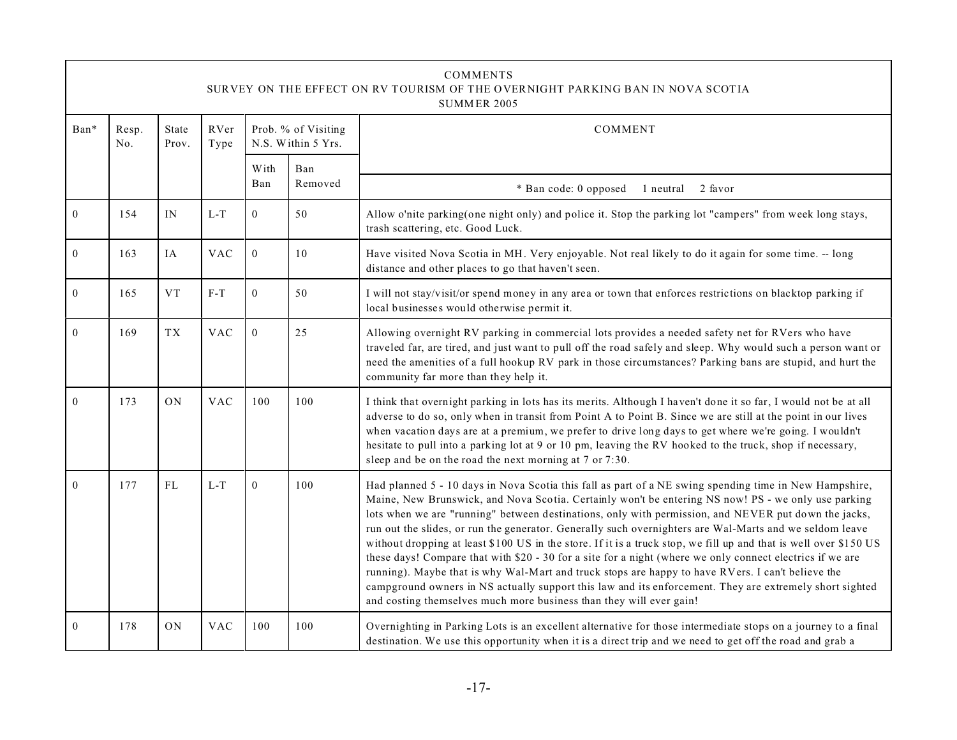|                  | <b>COMMENTS</b><br>SURVEY ON THE EFFECT ON RV TOURISM OF THE OVERNIGHT PARKING BAN IN NOVA SCOTIA<br><b>SUMMER 2005</b> |                |              |                  |                                           |                                                                                                                                                                                                                                                                                                                                                                                                                                                                                                                                                                                                                                                                                                                                                                                                                                                                                                                                                           |  |  |  |
|------------------|-------------------------------------------------------------------------------------------------------------------------|----------------|--------------|------------------|-------------------------------------------|-----------------------------------------------------------------------------------------------------------------------------------------------------------------------------------------------------------------------------------------------------------------------------------------------------------------------------------------------------------------------------------------------------------------------------------------------------------------------------------------------------------------------------------------------------------------------------------------------------------------------------------------------------------------------------------------------------------------------------------------------------------------------------------------------------------------------------------------------------------------------------------------------------------------------------------------------------------|--|--|--|
| Ban*             | Resp.<br>No.                                                                                                            | State<br>Prov. | RVer<br>Type |                  | Prob. % of Visiting<br>N.S. Within 5 Yrs. | <b>COMMENT</b>                                                                                                                                                                                                                                                                                                                                                                                                                                                                                                                                                                                                                                                                                                                                                                                                                                                                                                                                            |  |  |  |
|                  |                                                                                                                         |                |              | With<br>Ban      | Ban<br>Removed                            |                                                                                                                                                                                                                                                                                                                                                                                                                                                                                                                                                                                                                                                                                                                                                                                                                                                                                                                                                           |  |  |  |
|                  |                                                                                                                         |                |              |                  |                                           | * Ban code: 0 opposed<br>1 neutral 2 favor                                                                                                                                                                                                                                                                                                                                                                                                                                                                                                                                                                                                                                                                                                                                                                                                                                                                                                                |  |  |  |
| $\boldsymbol{0}$ | 154                                                                                                                     | IN             | $L-T$        | $\boldsymbol{0}$ | 50                                        | Allow o'nite parking(one night only) and police it. Stop the parking lot "campers" from week long stays,<br>trash scattering, etc. Good Luck.                                                                                                                                                                                                                                                                                                                                                                                                                                                                                                                                                                                                                                                                                                                                                                                                             |  |  |  |
| $\mathbf{0}$     | 163                                                                                                                     | IA             | <b>VAC</b>   | $\boldsymbol{0}$ | 10                                        | Have visited Nova Scotia in MH. Very enjoyable. Not real likely to do it again for some time. -- long<br>distance and other places to go that haven't seen.                                                                                                                                                                                                                                                                                                                                                                                                                                                                                                                                                                                                                                                                                                                                                                                               |  |  |  |
| $\boldsymbol{0}$ | 165                                                                                                                     | <b>VT</b>      | $F-T$        | $\boldsymbol{0}$ | 50                                        | I will not stay/visit/or spend money in any area or town that enforces restrictions on blacktop parking if<br>local businesses would otherwise permit it.                                                                                                                                                                                                                                                                                                                                                                                                                                                                                                                                                                                                                                                                                                                                                                                                 |  |  |  |
| $\mathbf{0}$     | 169                                                                                                                     | <b>TX</b>      | <b>VAC</b>   | $\boldsymbol{0}$ | 25                                        | Allowing overnight RV parking in commercial lots provides a needed safety net for RVers who have<br>traveled far, are tired, and just want to pull off the road safely and sleep. Why would such a person want or<br>need the amenities of a full hookup RV park in those circumstances? Parking bans are stupid, and hurt the<br>community far more than they help it.                                                                                                                                                                                                                                                                                                                                                                                                                                                                                                                                                                                   |  |  |  |
| $\theta$         | 173                                                                                                                     | <b>ON</b>      | <b>VAC</b>   | 100              | 100                                       | I think that overnight parking in lots has its merits. Although I haven't done it so far, I would not be at all<br>adverse to do so, only when in transit from Point A to Point B. Since we are still at the point in our lives<br>when vacation days are at a premium, we prefer to drive long days to get where we're going. I wouldn't<br>hesitate to pull into a parking lot at 9 or 10 pm, leaving the RV hooked to the truck, shop if necessary,<br>sleep and be on the road the next morning at 7 or 7:30.                                                                                                                                                                                                                                                                                                                                                                                                                                         |  |  |  |
| $\overline{0}$   | 177                                                                                                                     | FL             | $L-T$        | $\mathbf{0}$     | 100                                       | Had planned 5 - 10 days in Nova Scotia this fall as part of a NE swing spending time in New Hampshire,<br>Maine, New Brunswick, and Nova Scotia. Certainly won't be entering NS now! PS - we only use parking<br>lots when we are "running" between destinations, only with permission, and NEVER put down the jacks,<br>run out the slides, or run the generator. Generally such overnighters are Wal-Marts and we seldom leave<br>without dropping at least \$100 US in the store. If it is a truck stop, we fill up and that is well over \$150 US<br>these days! Compare that with \$20 - 30 for a site for a night (where we only connect electrics if we are<br>running). Maybe that is why Wal-Mart and truck stops are happy to have RVers. I can't believe the<br>campground owners in NS actually support this law and its enforcement. They are extremely short sighted<br>and costing themselves much more business than they will ever gain! |  |  |  |
| $\boldsymbol{0}$ | 178                                                                                                                     | ON             | <b>VAC</b>   | 100              | 100                                       | Overnighting in Parking Lots is an excellent alternative for those intermediate stops on a journey to a final<br>destination. We use this opportunity when it is a direct trip and we need to get off the road and grab a                                                                                                                                                                                                                                                                                                                                                                                                                                                                                                                                                                                                                                                                                                                                 |  |  |  |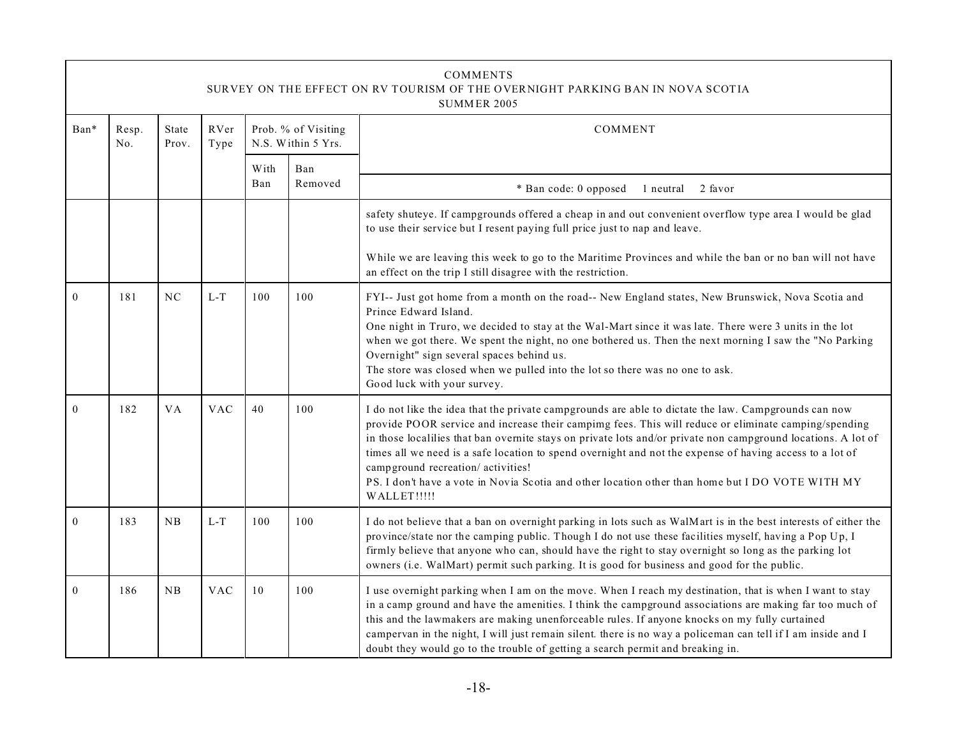|              | <b>COMMENTS</b><br>SURVEY ON THE EFFECT ON RV TOURISM OF THE OVERNIGHT PARKING BAN IN NOVA SCOTIA<br><b>SUMMER 2005</b> |                       |              |             |                                           |                                                                                                                                                                                                                                                                                                                                                                                                                                                                                                                                                                                                   |  |  |  |  |
|--------------|-------------------------------------------------------------------------------------------------------------------------|-----------------------|--------------|-------------|-------------------------------------------|---------------------------------------------------------------------------------------------------------------------------------------------------------------------------------------------------------------------------------------------------------------------------------------------------------------------------------------------------------------------------------------------------------------------------------------------------------------------------------------------------------------------------------------------------------------------------------------------------|--|--|--|--|
| Ban*         | Resp.<br>No.                                                                                                            | <b>State</b><br>Prov. | RVer<br>Type |             | Prob. % of Visiting<br>N.S. Within 5 Yrs. | <b>COMMENT</b>                                                                                                                                                                                                                                                                                                                                                                                                                                                                                                                                                                                    |  |  |  |  |
|              |                                                                                                                         |                       |              | With<br>Ban | Ban<br>Removed                            | * Ban code: 0 opposed<br>1 neutral<br>2 favor                                                                                                                                                                                                                                                                                                                                                                                                                                                                                                                                                     |  |  |  |  |
|              |                                                                                                                         |                       |              |             |                                           | safety shuteye. If campgrounds offered a cheap in and out convenient overflow type area I would be glad<br>to use their service but I resent paying full price just to nap and leave.<br>While we are leaving this week to go to the Maritime Provinces and while the ban or no ban will not have<br>an effect on the trip I still disagree with the restriction.                                                                                                                                                                                                                                 |  |  |  |  |
| $\mathbf{0}$ | 181                                                                                                                     | NC                    | $L-T$        | 100         | 100                                       | FYI-- Just got home from a month on the road-- New England states, New Brunswick, Nova Scotia and<br>Prince Edward Island.<br>One night in Truro, we decided to stay at the Wal-Mart since it was late. There were 3 units in the lot<br>when we got there. We spent the night, no one bothered us. Then the next morning I saw the "No Parking<br>Overnight" sign several spaces behind us.<br>The store was closed when we pulled into the lot so there was no one to ask.<br>Good luck with your survey.                                                                                       |  |  |  |  |
| $\mathbf{0}$ | 182                                                                                                                     | <b>VA</b>             | <b>VAC</b>   | 40          | 100                                       | I do not like the idea that the private campgrounds are able to dictate the law. Campgrounds can now<br>provide POOR service and increase their campimg fees. This will reduce or eliminate camping/spending<br>in those localilies that ban overnite stays on private lots and/or private non campground locations. A lot of<br>times all we need is a safe location to spend overnight and not the expense of having access to a lot of<br>campground recreation/activities!<br>PS. I don't have a vote in Novia Scotia and other location other than home but I DO VOTE WITH MY<br>WALLET!!!!! |  |  |  |  |
| $\mathbf{0}$ | 183                                                                                                                     | ${\bf NB}$            | $L-T$        | 100         | 100                                       | I do not believe that a ban on overnight parking in lots such as WalMart is in the best interests of either the<br>province/state nor the camping public. Though I do not use these facilities myself, having a Pop Up, I<br>firmly believe that anyone who can, should have the right to stay overnight so long as the parking lot<br>owners (i.e. WalMart) permit such parking. It is good for business and good for the public.                                                                                                                                                                |  |  |  |  |
| $\theta$     | 186                                                                                                                     | NB                    | <b>VAC</b>   | 10          | 100                                       | I use overnight parking when I am on the move. When I reach my destination, that is when I want to stay<br>in a camp ground and have the amenities. I think the campground associations are making far too much of<br>this and the lawmakers are making unenforceable rules. If anyone knocks on my fully curtained<br>campervan in the night, I will just remain silent. there is no way a policeman can tell if I am inside and I<br>doubt they would go to the trouble of getting a search permit and breaking in.                                                                             |  |  |  |  |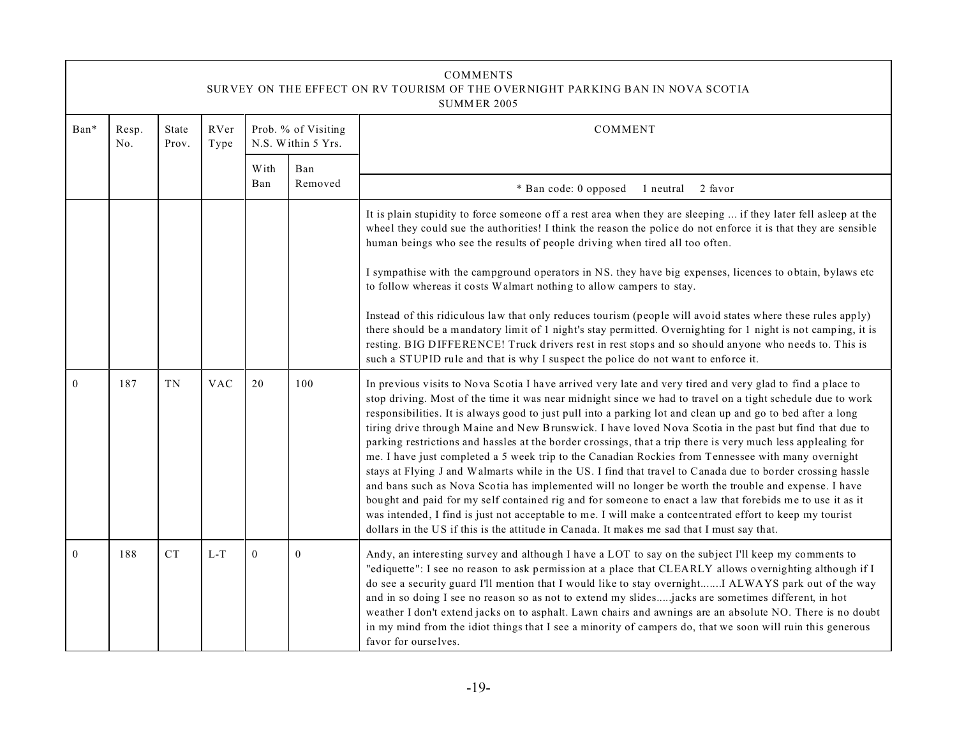|          | <b>COMMENTS</b><br>SURVEY ON THE EFFECT ON RV TOURISM OF THE OVERNIGHT PARKING BAN IN NOVA SCOTIA<br><b>SUMMER 2005</b> |                |              |                  |                                           |                                                                                                                                                                                                                                                                                                                                                                                                                                                                                                                                                                                                                                                                                                                                                                                                                                                                                                                                                                                                                                                                                                                                                                                                                       |  |  |  |  |
|----------|-------------------------------------------------------------------------------------------------------------------------|----------------|--------------|------------------|-------------------------------------------|-----------------------------------------------------------------------------------------------------------------------------------------------------------------------------------------------------------------------------------------------------------------------------------------------------------------------------------------------------------------------------------------------------------------------------------------------------------------------------------------------------------------------------------------------------------------------------------------------------------------------------------------------------------------------------------------------------------------------------------------------------------------------------------------------------------------------------------------------------------------------------------------------------------------------------------------------------------------------------------------------------------------------------------------------------------------------------------------------------------------------------------------------------------------------------------------------------------------------|--|--|--|--|
| Ban*     | Resp.<br>No.                                                                                                            | State<br>Prov. | RVer<br>Type |                  | Prob. % of Visiting<br>N.S. Within 5 Yrs. | <b>COMMENT</b>                                                                                                                                                                                                                                                                                                                                                                                                                                                                                                                                                                                                                                                                                                                                                                                                                                                                                                                                                                                                                                                                                                                                                                                                        |  |  |  |  |
|          |                                                                                                                         |                |              | With<br>Ban      | Ban<br>Removed                            |                                                                                                                                                                                                                                                                                                                                                                                                                                                                                                                                                                                                                                                                                                                                                                                                                                                                                                                                                                                                                                                                                                                                                                                                                       |  |  |  |  |
|          |                                                                                                                         |                |              |                  |                                           | * Ban code: 0 opposed<br>1 neutral<br>2 favor                                                                                                                                                                                                                                                                                                                                                                                                                                                                                                                                                                                                                                                                                                                                                                                                                                                                                                                                                                                                                                                                                                                                                                         |  |  |  |  |
|          |                                                                                                                         |                |              |                  |                                           | It is plain stupidity to force someone off a rest area when they are sleeping  if they later fell asleep at the<br>wheel they could sue the authorities! I think the reason the police do not enforce it is that they are sensible<br>human beings who see the results of people driving when tired all too often.                                                                                                                                                                                                                                                                                                                                                                                                                                                                                                                                                                                                                                                                                                                                                                                                                                                                                                    |  |  |  |  |
|          |                                                                                                                         |                |              |                  |                                           | I sympathise with the campground operators in NS. they have big expenses, licences to obtain, bylaws etc<br>to follow whereas it costs Walmart nothing to allow campers to stay.                                                                                                                                                                                                                                                                                                                                                                                                                                                                                                                                                                                                                                                                                                                                                                                                                                                                                                                                                                                                                                      |  |  |  |  |
|          |                                                                                                                         |                |              |                  |                                           | Instead of this ridiculous law that only reduces tourism (people will avoid states where these rules apply)<br>there should be a mandatory limit of 1 night's stay permitted. Overnighting for 1 night is not camping, it is<br>resting. BIG DIFFERENCE! Truck drivers rest in rest stops and so should anyone who needs to. This is<br>such a STUPID rule and that is why I suspect the police do not want to enforce it.                                                                                                                                                                                                                                                                                                                                                                                                                                                                                                                                                                                                                                                                                                                                                                                            |  |  |  |  |
| $\theta$ | 187                                                                                                                     | TN             | <b>VAC</b>   | 20               | 100                                       | In previous visits to Nova Scotia I have arrived very late and very tired and very glad to find a place to<br>stop driving. Most of the time it was near midnight since we had to travel on a tight schedule due to work<br>responsibilities. It is always good to just pull into a parking lot and clean up and go to bed after a long<br>tiring drive through Maine and New Brunswick. I have loved Nova Scotia in the past but find that due to<br>parking restrictions and hassles at the border crossings, that a trip there is very much less applealing for<br>me. I have just completed a 5 week trip to the Canadian Rockies from Tennessee with many overnight<br>stays at Flying J and Walmarts while in the US. I find that travel to Canada due to border crossing hassle<br>and bans such as Nova Scotia has implemented will no longer be worth the trouble and expense. I have<br>bought and paid for my self contained rig and for someone to enact a law that forebids me to use it as it<br>was intended, I find is just not acceptable to me. I will make a contcentrated effort to keep my tourist<br>dollars in the US if this is the attitude in Canada. It makes me sad that I must say that. |  |  |  |  |
| $\theta$ | 188                                                                                                                     | <b>CT</b>      | $L-T$        | $\boldsymbol{0}$ | $\boldsymbol{0}$                          | Andy, an interesting survey and although I have a LOT to say on the subject I'll keep my comments to<br>"ediquette": I see no reason to ask permission at a place that CLEARLY allows overnighting although if I<br>do see a security guard I'll mention that I would like to stay overnightI ALWAYS park out of the way<br>and in so doing I see no reason so as not to extend my slidesjacks are sometimes different, in hot<br>weather I don't extend jacks on to asphalt. Lawn chairs and awnings are an absolute NO. There is no doubt<br>in my mind from the idiot things that I see a minority of campers do, that we soon will ruin this generous<br>favor for ourselves.                                                                                                                                                                                                                                                                                                                                                                                                                                                                                                                                     |  |  |  |  |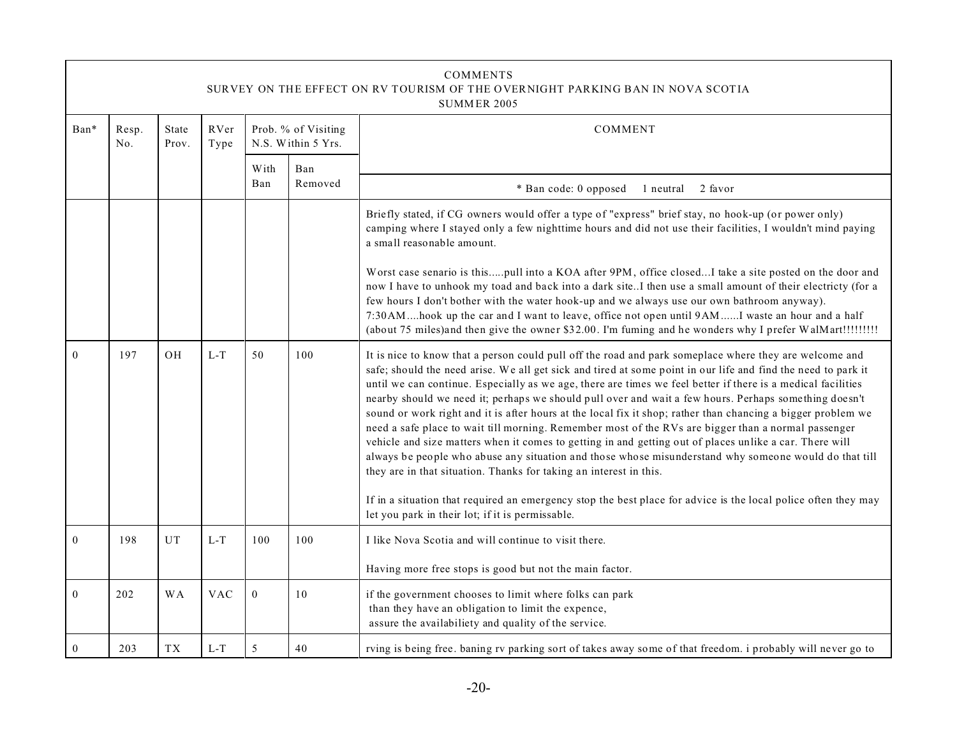|              | <b>COMMENTS</b><br>SURVEY ON THE EFFECT ON RV TOURISM OF THE OVERNIGHT PARKING BAN IN NOVA SCOTIA<br><b>SUMMER 2005</b> |                |              |              |                                           |                                                                                                                                                                                                                                                                                                                                                                                                                                                                                                                                                                                                                                                                                                                                                                                                                                                                                                                                                                   |  |  |  |  |
|--------------|-------------------------------------------------------------------------------------------------------------------------|----------------|--------------|--------------|-------------------------------------------|-------------------------------------------------------------------------------------------------------------------------------------------------------------------------------------------------------------------------------------------------------------------------------------------------------------------------------------------------------------------------------------------------------------------------------------------------------------------------------------------------------------------------------------------------------------------------------------------------------------------------------------------------------------------------------------------------------------------------------------------------------------------------------------------------------------------------------------------------------------------------------------------------------------------------------------------------------------------|--|--|--|--|
| Ban*         | Resp.<br>No.                                                                                                            | State<br>Prov. | RVer<br>Type |              | Prob. % of Visiting<br>N.S. Within 5 Yrs. | COMMENT                                                                                                                                                                                                                                                                                                                                                                                                                                                                                                                                                                                                                                                                                                                                                                                                                                                                                                                                                           |  |  |  |  |
|              |                                                                                                                         |                |              | With<br>Ban  | Ban<br>Removed                            |                                                                                                                                                                                                                                                                                                                                                                                                                                                                                                                                                                                                                                                                                                                                                                                                                                                                                                                                                                   |  |  |  |  |
|              |                                                                                                                         |                |              |              |                                           | * Ban code: 0 opposed<br>1 neutral<br>2 favor                                                                                                                                                                                                                                                                                                                                                                                                                                                                                                                                                                                                                                                                                                                                                                                                                                                                                                                     |  |  |  |  |
|              |                                                                                                                         |                |              |              |                                           | Briefly stated, if CG owners would offer a type of "express" brief stay, no hook-up (or power only)<br>camping where I stayed only a few nighttime hours and did not use their facilities, I wouldn't mind paying<br>a small reasonable amount.<br>Worst case senario is thispull into a KOA after 9PM, office closedI take a site posted on the door and                                                                                                                                                                                                                                                                                                                                                                                                                                                                                                                                                                                                         |  |  |  |  |
|              |                                                                                                                         |                |              |              |                                           | now I have to unhook my toad and back into a dark site. I then use a small amount of their electricty (for a<br>few hours I don't bother with the water hook-up and we always use our own bathroom anyway).<br>7:30 AMhook up the car and I want to leave, office not open until 9AMI waste an hour and a half<br>(about 75 miles) and then give the owner \$32.00. I'm fuming and he wonders why I prefer WalMart!!!!!!!!!                                                                                                                                                                                                                                                                                                                                                                                                                                                                                                                                       |  |  |  |  |
| $\theta$     | 197                                                                                                                     | OH             | $L-T$        | 50           | 100                                       | It is nice to know that a person could pull off the road and park someplace where they are welcome and<br>safe; should the need arise. We all get sick and tired at some point in our life and find the need to park it<br>until we can continue. Especially as we age, there are times we feel better if there is a medical facilities<br>nearby should we need it; perhaps we should pull over and wait a few hours. Perhaps something doesn't<br>sound or work right and it is after hours at the local fix it shop; rather than chancing a bigger problem we<br>need a safe place to wait till morning. Remember most of the RVs are bigger than a normal passenger<br>vehicle and size matters when it comes to getting in and getting out of places unlike a car. There will<br>always be people who abuse any situation and those whose misunderstand why someone would do that till<br>they are in that situation. Thanks for taking an interest in this. |  |  |  |  |
|              |                                                                                                                         |                |              |              |                                           | If in a situation that required an emergency stop the best place for advice is the local police often they may<br>let you park in their lot; if it is permissable.                                                                                                                                                                                                                                                                                                                                                                                                                                                                                                                                                                                                                                                                                                                                                                                                |  |  |  |  |
| $\mathbf{0}$ | 198                                                                                                                     | UT             | $L-T$        | 100          | 100                                       | I like Nova Scotia and will continue to visit there.                                                                                                                                                                                                                                                                                                                                                                                                                                                                                                                                                                                                                                                                                                                                                                                                                                                                                                              |  |  |  |  |
|              |                                                                                                                         |                |              |              |                                           | Having more free stops is good but not the main factor.                                                                                                                                                                                                                                                                                                                                                                                                                                                                                                                                                                                                                                                                                                                                                                                                                                                                                                           |  |  |  |  |
| $\mathbf{0}$ | 202                                                                                                                     | <b>WA</b>      | <b>VAC</b>   | $\mathbf{0}$ | 10                                        | if the government chooses to limit where folks can park<br>than they have an obligation to limit the expence,<br>assure the availabiliety and quality of the service.                                                                                                                                                                                                                                                                                                                                                                                                                                                                                                                                                                                                                                                                                                                                                                                             |  |  |  |  |
| $\mathbf{0}$ | 203                                                                                                                     | <b>TX</b>      | $L-T$        | 5            | 40                                        | rving is being free. baning rv parking sort of takes away some of that freedom. i probably will never go to                                                                                                                                                                                                                                                                                                                                                                                                                                                                                                                                                                                                                                                                                                                                                                                                                                                       |  |  |  |  |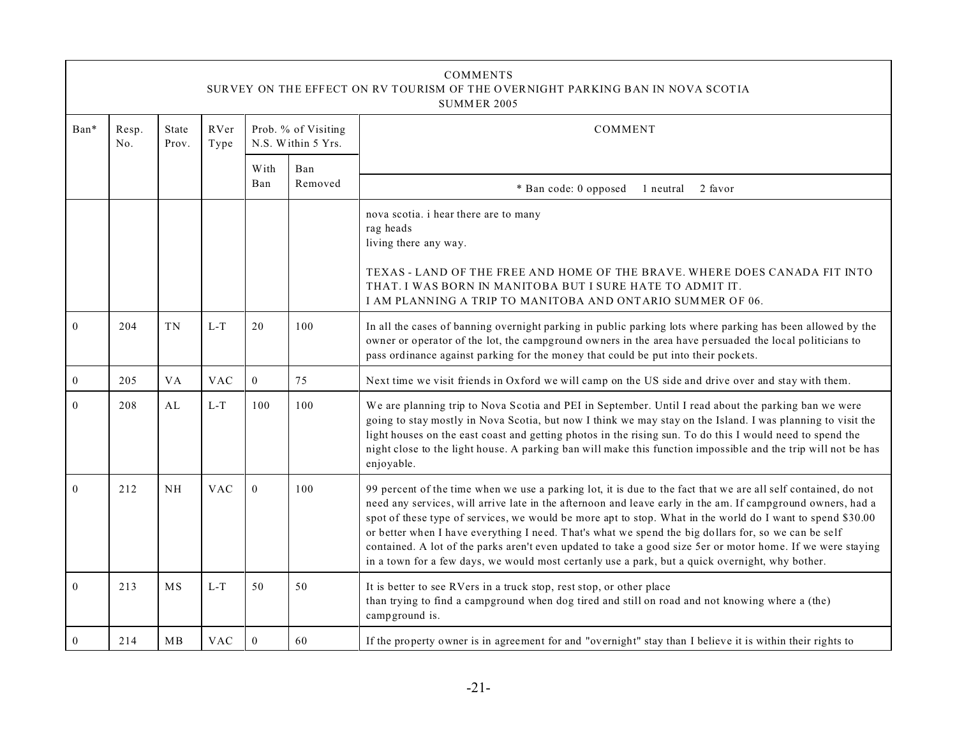|                | <b>COMMENTS</b><br>SURVEY ON THE EFFECT ON RV TOURISM OF THE OVERNIGHT PARKING BAN IN NOVA SCOTIA<br><b>SUMMER 2005</b> |                    |              |                                           |     |                                                                                                                                                                                                                                                                                                                                                                                                                                                                                                                                                                                                                                                                       |  |  |  |  |
|----------------|-------------------------------------------------------------------------------------------------------------------------|--------------------|--------------|-------------------------------------------|-----|-----------------------------------------------------------------------------------------------------------------------------------------------------------------------------------------------------------------------------------------------------------------------------------------------------------------------------------------------------------------------------------------------------------------------------------------------------------------------------------------------------------------------------------------------------------------------------------------------------------------------------------------------------------------------|--|--|--|--|
| Ban*           | Resp.<br>No.                                                                                                            | State<br>Prov.     | RVer<br>Type | Prob. % of Visiting<br>N.S. Within 5 Yrs. |     | <b>COMMENT</b>                                                                                                                                                                                                                                                                                                                                                                                                                                                                                                                                                                                                                                                        |  |  |  |  |
|                |                                                                                                                         | With<br>Ban<br>Ban | Removed      |                                           |     |                                                                                                                                                                                                                                                                                                                                                                                                                                                                                                                                                                                                                                                                       |  |  |  |  |
|                |                                                                                                                         |                    |              |                                           |     | * Ban code: 0 opposed<br>1 neutral<br>2 favor<br>nova scotia. i hear there are to many<br>rag heads<br>living there any way.<br>TEXAS - LAND OF THE FREE AND HOME OF THE BRAVE. WHERE DOES CANADA FIT INTO<br>THAT. I WAS BORN IN MANITOBA BUT I SURE HATE TO ADMIT IT.<br>I AM PLANNING A TRIP TO MANITOBA AND ONTARIO SUMMER OF 06.                                                                                                                                                                                                                                                                                                                                 |  |  |  |  |
| $\mathbf{0}$   | 204                                                                                                                     | TN                 | $L-T$        | 20                                        | 100 | In all the cases of banning overnight parking in public parking lots where parking has been allowed by the<br>owner or operator of the lot, the campground owners in the area have persuaded the local politicians to<br>pass ordinance against parking for the money that could be put into their pockets.                                                                                                                                                                                                                                                                                                                                                           |  |  |  |  |
| $\overline{0}$ | 205                                                                                                                     | <b>VA</b>          | <b>VAC</b>   | $\theta$                                  | 75  | Next time we visit friends in Oxford we will camp on the US side and drive over and stay with them.                                                                                                                                                                                                                                                                                                                                                                                                                                                                                                                                                                   |  |  |  |  |
| $\mathbf{0}$   | 208                                                                                                                     | AL                 | $L-T$        | 100                                       | 100 | We are planning trip to Nova Scotia and PEI in September. Until I read about the parking ban we were<br>going to stay mostly in Nova Scotia, but now I think we may stay on the Island. I was planning to visit the<br>light houses on the east coast and getting photos in the rising sun. To do this I would need to spend the<br>night close to the light house. A parking ban will make this function impossible and the trip will not be has<br>enjoyable.                                                                                                                                                                                                       |  |  |  |  |
| $\theta$       | 212                                                                                                                     | <b>NH</b>          | <b>VAC</b>   | $\Omega$                                  | 100 | 99 percent of the time when we use a parking lot, it is due to the fact that we are all self contained, do not<br>need any services, will arrive late in the afternoon and leave early in the am. If campground owners, had a<br>spot of these type of services, we would be more apt to stop. What in the world do I want to spend \$30.00<br>or better when I have everything I need. That's what we spend the big dollars for, so we can be self<br>contained. A lot of the parks aren't even updated to take a good size 5er or motor home. If we were staying<br>in a town for a few days, we would most certanly use a park, but a quick overnight, why bother. |  |  |  |  |
| $\mathbf{0}$   | 213                                                                                                                     | <b>MS</b>          | $L-T$        | 50                                        | 50  | It is better to see RVers in a truck stop, rest stop, or other place<br>than trying to find a campground when dog tired and still on road and not knowing where a (the)<br>campground is.                                                                                                                                                                                                                                                                                                                                                                                                                                                                             |  |  |  |  |
| $\theta$       | 214                                                                                                                     | MB                 | <b>VAC</b>   | $\theta$                                  | 60  | If the property owner is in agreement for and "overnight" stay than I believe it is within their rights to                                                                                                                                                                                                                                                                                                                                                                                                                                                                                                                                                            |  |  |  |  |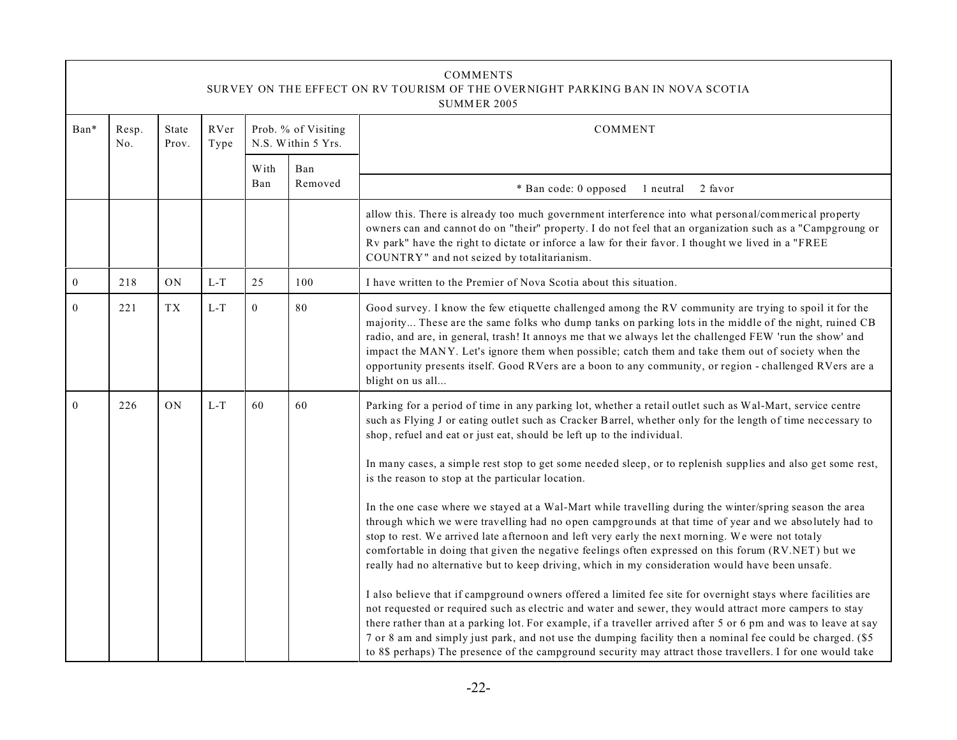|                  | <b>COMMENTS</b><br>SURVEY ON THE EFFECT ON RV TOURISM OF THE OVERNIGHT PARKING BAN IN NOVA SCOTIA<br><b>SUMMER 2005</b> |                  |              |                    |                                           |                                                                                                                                                                                                                                                                                                                                                                                                                                                                                                                                                                                                                                                                                                                                                                                                                                                                                                                                                                                                             |  |  |  |  |
|------------------|-------------------------------------------------------------------------------------------------------------------------|------------------|--------------|--------------------|-------------------------------------------|-------------------------------------------------------------------------------------------------------------------------------------------------------------------------------------------------------------------------------------------------------------------------------------------------------------------------------------------------------------------------------------------------------------------------------------------------------------------------------------------------------------------------------------------------------------------------------------------------------------------------------------------------------------------------------------------------------------------------------------------------------------------------------------------------------------------------------------------------------------------------------------------------------------------------------------------------------------------------------------------------------------|--|--|--|--|
| Ban*             | Resp.<br>No.                                                                                                            | State<br>Prov.   | RVer<br>Type |                    | Prob. % of Visiting<br>N.S. Within 5 Yrs. | <b>COMMENT</b>                                                                                                                                                                                                                                                                                                                                                                                                                                                                                                                                                                                                                                                                                                                                                                                                                                                                                                                                                                                              |  |  |  |  |
|                  |                                                                                                                         |                  |              | <b>With</b><br>Ban | Ban<br>Removed                            |                                                                                                                                                                                                                                                                                                                                                                                                                                                                                                                                                                                                                                                                                                                                                                                                                                                                                                                                                                                                             |  |  |  |  |
|                  |                                                                                                                         |                  |              |                    |                                           | * Ban code: 0 opposed<br>1 neutral 2 favor                                                                                                                                                                                                                                                                                                                                                                                                                                                                                                                                                                                                                                                                                                                                                                                                                                                                                                                                                                  |  |  |  |  |
|                  |                                                                                                                         |                  |              |                    |                                           | allow this. There is already too much government interference into what personal/commerical property<br>owners can and cannot do on "their" property. I do not feel that an organization such as a "Campgroung or<br>Rv park" have the right to dictate or inforce a law for their favor. I thought we lived in a "FREE<br>COUNTRY" and not seized by totalitarianism.                                                                                                                                                                                                                                                                                                                                                                                                                                                                                                                                                                                                                                      |  |  |  |  |
| $\boldsymbol{0}$ | 218                                                                                                                     | $\rm ON$         | $L-T$        | 25                 | 100                                       | I have written to the Premier of Nova Scotia about this situation.                                                                                                                                                                                                                                                                                                                                                                                                                                                                                                                                                                                                                                                                                                                                                                                                                                                                                                                                          |  |  |  |  |
| $\theta$         | 221                                                                                                                     | ${\rm T}{\rm X}$ | $L-T$        | $\boldsymbol{0}$   | 80                                        | Good survey. I know the few etiquette challenged among the RV community are trying to spoil it for the<br>majority These are the same folks who dump tanks on parking lots in the middle of the night, ruined CB<br>radio, and are, in general, trash! It annoys me that we always let the challenged FEW 'run the show' and<br>impact the MANY. Let's ignore them when possible; catch them and take them out of society when the<br>opportunity presents itself. Good RVers are a boon to any community, or region - challenged RVers are a<br>blight on us all                                                                                                                                                                                                                                                                                                                                                                                                                                           |  |  |  |  |
| $\theta$         | 226                                                                                                                     | ON               | $L-T$        | 60                 | 60                                        | Parking for a period of time in any parking lot, whether a retail outlet such as Wal-Mart, service centre<br>such as Flying J or eating outlet such as Cracker Barrel, whether only for the length of time neccessary to<br>shop, refuel and eat or just eat, should be left up to the individual.<br>In many cases, a simple rest stop to get some needed sleep, or to replenish supplies and also get some rest,<br>is the reason to stop at the particular location.<br>In the one case where we stayed at a Wal-Mart while travelling during the winter/spring season the area<br>through which we were travelling had no open campgrounds at that time of year and we absolutely had to<br>stop to rest. We arrived late afternoon and left very early the next morning. We were not totaly<br>comfortable in doing that given the negative feelings often expressed on this forum (RV.NET) but we<br>really had no alternative but to keep driving, which in my consideration would have been unsafe. |  |  |  |  |
|                  |                                                                                                                         |                  |              |                    |                                           | I also believe that if campground owners offered a limited fee site for overnight stays where facilities are<br>not requested or required such as electric and water and sewer, they would attract more campers to stay<br>there rather than at a parking lot. For example, if a traveller arrived after 5 or 6 pm and was to leave at say<br>7 or 8 am and simply just park, and not use the dumping facility then a nominal fee could be charged. (\$5<br>to 8\$ perhaps) The presence of the campground security may attract those travellers. I for one would take                                                                                                                                                                                                                                                                                                                                                                                                                                      |  |  |  |  |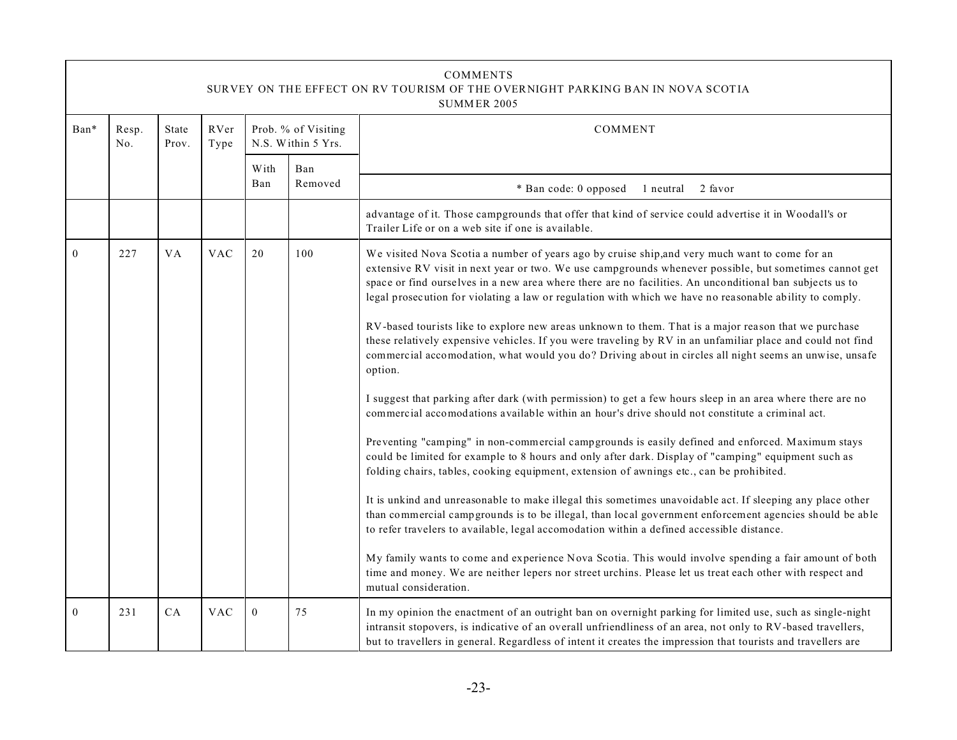|              | <b>COMMENTS</b><br>SURVEY ON THE EFFECT ON RV TOURISM OF THE OVERNIGHT PARKING BAN IN NOVA SCOTIA<br><b>SUMMER 2005</b> |                |              |              |                                           |                                                                                                                                                                                                                                                                                                                                                                                                                                                                                                                                                                                                                                                                                                                                                                                                                                                                                                                                                                                                                                                                                                                                                                                                                                                                                                                                                                                                                                                                                                                                                                                                                         |  |  |  |  |
|--------------|-------------------------------------------------------------------------------------------------------------------------|----------------|--------------|--------------|-------------------------------------------|-------------------------------------------------------------------------------------------------------------------------------------------------------------------------------------------------------------------------------------------------------------------------------------------------------------------------------------------------------------------------------------------------------------------------------------------------------------------------------------------------------------------------------------------------------------------------------------------------------------------------------------------------------------------------------------------------------------------------------------------------------------------------------------------------------------------------------------------------------------------------------------------------------------------------------------------------------------------------------------------------------------------------------------------------------------------------------------------------------------------------------------------------------------------------------------------------------------------------------------------------------------------------------------------------------------------------------------------------------------------------------------------------------------------------------------------------------------------------------------------------------------------------------------------------------------------------------------------------------------------------|--|--|--|--|
| Ban*         | Resp.<br>No.                                                                                                            | State<br>Prov. | RVer<br>Type |              | Prob. % of Visiting<br>N.S. Within 5 Yrs. | COMMENT                                                                                                                                                                                                                                                                                                                                                                                                                                                                                                                                                                                                                                                                                                                                                                                                                                                                                                                                                                                                                                                                                                                                                                                                                                                                                                                                                                                                                                                                                                                                                                                                                 |  |  |  |  |
|              |                                                                                                                         |                |              | With<br>Ban  | Ban<br>Removed                            |                                                                                                                                                                                                                                                                                                                                                                                                                                                                                                                                                                                                                                                                                                                                                                                                                                                                                                                                                                                                                                                                                                                                                                                                                                                                                                                                                                                                                                                                                                                                                                                                                         |  |  |  |  |
|              |                                                                                                                         |                |              |              |                                           | * Ban code: 0 opposed 1 neutral 2 favor                                                                                                                                                                                                                                                                                                                                                                                                                                                                                                                                                                                                                                                                                                                                                                                                                                                                                                                                                                                                                                                                                                                                                                                                                                                                                                                                                                                                                                                                                                                                                                                 |  |  |  |  |
|              |                                                                                                                         |                |              |              |                                           | advantage of it. Those campgrounds that offer that kind of service could advertise it in Woodall's or<br>Trailer Life or on a web site if one is available.                                                                                                                                                                                                                                                                                                                                                                                                                                                                                                                                                                                                                                                                                                                                                                                                                                                                                                                                                                                                                                                                                                                                                                                                                                                                                                                                                                                                                                                             |  |  |  |  |
| $\theta$     | 227                                                                                                                     | VA             | <b>VAC</b>   | 20           | 100                                       | We visited Nova Scotia a number of years ago by cruise ship, and very much want to come for an<br>extensive RV visit in next year or two. We use campgrounds whenever possible, but sometimes cannot get<br>space or find ourselves in a new area where there are no facilities. An unconditional ban subjects us to<br>legal prosecution for violating a law or regulation with which we have no reasonable ability to comply.<br>RV-based tourists like to explore new areas unknown to them. That is a major reason that we purchase<br>these relatively expensive vehicles. If you were traveling by RV in an unfamiliar place and could not find<br>commercial accomodation, what would you do? Driving about in circles all night seems an unwise, unsafe<br>option.<br>I suggest that parking after dark (with permission) to get a few hours sleep in an area where there are no<br>commercial accomodations available within an hour's drive should not constitute a criminal act.<br>Preventing "camping" in non-commercial campgrounds is easily defined and enforced. Maximum stays<br>could be limited for example to 8 hours and only after dark. Display of "camping" equipment such as<br>folding chairs, tables, cooking equipment, extension of awnings etc., can be prohibited.<br>It is unkind and unreasonable to make illegal this sometimes unavoidable act. If sleeping any place other<br>than commercial campgrounds is to be illegal, than local government enforcement agencies should be able<br>to refer travelers to available, legal accomodation within a defined accessible distance. |  |  |  |  |
|              |                                                                                                                         |                |              |              |                                           | My family wants to come and experience Nova Scotia. This would involve spending a fair amount of both<br>time and money. We are neither lepers nor street urchins. Please let us treat each other with respect and<br>mutual consideration.                                                                                                                                                                                                                                                                                                                                                                                                                                                                                                                                                                                                                                                                                                                                                                                                                                                                                                                                                                                                                                                                                                                                                                                                                                                                                                                                                                             |  |  |  |  |
| $\mathbf{0}$ | 231                                                                                                                     | CA             | <b>VAC</b>   | $\mathbf{0}$ | 75                                        | In my opinion the enactment of an outright ban on overnight parking for limited use, such as single-night<br>intransit stopovers, is indicative of an overall unfriendliness of an area, not only to RV-based travellers,<br>but to travellers in general. Regardless of intent it creates the impression that tourists and travellers are                                                                                                                                                                                                                                                                                                                                                                                                                                                                                                                                                                                                                                                                                                                                                                                                                                                                                                                                                                                                                                                                                                                                                                                                                                                                              |  |  |  |  |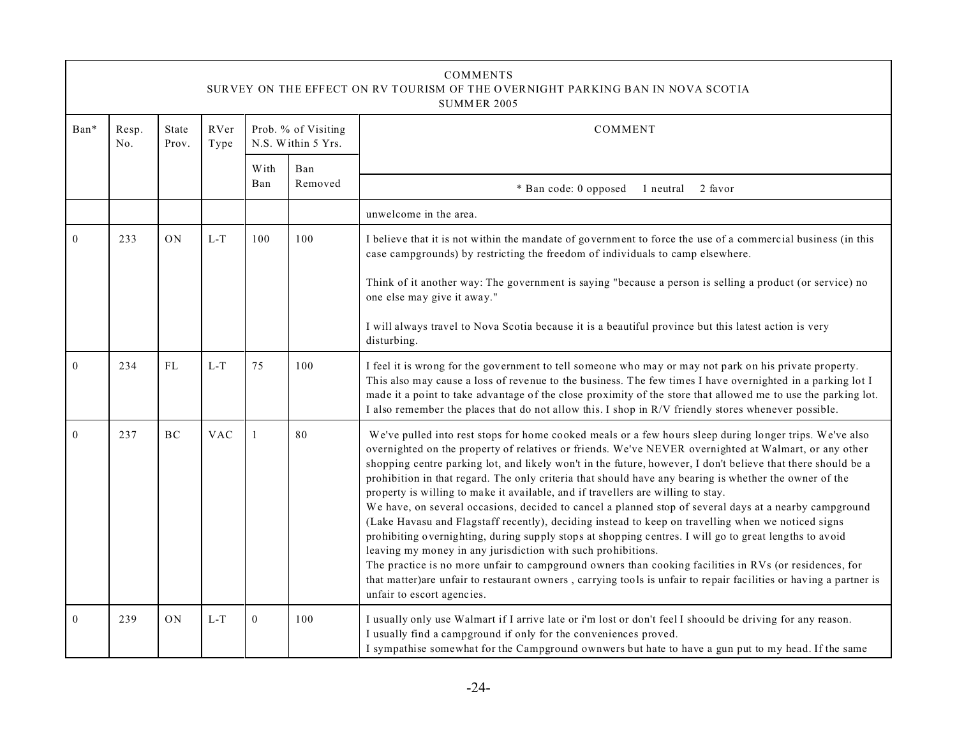|              | <b>COMMENTS</b><br>SURVEY ON THE EFFECT ON RV TOURISM OF THE OVERNIGHT PARKING BAN IN NOVA SCOTIA<br><b>SUMMER 2005</b> |                       |              |                                           |                |                                                                                                                                                                                                                                                                                                                                                                                                                                                                                                                                                                                                                                                                                                                                                                                                                                                                                                                                                                                                                                                                                                                                                                                        |  |  |  |  |
|--------------|-------------------------------------------------------------------------------------------------------------------------|-----------------------|--------------|-------------------------------------------|----------------|----------------------------------------------------------------------------------------------------------------------------------------------------------------------------------------------------------------------------------------------------------------------------------------------------------------------------------------------------------------------------------------------------------------------------------------------------------------------------------------------------------------------------------------------------------------------------------------------------------------------------------------------------------------------------------------------------------------------------------------------------------------------------------------------------------------------------------------------------------------------------------------------------------------------------------------------------------------------------------------------------------------------------------------------------------------------------------------------------------------------------------------------------------------------------------------|--|--|--|--|
| Ban*         | Resp.<br>No.                                                                                                            | <b>State</b><br>Prov. | RVer<br>Type | Prob. % of Visiting<br>N.S. Within 5 Yrs. |                | COMMENT                                                                                                                                                                                                                                                                                                                                                                                                                                                                                                                                                                                                                                                                                                                                                                                                                                                                                                                                                                                                                                                                                                                                                                                |  |  |  |  |
|              |                                                                                                                         |                       |              | With<br>Ban                               | Ban<br>Removed |                                                                                                                                                                                                                                                                                                                                                                                                                                                                                                                                                                                                                                                                                                                                                                                                                                                                                                                                                                                                                                                                                                                                                                                        |  |  |  |  |
|              |                                                                                                                         |                       |              |                                           |                | * Ban code: 0 opposed<br>1 neutral<br>2 favor                                                                                                                                                                                                                                                                                                                                                                                                                                                                                                                                                                                                                                                                                                                                                                                                                                                                                                                                                                                                                                                                                                                                          |  |  |  |  |
|              |                                                                                                                         |                       |              |                                           |                | unwelcome in the area.                                                                                                                                                                                                                                                                                                                                                                                                                                                                                                                                                                                                                                                                                                                                                                                                                                                                                                                                                                                                                                                                                                                                                                 |  |  |  |  |
| $\theta$     | 233                                                                                                                     | ON                    | $L-T$        | 100                                       | 100            | I believe that it is not within the mandate of government to force the use of a commercial business (in this<br>case campgrounds) by restricting the freedom of individuals to camp elsewhere.                                                                                                                                                                                                                                                                                                                                                                                                                                                                                                                                                                                                                                                                                                                                                                                                                                                                                                                                                                                         |  |  |  |  |
|              |                                                                                                                         |                       |              |                                           |                | Think of it another way: The government is saying "because a person is selling a product (or service) no<br>one else may give it away."                                                                                                                                                                                                                                                                                                                                                                                                                                                                                                                                                                                                                                                                                                                                                                                                                                                                                                                                                                                                                                                |  |  |  |  |
|              |                                                                                                                         |                       |              |                                           |                | I will always travel to Nova Scotia because it is a beautiful province but this latest action is very<br>disturbing.                                                                                                                                                                                                                                                                                                                                                                                                                                                                                                                                                                                                                                                                                                                                                                                                                                                                                                                                                                                                                                                                   |  |  |  |  |
| $\mathbf{0}$ | 234                                                                                                                     | FL                    | $L-T$        | 75                                        | 100            | I feel it is wrong for the government to tell someone who may or may not park on his private property.<br>This also may cause a loss of revenue to the business. The few times I have overnighted in a parking lot I<br>made it a point to take advantage of the close proximity of the store that allowed me to use the parking lot.<br>I also remember the places that do not allow this. I shop in R/V friendly stores whenever possible.                                                                                                                                                                                                                                                                                                                                                                                                                                                                                                                                                                                                                                                                                                                                           |  |  |  |  |
| $\theta$     | 237                                                                                                                     | <b>BC</b>             | <b>VAC</b>   | $\mathbf{1}$                              | 80             | We've pulled into rest stops for home cooked meals or a few hours sleep during longer trips. We've also<br>overnighted on the property of relatives or friends. We've NEVER overnighted at Walmart, or any other<br>shopping centre parking lot, and likely won't in the future, however, I don't believe that there should be a<br>prohibition in that regard. The only criteria that should have any bearing is whether the owner of the<br>property is willing to make it available, and if travellers are willing to stay.<br>We have, on several occasions, decided to cancel a planned stop of several days at a nearby campground<br>(Lake Havasu and Flagstaff recently), deciding instead to keep on travelling when we noticed signs<br>prohibiting overnighting, during supply stops at shopping centres. I will go to great lengths to avoid<br>leaving my money in any jurisdiction with such prohibitions.<br>The practice is no more unfair to campground owners than cooking facilities in RVs (or residences, for<br>that matter) are unfair to restaurant owners, carrying tools is unfair to repair facilities or having a partner is<br>unfair to escort agencies. |  |  |  |  |
| $\mathbf{0}$ | 239                                                                                                                     | ON                    | $L-T$        | $\boldsymbol{0}$                          | 100            | I usually only use Walmart if I arrive late or i'm lost or don't feel I shoould be driving for any reason.<br>I usually find a campground if only for the conveniences proved.<br>I sympathise somewhat for the Campground ownwers but hate to have a gun put to my head. If the same                                                                                                                                                                                                                                                                                                                                                                                                                                                                                                                                                                                                                                                                                                                                                                                                                                                                                                  |  |  |  |  |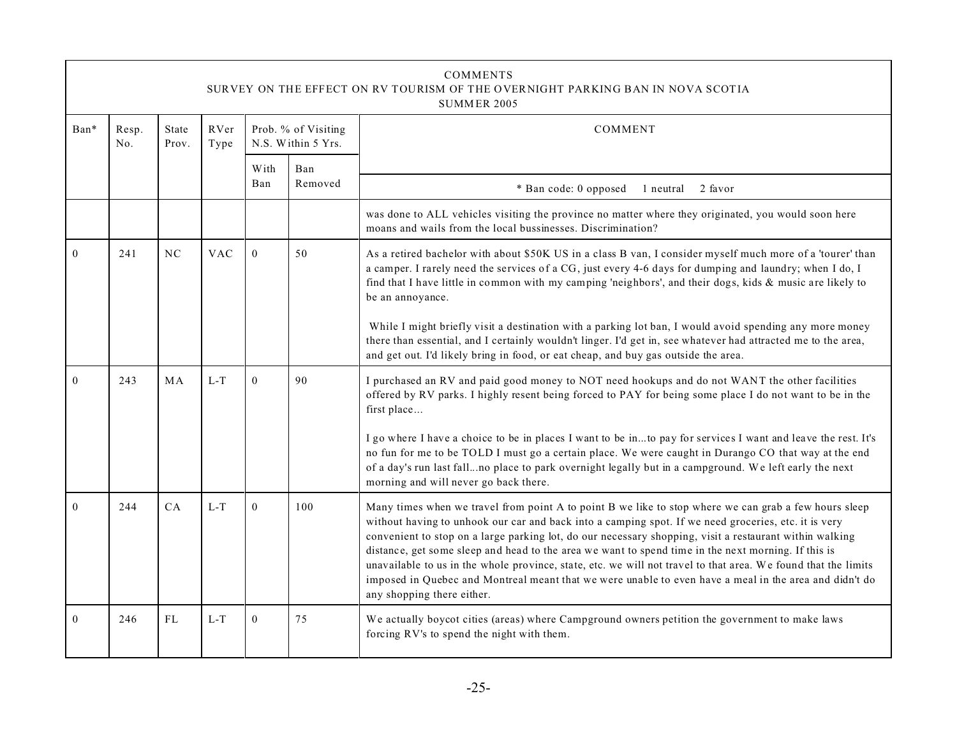|              | <b>COMMENTS</b><br>SURVEY ON THE EFFECT ON RV TOURISM OF THE OVERNIGHT PARKING BAN IN NOVA SCOTIA<br><b>SUMMER 2005</b> |                       |              |              |                                           |                                                                                                                                                                                                                                                                                                                                                                                                                                                                                                                                                                                                                                                                                           |  |  |  |  |
|--------------|-------------------------------------------------------------------------------------------------------------------------|-----------------------|--------------|--------------|-------------------------------------------|-------------------------------------------------------------------------------------------------------------------------------------------------------------------------------------------------------------------------------------------------------------------------------------------------------------------------------------------------------------------------------------------------------------------------------------------------------------------------------------------------------------------------------------------------------------------------------------------------------------------------------------------------------------------------------------------|--|--|--|--|
| Ban*         | Resp.<br>No.                                                                                                            | <b>State</b><br>Prov. | RVer<br>Type |              | Prob. % of Visiting<br>N.S. Within 5 Yrs. | <b>COMMENT</b>                                                                                                                                                                                                                                                                                                                                                                                                                                                                                                                                                                                                                                                                            |  |  |  |  |
|              |                                                                                                                         |                       |              | With<br>Ban  | Ban<br>Removed                            |                                                                                                                                                                                                                                                                                                                                                                                                                                                                                                                                                                                                                                                                                           |  |  |  |  |
|              |                                                                                                                         |                       |              |              |                                           | * Ban code: 0 opposed<br>1 neutral<br>2 favor                                                                                                                                                                                                                                                                                                                                                                                                                                                                                                                                                                                                                                             |  |  |  |  |
|              |                                                                                                                         |                       |              |              |                                           | was done to ALL vehicles visiting the province no matter where they originated, you would soon here<br>moans and wails from the local bussinesses. Discrimination?                                                                                                                                                                                                                                                                                                                                                                                                                                                                                                                        |  |  |  |  |
| $\mathbf{0}$ | 241                                                                                                                     | NC                    | <b>VAC</b>   | $\mathbf{0}$ | 50                                        | As a retired bachelor with about \$50K US in a class B van, I consider myself much more of a 'tourer' than<br>a camper. I rarely need the services of a CG, just every 4-6 days for dumping and laundry; when I do, I<br>find that I have little in common with my camping 'neighbors', and their dogs, kids & music are likely to<br>be an annoyance.                                                                                                                                                                                                                                                                                                                                    |  |  |  |  |
|              |                                                                                                                         |                       |              |              |                                           | While I might briefly visit a destination with a parking lot ban, I would avoid spending any more money<br>there than essential, and I certainly wouldn't linger. I'd get in, see whatever had attracted me to the area,<br>and get out. I'd likely bring in food, or eat cheap, and buy gas outside the area.                                                                                                                                                                                                                                                                                                                                                                            |  |  |  |  |
| $\mathbf{0}$ | 243                                                                                                                     | M A                   | $L-T$        | $\theta$     | 90                                        | I purchased an RV and paid good money to NOT need hookups and do not WANT the other facilities<br>offered by RV parks. I highly resent being forced to PAY for being some place I do not want to be in the<br>first place                                                                                                                                                                                                                                                                                                                                                                                                                                                                 |  |  |  |  |
|              |                                                                                                                         |                       |              |              |                                           | I go where I have a choice to be in places I want to be into pay for services I want and leave the rest. It's<br>no fun for me to be TOLD I must go a certain place. We were caught in Durango CO that way at the end<br>of a day's run last fallno place to park overnight legally but in a campground. We left early the next<br>morning and will never go back there.                                                                                                                                                                                                                                                                                                                  |  |  |  |  |
| $\mathbf{0}$ | 244                                                                                                                     | CA                    | $L-T$        | $\mathbf{0}$ | 100                                       | Many times when we travel from point A to point B we like to stop where we can grab a few hours sleep<br>without having to unhook our car and back into a camping spot. If we need groceries, etc. it is very<br>convenient to stop on a large parking lot, do our necessary shopping, visit a restaurant within walking<br>distance, get some sleep and head to the area we want to spend time in the next morning. If this is<br>unavailable to us in the whole province, state, etc. we will not travel to that area. We found that the limits<br>imposed in Quebec and Montreal meant that we were unable to even have a meal in the area and didn't do<br>any shopping there either. |  |  |  |  |
| $\mathbf{0}$ | 246                                                                                                                     | FL                    | $L-T$        | $\mathbf{0}$ | 75                                        | We actually boycot cities (areas) where Campground owners petition the government to make laws<br>forcing RV's to spend the night with them.                                                                                                                                                                                                                                                                                                                                                                                                                                                                                                                                              |  |  |  |  |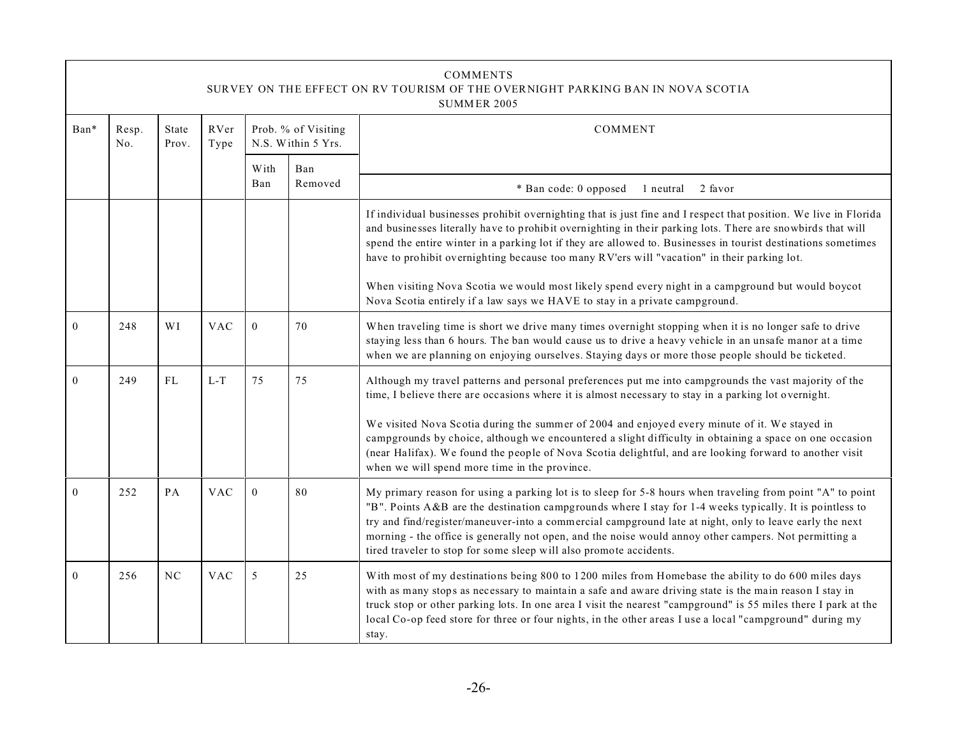|              | <b>COMMENTS</b><br>SURVEY ON THE EFFECT ON RV TOURISM OF THE OVERNIGHT PARKING BAN IN NOVA SCOTIA<br><b>SUMMER 2005</b> |                    |              |                                         |                                           |                                                                                                                                                                                                                                                                                                                                                                                                                                                                                                                  |  |  |  |  |  |
|--------------|-------------------------------------------------------------------------------------------------------------------------|--------------------|--------------|-----------------------------------------|-------------------------------------------|------------------------------------------------------------------------------------------------------------------------------------------------------------------------------------------------------------------------------------------------------------------------------------------------------------------------------------------------------------------------------------------------------------------------------------------------------------------------------------------------------------------|--|--|--|--|--|
| Ban*         | Resp.<br>No.                                                                                                            | State<br>Prov.     | RVer<br>Type |                                         | Prob. % of Visiting<br>N.S. Within 5 Yrs. | <b>COMMENT</b>                                                                                                                                                                                                                                                                                                                                                                                                                                                                                                   |  |  |  |  |  |
|              |                                                                                                                         | With<br>Ban<br>Ban | Removed      |                                         |                                           |                                                                                                                                                                                                                                                                                                                                                                                                                                                                                                                  |  |  |  |  |  |
|              |                                                                                                                         |                    |              | * Ban code: 0 opposed 1 neutral 2 favor |                                           |                                                                                                                                                                                                                                                                                                                                                                                                                                                                                                                  |  |  |  |  |  |
|              |                                                                                                                         |                    |              |                                         |                                           | If individual businesses prohibit overnighting that is just fine and I respect that position. We live in Florida<br>and businesses literally have to prohibit overnighting in their parking lots. There are snowbirds that will<br>spend the entire winter in a parking lot if they are allowed to. Businesses in tourist destinations sometimes<br>have to prohibit overnighting because too many RV'ers will "vacation" in their parking lot.                                                                  |  |  |  |  |  |
|              |                                                                                                                         |                    |              |                                         |                                           | When visiting Nova Scotia we would most likely spend every night in a campground but would boycot<br>Nova Scotia entirely if a law says we HAVE to stay in a private campground.                                                                                                                                                                                                                                                                                                                                 |  |  |  |  |  |
| $\mathbf{0}$ | 248                                                                                                                     | WI                 | <b>VAC</b>   | $\boldsymbol{0}$                        | 70                                        | When traveling time is short we drive many times overnight stopping when it is no longer safe to drive<br>staying less than 6 hours. The ban would cause us to drive a heavy vehicle in an unsafe manor at a time<br>when we are planning on enjoying ourselves. Staying days or more those people should be ticketed.                                                                                                                                                                                           |  |  |  |  |  |
| $\Omega$     | 249                                                                                                                     | FL                 | $L-T$        | 75                                      | 75                                        | Although my travel patterns and personal preferences put me into campgrounds the vast majority of the<br>time, I believe there are occasions where it is almost necessary to stay in a parking lot overnight.                                                                                                                                                                                                                                                                                                    |  |  |  |  |  |
|              |                                                                                                                         |                    |              |                                         |                                           | We visited Nova Scotia during the summer of 2004 and enjoyed every minute of it. We stayed in<br>campgrounds by choice, although we encountered a slight difficulty in obtaining a space on one occasion<br>(near Halifax). We found the people of Nova Scotia delightful, and are looking forward to another visit<br>when we will spend more time in the province.                                                                                                                                             |  |  |  |  |  |
| $\Omega$     | 252                                                                                                                     | PA                 | <b>VAC</b>   | $\theta$                                | 80                                        | My primary reason for using a parking lot is to sleep for 5-8 hours when traveling from point "A" to point<br>"B". Points A&B are the destination campgrounds where I stay for 1-4 weeks typically. It is pointless to<br>try and find/register/maneuver-into a commercial campground late at night, only to leave early the next<br>morning - the office is generally not open, and the noise would annoy other campers. Not permitting a<br>tired traveler to stop for some sleep will also promote accidents. |  |  |  |  |  |
| $\theta$     | 256                                                                                                                     | NC                 | <b>VAC</b>   | 5                                       | 25                                        | With most of my destinations being 800 to 1200 miles from Homebase the ability to do 600 miles days<br>with as many stops as necessary to maintain a safe and aware driving state is the main reason I stay in<br>truck stop or other parking lots. In one area I visit the nearest "campground" is 55 miles there I park at the<br>local Co-op feed store for three or four nights, in the other areas I use a local "campground" during my<br>stay.                                                            |  |  |  |  |  |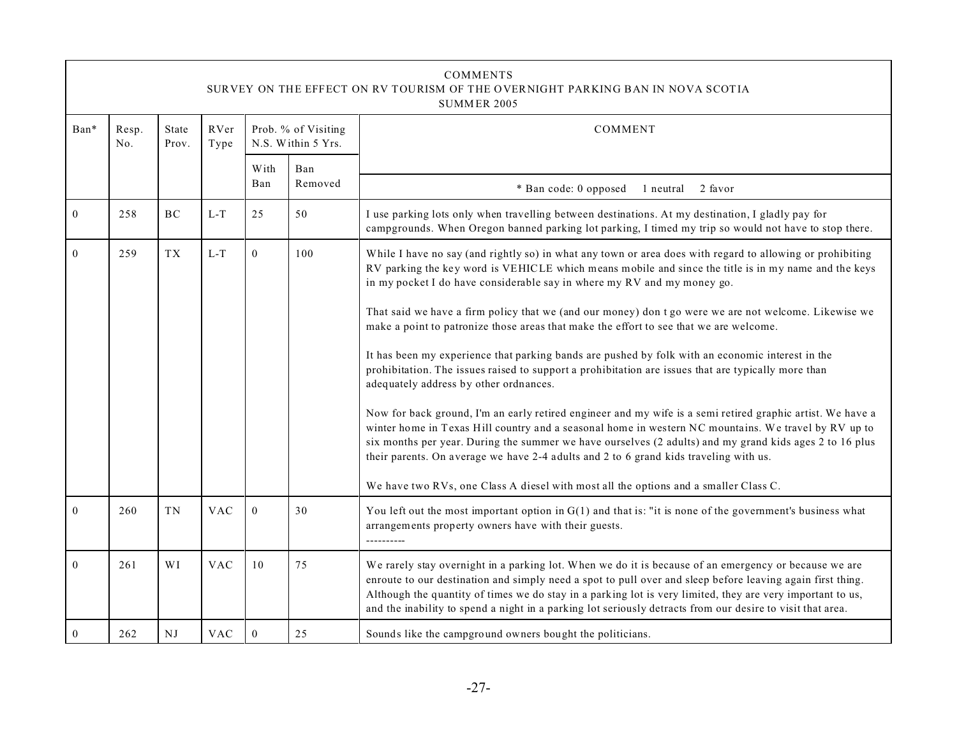|              | <b>COMMENTS</b><br>SURVEY ON THE EFFECT ON RV TOURISM OF THE OVERNIGHT PARKING BAN IN NOVA SCOTIA<br><b>SUMMER 2005</b> |                |              |              |                                           |                                                                                                                                                                                                                                                                                                                                                                                                                                                                                                                                                                                                                                                                                                                                                                                                                                                                                                                                                                                                                                                                                                                                                                                                                                                                        |  |  |  |  |
|--------------|-------------------------------------------------------------------------------------------------------------------------|----------------|--------------|--------------|-------------------------------------------|------------------------------------------------------------------------------------------------------------------------------------------------------------------------------------------------------------------------------------------------------------------------------------------------------------------------------------------------------------------------------------------------------------------------------------------------------------------------------------------------------------------------------------------------------------------------------------------------------------------------------------------------------------------------------------------------------------------------------------------------------------------------------------------------------------------------------------------------------------------------------------------------------------------------------------------------------------------------------------------------------------------------------------------------------------------------------------------------------------------------------------------------------------------------------------------------------------------------------------------------------------------------|--|--|--|--|
| Ban*         | Resp.<br>No.                                                                                                            | State<br>Prov. | RVer<br>Type |              | Prob. % of Visiting<br>N.S. Within 5 Yrs. | <b>COMMENT</b>                                                                                                                                                                                                                                                                                                                                                                                                                                                                                                                                                                                                                                                                                                                                                                                                                                                                                                                                                                                                                                                                                                                                                                                                                                                         |  |  |  |  |
|              |                                                                                                                         |                |              | With<br>Ban  | Ban<br>Removed                            | * Ban code: 0 opposed<br>1 neutral 2 favor                                                                                                                                                                                                                                                                                                                                                                                                                                                                                                                                                                                                                                                                                                                                                                                                                                                                                                                                                                                                                                                                                                                                                                                                                             |  |  |  |  |
| $\mathbf{0}$ | 258                                                                                                                     | <b>BC</b>      | $L-T$        | 25           | 50                                        | I use parking lots only when travelling between destinations. At my destination, I gladly pay for<br>campgrounds. When Oregon banned parking lot parking, I timed my trip so would not have to stop there.                                                                                                                                                                                                                                                                                                                                                                                                                                                                                                                                                                                                                                                                                                                                                                                                                                                                                                                                                                                                                                                             |  |  |  |  |
| $\theta$     | 259                                                                                                                     | <b>TX</b>      | $L-T$        | $\mathbf{0}$ | 100                                       | While I have no say (and rightly so) in what any town or area does with regard to allowing or prohibiting<br>RV parking the key word is VEHICLE which means mobile and since the title is in my name and the keys<br>in my pocket I do have considerable say in where my RV and my money go.<br>That said we have a firm policy that we (and our money) don t go were we are not welcome. Likewise we<br>make a point to patronize those areas that make the effort to see that we are welcome.<br>It has been my experience that parking bands are pushed by folk with an economic interest in the<br>prohibitation. The issues raised to support a prohibitation are issues that are typically more than<br>adequately address by other ordnances.<br>Now for back ground, I'm an early retired engineer and my wife is a semi retired graphic artist. We have a<br>winter home in Texas Hill country and a seasonal home in western NC mountains. We travel by RV up to<br>six months per year. During the summer we have ourselves (2 adults) and my grand kids ages 2 to 16 plus<br>their parents. On average we have 2-4 adults and 2 to 6 grand kids traveling with us.<br>We have two RVs, one Class A diesel with most all the options and a smaller Class C. |  |  |  |  |
| $\mathbf{0}$ | 260                                                                                                                     | TN             | <b>VAC</b>   | $\mathbf{0}$ | 30                                        | You left out the most important option in $G(1)$ and that is: "it is none of the government's business what<br>arrangements property owners have with their guests.<br>----------                                                                                                                                                                                                                                                                                                                                                                                                                                                                                                                                                                                                                                                                                                                                                                                                                                                                                                                                                                                                                                                                                      |  |  |  |  |
| $\mathbf{0}$ | 261                                                                                                                     | WI             | <b>VAC</b>   | 10           | 75                                        | We rarely stay overnight in a parking lot. When we do it is because of an emergency or because we are<br>enroute to our destination and simply need a spot to pull over and sleep before leaving again first thing.<br>Although the quantity of times we do stay in a parking lot is very limited, they are very important to us,<br>and the inability to spend a night in a parking lot seriously detracts from our desire to visit that area.                                                                                                                                                                                                                                                                                                                                                                                                                                                                                                                                                                                                                                                                                                                                                                                                                        |  |  |  |  |
| $\theta$     | 262                                                                                                                     | N <sub>J</sub> | <b>VAC</b>   | $\bf{0}$     | 25                                        | Sounds like the campground owners bought the politicians.                                                                                                                                                                                                                                                                                                                                                                                                                                                                                                                                                                                                                                                                                                                                                                                                                                                                                                                                                                                                                                                                                                                                                                                                              |  |  |  |  |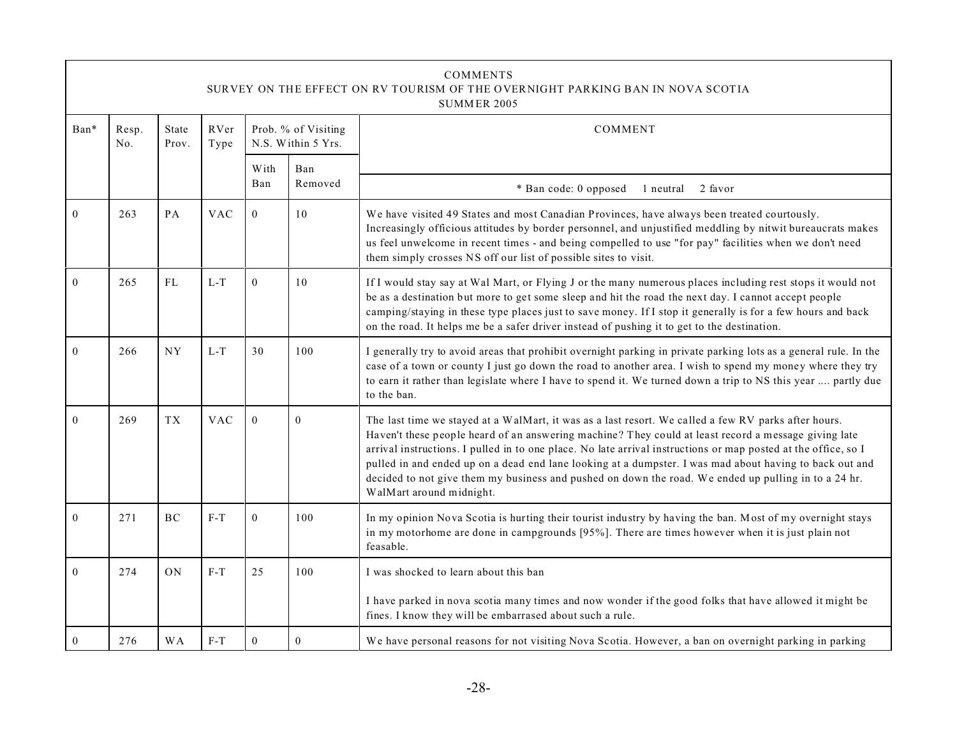|              | <b>COMMENTS</b><br>SURVEY ON THE EFFECT ON RV TOURISM OF THE OVERNIGHT PARKING BAN IN NOVA SCOTIA<br><b>SUMMER 2005</b> |                |              |                  |                                           |                                                                                                                                                                                                                                                                                                                                                                                                                                                                                                                                                                               |  |  |  |  |
|--------------|-------------------------------------------------------------------------------------------------------------------------|----------------|--------------|------------------|-------------------------------------------|-------------------------------------------------------------------------------------------------------------------------------------------------------------------------------------------------------------------------------------------------------------------------------------------------------------------------------------------------------------------------------------------------------------------------------------------------------------------------------------------------------------------------------------------------------------------------------|--|--|--|--|
| Ban*         | Resp.<br>No.                                                                                                            | State<br>Prov. | RVer<br>Type |                  | Prob. % of Visiting<br>N.S. Within 5 Yrs. | <b>COMMENT</b>                                                                                                                                                                                                                                                                                                                                                                                                                                                                                                                                                                |  |  |  |  |
|              |                                                                                                                         |                |              | With             | Ban<br>Removed                            |                                                                                                                                                                                                                                                                                                                                                                                                                                                                                                                                                                               |  |  |  |  |
|              |                                                                                                                         |                |              | Ban              |                                           | * Ban code: 0 opposed<br>1 neutral 2 favor                                                                                                                                                                                                                                                                                                                                                                                                                                                                                                                                    |  |  |  |  |
| $\theta$     | 263                                                                                                                     | PA             | <b>VAC</b>   | $\overline{0}$   | 10                                        | We have visited 49 States and most Canadian Provinces, have always been treated courtously.<br>Increasingly officious attitudes by border personnel, and unjustified meddling by nitwit bureaucrats makes<br>us feel unwelcome in recent times - and being compelled to use "for pay" facilities when we don't need<br>them simply crosses NS off our list of possible sites to visit.                                                                                                                                                                                        |  |  |  |  |
| $\theta$     | 265                                                                                                                     | FL.            | $L-T$        | $\theta$         | 10                                        | If I would stay say at Wal Mart, or Flying J or the many numerous places including rest stops it would not<br>be as a destination but more to get some sleep and hit the road the next day. I cannot accept people<br>camping/staying in these type places just to save money. If I stop it generally is for a few hours and back<br>on the road. It helps me be a safer driver instead of pushing it to get to the destination.                                                                                                                                              |  |  |  |  |
| $\mathbf{0}$ | 266                                                                                                                     | NY             | $L-T$        | 30               | 100                                       | I generally try to avoid areas that prohibit overnight parking in private parking lots as a general rule. In the<br>case of a town or county I just go down the road to another area. I wish to spend my money where they try<br>to earn it rather than legislate where I have to spend it. We turned down a trip to NS this year  partly due<br>to the ban.                                                                                                                                                                                                                  |  |  |  |  |
| $\theta$     | 269                                                                                                                     | TX             | <b>VAC</b>   | $\boldsymbol{0}$ | $\boldsymbol{0}$                          | The last time we stayed at a WalMart, it was as a last resort. We called a few RV parks after hours.<br>Haven't these people heard of an answering machine? They could at least record a message giving late<br>arrival instructions. I pulled in to one place. No late arrival instructions or map posted at the office, so I<br>pulled in and ended up on a dead end lane looking at a dumpster. I was mad about having to back out and<br>decided to not give them my business and pushed on down the road. We ended up pulling in to a 24 hr.<br>WalMart around midnight. |  |  |  |  |
| $\mathbf{0}$ | 271                                                                                                                     | BC             | $F-T$        | $\theta$         | 100                                       | In my opinion Nova Scotia is hurting their tourist industry by having the ban. Most of my overnight stays<br>in my motorhome are done in campgrounds [95%]. There are times however when it is just plain not<br>feasable.                                                                                                                                                                                                                                                                                                                                                    |  |  |  |  |
| $\theta$     | 274                                                                                                                     | <b>ON</b>      | $F-T$        | 25               | 100                                       | I was shocked to learn about this ban                                                                                                                                                                                                                                                                                                                                                                                                                                                                                                                                         |  |  |  |  |
|              |                                                                                                                         |                |              |                  |                                           | I have parked in nova scotia many times and now wonder if the good folks that have allowed it might be<br>fines. I know they will be embarrased about such a rule.                                                                                                                                                                                                                                                                                                                                                                                                            |  |  |  |  |
| $\theta$     | 276                                                                                                                     | <b>WA</b>      | $F-T$        | $\overline{0}$   | $\mathbf{0}$                              | We have personal reasons for not visiting Nova Scotia. However, a ban on overnight parking in parking                                                                                                                                                                                                                                                                                                                                                                                                                                                                         |  |  |  |  |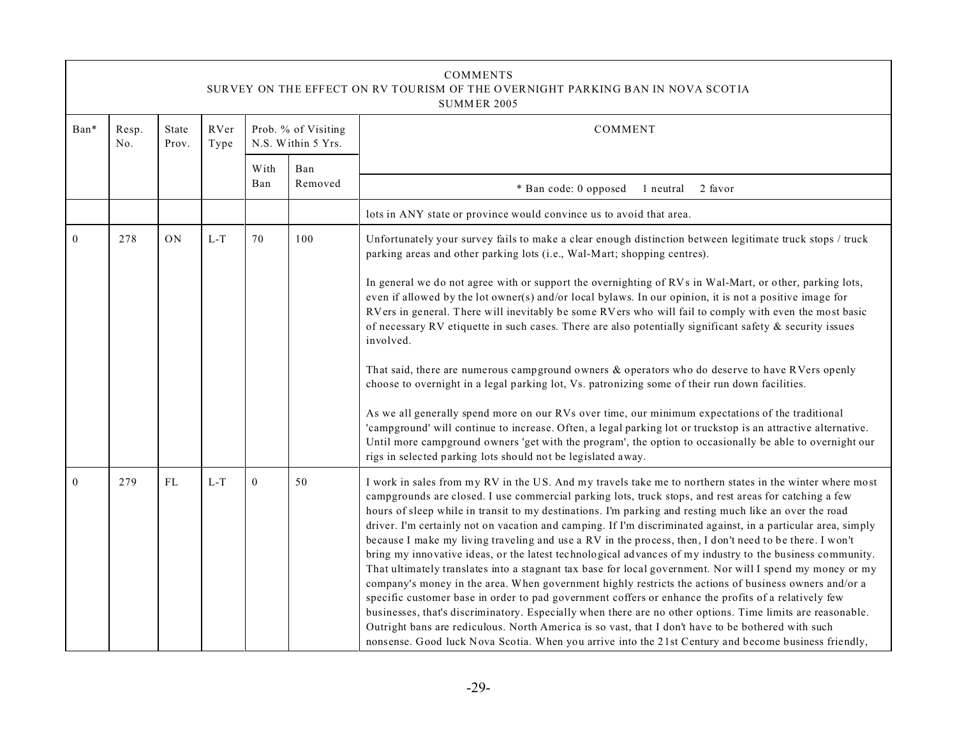|              | COMMENTS<br>SURVEY ON THE EFFECT ON RV TOURISM OF THE OVERNIGHT PARKING BAN IN NOVA SCOTIA<br><b>SUMMER 2005</b> |                |                                |                                           |                |                                                                                                                                                                                                                                                                                                                                                                                                                                                                                                                                                                                                                                                                                                                                                                                                                                                                                                                                                                                                                                                                                                                                                                                                                                                                                                                                |  |  |  |  |
|--------------|------------------------------------------------------------------------------------------------------------------|----------------|--------------------------------|-------------------------------------------|----------------|--------------------------------------------------------------------------------------------------------------------------------------------------------------------------------------------------------------------------------------------------------------------------------------------------------------------------------------------------------------------------------------------------------------------------------------------------------------------------------------------------------------------------------------------------------------------------------------------------------------------------------------------------------------------------------------------------------------------------------------------------------------------------------------------------------------------------------------------------------------------------------------------------------------------------------------------------------------------------------------------------------------------------------------------------------------------------------------------------------------------------------------------------------------------------------------------------------------------------------------------------------------------------------------------------------------------------------|--|--|--|--|
| Ban*         | Resp.<br>No.                                                                                                     | State<br>Prov. | RVer<br>Type                   | Prob. % of Visiting<br>N.S. Within 5 Yrs. |                | <b>COMMENT</b>                                                                                                                                                                                                                                                                                                                                                                                                                                                                                                                                                                                                                                                                                                                                                                                                                                                                                                                                                                                                                                                                                                                                                                                                                                                                                                                 |  |  |  |  |
|              |                                                                                                                  |                |                                | With                                      | Ban<br>Removed |                                                                                                                                                                                                                                                                                                                                                                                                                                                                                                                                                                                                                                                                                                                                                                                                                                                                                                                                                                                                                                                                                                                                                                                                                                                                                                                                |  |  |  |  |
|              |                                                                                                                  |                |                                | Ban                                       |                | * Ban code: 0 opposed 1 neutral 2 favor                                                                                                                                                                                                                                                                                                                                                                                                                                                                                                                                                                                                                                                                                                                                                                                                                                                                                                                                                                                                                                                                                                                                                                                                                                                                                        |  |  |  |  |
|              |                                                                                                                  |                |                                |                                           |                | lots in ANY state or province would convince us to avoid that area.                                                                                                                                                                                                                                                                                                                                                                                                                                                                                                                                                                                                                                                                                                                                                                                                                                                                                                                                                                                                                                                                                                                                                                                                                                                            |  |  |  |  |
| $\mathbf{0}$ | 278                                                                                                              | <b>ON</b>      | $\mathbf{L}\text{-}\mathbf{T}$ | 70                                        | 100            | Unfortunately your survey fails to make a clear enough distinction between legitimate truck stops / truck<br>parking areas and other parking lots (i.e., Wal-Mart; shopping centres).<br>In general we do not agree with or support the overnighting of RVs in Wal-Mart, or other, parking lots,<br>even if allowed by the lot owner(s) and/or local bylaws. In our opinion, it is not a positive image for<br>RVers in general. There will inevitably be some RVers who will fail to comply with even the most basic<br>of necessary RV etiquette in such cases. There are also potentially significant safety $\&$ security issues<br>involved.<br>That said, there are numerous campground owners & operators who do deserve to have RVers openly<br>choose to overnight in a legal parking lot, Vs. patronizing some of their run down facilities.<br>As we all generally spend more on our RVs over time, our minimum expectations of the traditional<br>'campground' will continue to increase. Often, a legal parking lot or truckstop is an attractive alternative.<br>Until more campground owners 'get with the program', the option to occasionally be able to overnight our<br>rigs in selected parking lots should not be legislated away.                                                                        |  |  |  |  |
| $\theta$     | 279                                                                                                              | ${\rm FL}$     | $L-T$                          | $\boldsymbol{0}$                          | 50             | I work in sales from my RV in the US. And my travels take me to northern states in the winter where most<br>campgrounds are closed. I use commercial parking lots, truck stops, and rest areas for catching a few<br>hours of sleep while in transit to my destinations. I'm parking and resting much like an over the road<br>driver. I'm certainly not on vacation and camping. If I'm discriminated against, in a particular area, simply<br>because I make my living traveling and use a RV in the process, then, I don't need to be there. I won't<br>bring my innovative ideas, or the latest technological advances of my industry to the business community.<br>That ultimately translates into a stagnant tax base for local government. Nor will I spend my money or my<br>company's money in the area. When government highly restricts the actions of business owners and/or a<br>specific customer base in order to pad government coffers or enhance the profits of a relatively few<br>businesses, that's discriminatory. Especially when there are no other options. Time limits are reasonable.<br>Outright bans are rediculous. North America is so vast, that I don't have to be bothered with such<br>nonsense. Good luck Nova Scotia. When you arrive into the 21st Century and become business friendly, |  |  |  |  |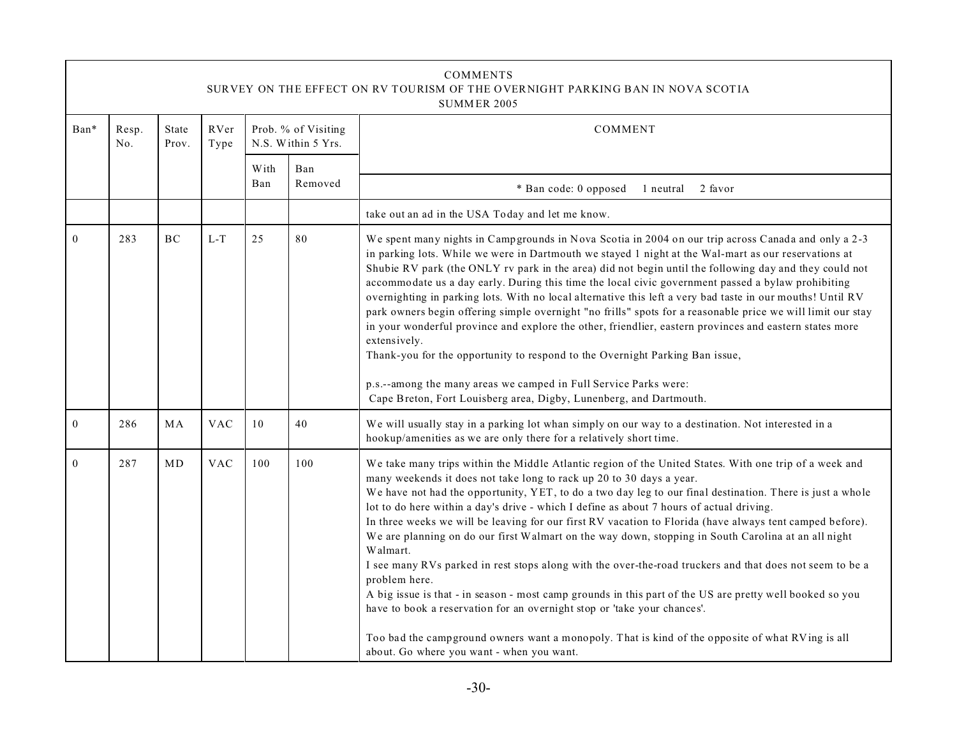|              | <b>COMMENTS</b><br>SURVEY ON THE EFFECT ON RV TOURISM OF THE OVERNIGHT PARKING BAN IN NOVA SCOTIA<br><b>SUMMER 2005</b> |                |              |             |                                           |                                                                                                                                                                                                                                                                                                                                                                                                                                                                                                                                                                                                                                                                                                                                                                                                                                                                                                                                                                                                                                                                                               |  |  |  |  |  |
|--------------|-------------------------------------------------------------------------------------------------------------------------|----------------|--------------|-------------|-------------------------------------------|-----------------------------------------------------------------------------------------------------------------------------------------------------------------------------------------------------------------------------------------------------------------------------------------------------------------------------------------------------------------------------------------------------------------------------------------------------------------------------------------------------------------------------------------------------------------------------------------------------------------------------------------------------------------------------------------------------------------------------------------------------------------------------------------------------------------------------------------------------------------------------------------------------------------------------------------------------------------------------------------------------------------------------------------------------------------------------------------------|--|--|--|--|--|
| Ban*         | Resp.<br>No.                                                                                                            | State<br>Prov. | RVer<br>Type |             | Prob. % of Visiting<br>N.S. Within 5 Yrs. | COMMENT                                                                                                                                                                                                                                                                                                                                                                                                                                                                                                                                                                                                                                                                                                                                                                                                                                                                                                                                                                                                                                                                                       |  |  |  |  |  |
|              |                                                                                                                         |                |              | With<br>Ban | Ban<br>Removed                            |                                                                                                                                                                                                                                                                                                                                                                                                                                                                                                                                                                                                                                                                                                                                                                                                                                                                                                                                                                                                                                                                                               |  |  |  |  |  |
|              |                                                                                                                         |                |              |             |                                           | * Ban code: 0 opposed<br>1 neutral 2 favor                                                                                                                                                                                                                                                                                                                                                                                                                                                                                                                                                                                                                                                                                                                                                                                                                                                                                                                                                                                                                                                    |  |  |  |  |  |
|              |                                                                                                                         |                |              |             |                                           | take out an ad in the USA Today and let me know.                                                                                                                                                                                                                                                                                                                                                                                                                                                                                                                                                                                                                                                                                                                                                                                                                                                                                                                                                                                                                                              |  |  |  |  |  |
| $\theta$     | 283                                                                                                                     | $\rm{B}\rm{C}$ | $L-T$        | 25          | 80                                        | We spent many nights in Campgrounds in Nova Scotia in 2004 on our trip across Canada and only a 2-3<br>in parking lots. While we were in Dartmouth we stayed 1 night at the Wal-mart as our reservations at<br>Shubie RV park (the ONLY rv park in the area) did not begin until the following day and they could not<br>accommodate us a day early. During this time the local civic government passed a bylaw prohibiting<br>overnighting in parking lots. With no local alternative this left a very bad taste in our mouths! Until RV<br>park owners begin offering simple overnight "no frills" spots for a reasonable price we will limit our stay<br>in your wonderful province and explore the other, friendlier, eastern provinces and eastern states more<br>extensively.<br>Thank-you for the opportunity to respond to the Overnight Parking Ban issue,<br>p.s.--among the many areas we camped in Full Service Parks were:<br>Cape Breton, Fort Louisberg area, Digby, Lunenberg, and Dartmouth.                                                                                 |  |  |  |  |  |
| $\mathbf{0}$ | 286                                                                                                                     | MA             | <b>VAC</b>   | 10          | 40                                        | We will usually stay in a parking lot whan simply on our way to a destination. Not interested in a<br>hookup/amenities as we are only there for a relatively short time.                                                                                                                                                                                                                                                                                                                                                                                                                                                                                                                                                                                                                                                                                                                                                                                                                                                                                                                      |  |  |  |  |  |
| $\mathbf{0}$ | 287                                                                                                                     | MD             | <b>VAC</b>   | 100         | 100                                       | We take many trips within the Middle Atlantic region of the United States. With one trip of a week and<br>many weekends it does not take long to rack up 20 to 30 days a year.<br>We have not had the opportunity, YET, to do a two day leg to our final destination. There is just a whole<br>lot to do here within a day's drive - which I define as about 7 hours of actual driving.<br>In three weeks we will be leaving for our first RV vacation to Florida (have always tent camped before).<br>We are planning on do our first Walmart on the way down, stopping in South Carolina at an all night<br>Walmart.<br>I see many RVs parked in rest stops along with the over-the-road truckers and that does not seem to be a<br>problem here.<br>A big issue is that - in season - most camp grounds in this part of the US are pretty well booked so you<br>have to book a reservation for an overnight stop or 'take your chances'.<br>Too bad the campground owners want a monopoly. That is kind of the opposite of what RV ing is all<br>about. Go where you want - when you want. |  |  |  |  |  |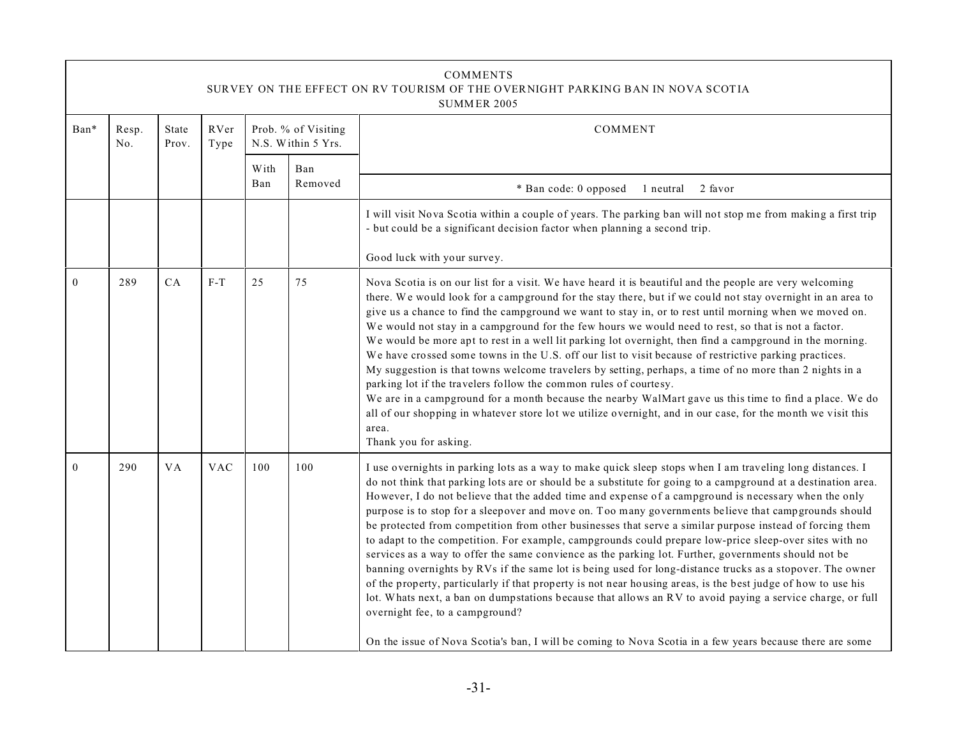|                | <b>COMMENTS</b><br>SURVEY ON THE EFFECT ON RV TOURISM OF THE OVERNIGHT PARKING BAN IN NOVA SCOTIA<br><b>SUMMER 2005</b> |                |              |                                           |                |                                                                                                                                                                                                                                                                                                                                                                                                                                                                                                                                                                                                                                                                                                                                                                                                                                                                                                                                                                                                                                                                                                                                                                                                                                                                     |  |  |  |  |
|----------------|-------------------------------------------------------------------------------------------------------------------------|----------------|--------------|-------------------------------------------|----------------|---------------------------------------------------------------------------------------------------------------------------------------------------------------------------------------------------------------------------------------------------------------------------------------------------------------------------------------------------------------------------------------------------------------------------------------------------------------------------------------------------------------------------------------------------------------------------------------------------------------------------------------------------------------------------------------------------------------------------------------------------------------------------------------------------------------------------------------------------------------------------------------------------------------------------------------------------------------------------------------------------------------------------------------------------------------------------------------------------------------------------------------------------------------------------------------------------------------------------------------------------------------------|--|--|--|--|
| Ban*           | Resp.<br>No.                                                                                                            | State<br>Prov. | RVer<br>Type | Prob. % of Visiting<br>N.S. Within 5 Yrs. |                | <b>COMMENT</b>                                                                                                                                                                                                                                                                                                                                                                                                                                                                                                                                                                                                                                                                                                                                                                                                                                                                                                                                                                                                                                                                                                                                                                                                                                                      |  |  |  |  |
|                |                                                                                                                         |                |              | With<br>Ban                               | Ban<br>Removed | * Ban code: 0 opposed<br>1 neutral 2 favor                                                                                                                                                                                                                                                                                                                                                                                                                                                                                                                                                                                                                                                                                                                                                                                                                                                                                                                                                                                                                                                                                                                                                                                                                          |  |  |  |  |
|                |                                                                                                                         |                |              |                                           |                | I will visit Nova Scotia within a couple of years. The parking ban will not stop me from making a first trip<br>- but could be a significant decision factor when planning a second trip.<br>Good luck with your survey.                                                                                                                                                                                                                                                                                                                                                                                                                                                                                                                                                                                                                                                                                                                                                                                                                                                                                                                                                                                                                                            |  |  |  |  |
| $\overline{0}$ | 289                                                                                                                     | CA             | $F-T$        | 25                                        | 75             | Nova Scotia is on our list for a visit. We have heard it is beautiful and the people are very welcoming<br>there. We would look for a campground for the stay there, but if we could not stay overnight in an area to<br>give us a chance to find the campground we want to stay in, or to rest until morning when we moved on.<br>We would not stay in a campground for the few hours we would need to rest, so that is not a factor.<br>We would be more apt to rest in a well lit parking lot overnight, then find a campground in the morning.<br>We have crossed some towns in the U.S. off our list to visit because of restrictive parking practices.<br>My suggestion is that towns welcome travelers by setting, perhaps, a time of no more than 2 nights in a<br>parking lot if the travelers follow the common rules of courtesy.<br>We are in a campground for a month because the nearby WalMart gave us this time to find a place. We do<br>all of our shopping in whatever store lot we utilize overnight, and in our case, for the month we visit this<br>area.<br>Thank you for asking.                                                                                                                                                            |  |  |  |  |
| $\Omega$       | 290                                                                                                                     | <b>VA</b>      | <b>VAC</b>   | 100                                       | 100            | I use overnights in parking lots as a way to make quick sleep stops when I am traveling long distances. I<br>do not think that parking lots are or should be a substitute for going to a campground at a destination area.<br>However, I do not believe that the added time and expense of a campground is necessary when the only<br>purpose is to stop for a sleepover and move on. Too many governments believe that campgrounds should<br>be protected from competition from other businesses that serve a similar purpose instead of forcing them<br>to adapt to the competition. For example, campgrounds could prepare low-price sleep-over sites with no<br>services as a way to offer the same convience as the parking lot. Further, governments should not be<br>banning overnights by RVs if the same lot is being used for long-distance trucks as a stopover. The owner<br>of the property, particularly if that property is not near housing areas, is the best judge of how to use his<br>lot. Whats next, a ban on dumpstations because that allows an RV to avoid paying a service charge, or full<br>overnight fee, to a campground?<br>On the issue of Nova Scotia's ban, I will be coming to Nova Scotia in a few years because there are some |  |  |  |  |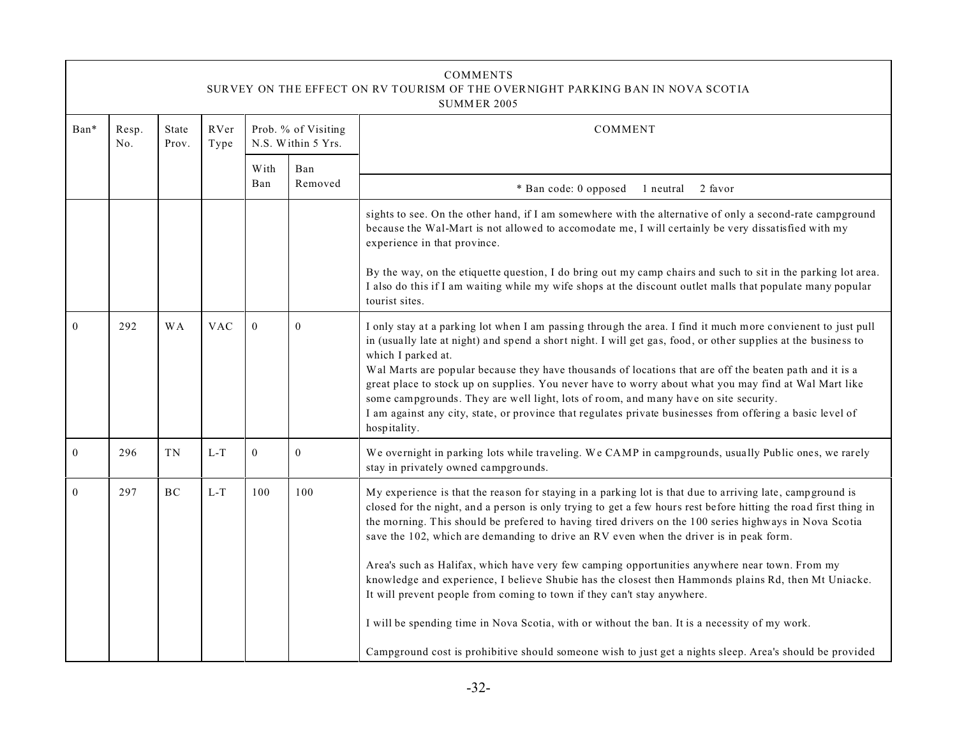|                  | <b>COMMENTS</b><br>SURVEY ON THE EFFECT ON RV TOURISM OF THE OVERNIGHT PARKING BAN IN NOVA SCOTIA<br><b>SUMMER 2005</b> |                       |              |                  |                                           |                                                                                                                                                                                                                                                                                                                                                                                                                                                                                                                                                                                                                                                                                                                                                                                                                                                                                                                                     |  |  |  |  |
|------------------|-------------------------------------------------------------------------------------------------------------------------|-----------------------|--------------|------------------|-------------------------------------------|-------------------------------------------------------------------------------------------------------------------------------------------------------------------------------------------------------------------------------------------------------------------------------------------------------------------------------------------------------------------------------------------------------------------------------------------------------------------------------------------------------------------------------------------------------------------------------------------------------------------------------------------------------------------------------------------------------------------------------------------------------------------------------------------------------------------------------------------------------------------------------------------------------------------------------------|--|--|--|--|
| Ban*             | Resp.<br>No.                                                                                                            | <b>State</b><br>Prov. | RVer<br>Type |                  | Prob. % of Visiting<br>N.S. Within 5 Yrs. | <b>COMMENT</b>                                                                                                                                                                                                                                                                                                                                                                                                                                                                                                                                                                                                                                                                                                                                                                                                                                                                                                                      |  |  |  |  |
|                  | With<br>Ban                                                                                                             | Ban<br>Removed        |              |                  |                                           |                                                                                                                                                                                                                                                                                                                                                                                                                                                                                                                                                                                                                                                                                                                                                                                                                                                                                                                                     |  |  |  |  |
|                  |                                                                                                                         |                       |              |                  |                                           | * Ban code: 0 opposed<br>1 neutral 2 favor                                                                                                                                                                                                                                                                                                                                                                                                                                                                                                                                                                                                                                                                                                                                                                                                                                                                                          |  |  |  |  |
|                  |                                                                                                                         |                       |              |                  |                                           | sights to see. On the other hand, if I am somewhere with the alternative of only a second-rate campground<br>because the Wal-Mart is not allowed to accomodate me, I will certainly be very dissatisfied with my<br>experience in that province.<br>By the way, on the etiquette question, I do bring out my camp chairs and such to sit in the parking lot area.<br>I also do this if I am waiting while my wife shops at the discount outlet malls that populate many popular<br>tourist sites.                                                                                                                                                                                                                                                                                                                                                                                                                                   |  |  |  |  |
| $\theta$         | 292                                                                                                                     | <b>WA</b>             | <b>VAC</b>   | $\theta$         | $\theta$                                  | I only stay at a parking lot when I am passing through the area. I find it much more convienent to just pull<br>in (usually late at night) and spend a short night. I will get gas, food, or other supplies at the business to<br>which I parked at.<br>Wal Marts are popular because they have thousands of locations that are off the beaten path and it is a<br>great place to stock up on supplies. You never have to worry about what you may find at Wal Mart like<br>some campgrounds. They are well light, lots of room, and many have on site security.<br>I am against any city, state, or province that regulates private businesses from offering a basic level of<br>hospitality.                                                                                                                                                                                                                                      |  |  |  |  |
| $\boldsymbol{0}$ | 296                                                                                                                     | TN                    | $L-T$        | $\boldsymbol{0}$ | $\boldsymbol{0}$                          | We overnight in parking lots while traveling. We CAMP in campgrounds, usually Public ones, we rarely<br>stay in privately owned campgrounds.                                                                                                                                                                                                                                                                                                                                                                                                                                                                                                                                                                                                                                                                                                                                                                                        |  |  |  |  |
| $\theta$         | 297                                                                                                                     | <b>BC</b>             | $L-T$        | 100              | 100                                       | My experience is that the reason for staying in a parking lot is that due to arriving late, campground is<br>closed for the night, and a person is only trying to get a few hours rest before hitting the road first thing in<br>the morning. This should be prefered to having tired drivers on the 100 series highways in Nova Scotia<br>save the 102, which are demanding to drive an RV even when the driver is in peak form.<br>Area's such as Halifax, which have very few camping opportunities anywhere near town. From my<br>knowledge and experience, I believe Shubie has the closest then Hammonds plains Rd, then Mt Uniacke.<br>It will prevent people from coming to town if they can't stay anywhere.<br>I will be spending time in Nova Scotia, with or without the ban. It is a necessity of my work.<br>Campground cost is prohibitive should someone wish to just get a nights sleep. Area's should be provided |  |  |  |  |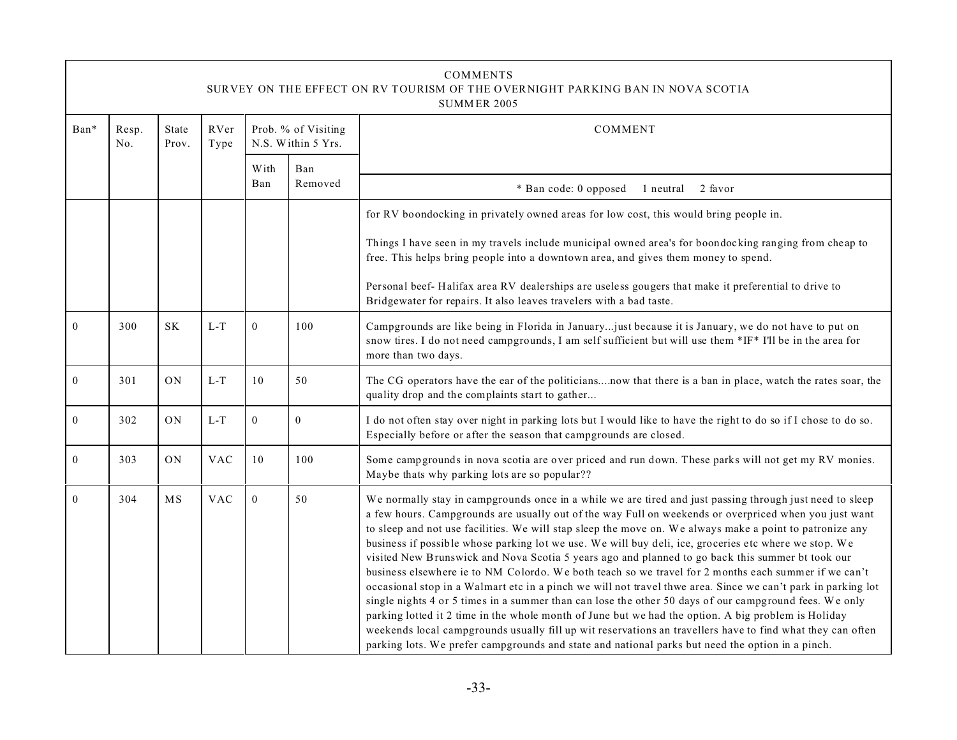|              | <b>COMMENTS</b><br>SURVEY ON THE EFFECT ON RV TOURISM OF THE OVERNIGHT PARKING BAN IN NOVA SCOTIA<br><b>SUMMER 2005</b> |                |                                |                                           |                  |                                                                                                                                                                                                                                                                                                                                                                                                                                                                                                                                                                                                                                                                                                                                                                                                                                                                                                                                                                                                                                                                                                                                                                                                       |  |  |  |  |
|--------------|-------------------------------------------------------------------------------------------------------------------------|----------------|--------------------------------|-------------------------------------------|------------------|-------------------------------------------------------------------------------------------------------------------------------------------------------------------------------------------------------------------------------------------------------------------------------------------------------------------------------------------------------------------------------------------------------------------------------------------------------------------------------------------------------------------------------------------------------------------------------------------------------------------------------------------------------------------------------------------------------------------------------------------------------------------------------------------------------------------------------------------------------------------------------------------------------------------------------------------------------------------------------------------------------------------------------------------------------------------------------------------------------------------------------------------------------------------------------------------------------|--|--|--|--|
| Ban*         | Resp.<br>No.                                                                                                            | State<br>Prov. | RVer<br>Type                   | Prob. % of Visiting<br>N.S. Within 5 Yrs. |                  | COMMENT                                                                                                                                                                                                                                                                                                                                                                                                                                                                                                                                                                                                                                                                                                                                                                                                                                                                                                                                                                                                                                                                                                                                                                                               |  |  |  |  |
|              |                                                                                                                         |                |                                | With<br>Ban                               | Ban<br>Removed   |                                                                                                                                                                                                                                                                                                                                                                                                                                                                                                                                                                                                                                                                                                                                                                                                                                                                                                                                                                                                                                                                                                                                                                                                       |  |  |  |  |
|              |                                                                                                                         |                |                                |                                           |                  | * Ban code: 0 opposed<br>1 neutral<br>2 favor                                                                                                                                                                                                                                                                                                                                                                                                                                                                                                                                                                                                                                                                                                                                                                                                                                                                                                                                                                                                                                                                                                                                                         |  |  |  |  |
|              |                                                                                                                         |                |                                |                                           |                  | for RV boondocking in privately owned areas for low cost, this would bring people in.                                                                                                                                                                                                                                                                                                                                                                                                                                                                                                                                                                                                                                                                                                                                                                                                                                                                                                                                                                                                                                                                                                                 |  |  |  |  |
|              |                                                                                                                         |                |                                |                                           |                  | Things I have seen in my travels include municipal owned area's for boondocking ranging from cheap to<br>free. This helps bring people into a downtown area, and gives them money to spend.                                                                                                                                                                                                                                                                                                                                                                                                                                                                                                                                                                                                                                                                                                                                                                                                                                                                                                                                                                                                           |  |  |  |  |
|              |                                                                                                                         |                |                                |                                           |                  | Personal beef-Halifax area RV dealerships are useless gougers that make it preferential to drive to<br>Bridgewater for repairs. It also leaves travelers with a bad taste.                                                                                                                                                                                                                                                                                                                                                                                                                                                                                                                                                                                                                                                                                                                                                                                                                                                                                                                                                                                                                            |  |  |  |  |
| $\mathbf{0}$ | 300                                                                                                                     | <b>SK</b>      | $L-T$                          | $\overline{0}$                            | 100              | Campgrounds are like being in Florida in Januaryjust because it is January, we do not have to put on<br>snow tires. I do not need campgrounds, I am self sufficient but will use them *IF* I'll be in the area for<br>more than two days.                                                                                                                                                                                                                                                                                                                                                                                                                                                                                                                                                                                                                                                                                                                                                                                                                                                                                                                                                             |  |  |  |  |
| $\mathbf{0}$ | 301                                                                                                                     | <b>ON</b>      | $L-T$                          | 10                                        | 50               | The CG operators have the ear of the politiciansnow that there is a ban in place, watch the rates soar, the<br>quality drop and the complaints start to gather                                                                                                                                                                                                                                                                                                                                                                                                                                                                                                                                                                                                                                                                                                                                                                                                                                                                                                                                                                                                                                        |  |  |  |  |
| $\mathbf{0}$ | 302                                                                                                                     | ON             | $\mathbf{L}\text{-}\mathbf{T}$ | $\boldsymbol{0}$                          | $\boldsymbol{0}$ | I do not often stay over night in parking lots but I would like to have the right to do so if I chose to do so.<br>Especially before or after the season that campgrounds are closed.                                                                                                                                                                                                                                                                                                                                                                                                                                                                                                                                                                                                                                                                                                                                                                                                                                                                                                                                                                                                                 |  |  |  |  |
| $\mathbf{0}$ | 303                                                                                                                     | $\rm ON$       | <b>VAC</b>                     | 10                                        | 100              | Some campgrounds in nova scotia are over priced and run down. These parks will not get my RV monies.<br>Maybe thats why parking lots are so popular??                                                                                                                                                                                                                                                                                                                                                                                                                                                                                                                                                                                                                                                                                                                                                                                                                                                                                                                                                                                                                                                 |  |  |  |  |
| $\mathbf{0}$ | 304                                                                                                                     | MS             | <b>VAC</b>                     | $\boldsymbol{0}$                          | 50               | We normally stay in campgrounds once in a while we are tired and just passing through just need to sleep<br>a few hours. Campgrounds are usually out of the way Full on weekends or overpriced when you just want<br>to sleep and not use facilities. We will stap sleep the move on. We always make a point to patronize any<br>business if possible whose parking lot we use. We will buy deli, ice, groceries etc where we stop. We<br>visited New Brunswick and Nova Scotia 5 years ago and planned to go back this summer bt took our<br>business elsewhere ie to NM Colordo. We both teach so we travel for 2 months each summer if we can't<br>occasional stop in a Walmart etc in a pinch we will not travel thwe area. Since we can't park in parking lot<br>single nights 4 or 5 times in a summer than can lose the other 50 days of our campground fees. We only<br>parking lotted it 2 time in the whole month of June but we had the option. A big problem is Holiday<br>weekends local campgrounds usually fill up wit reservations an travellers have to find what they can often<br>parking lots. We prefer campgrounds and state and national parks but need the option in a pinch. |  |  |  |  |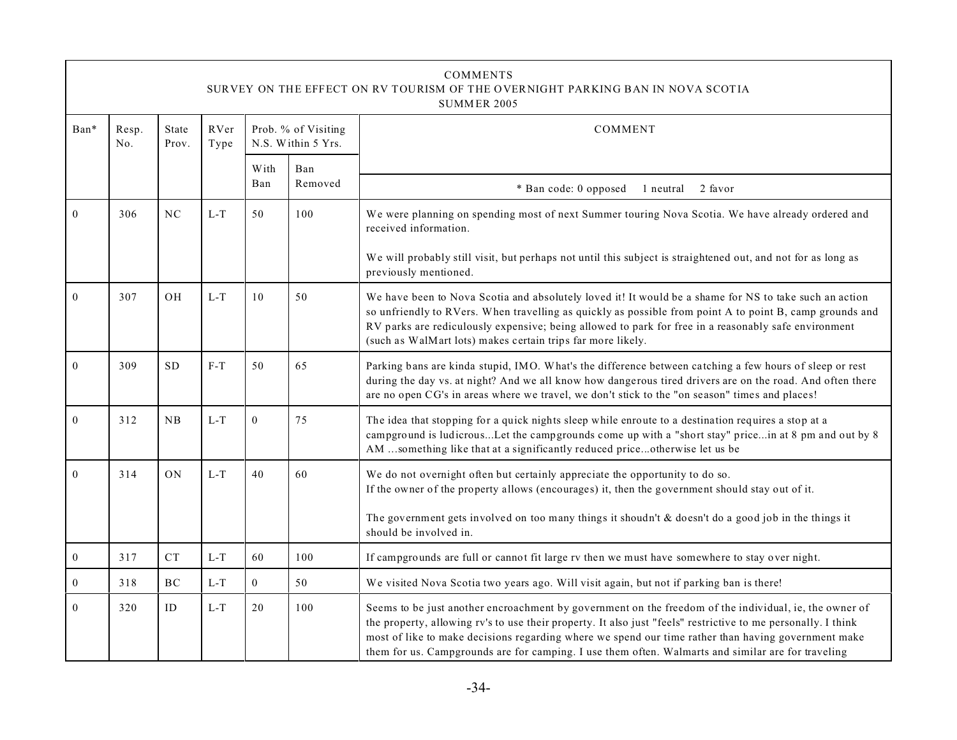|                  | <b>COMMENTS</b><br>SURVEY ON THE EFFECT ON RV TOURISM OF THE OVERNIGHT PARKING BAN IN NOVA SCOTIA<br><b>SUMMER 2005</b> |                |                                |                                           |                |                                                                                                                                                                                                                                                                                                                                                                                                                                      |  |  |  |
|------------------|-------------------------------------------------------------------------------------------------------------------------|----------------|--------------------------------|-------------------------------------------|----------------|--------------------------------------------------------------------------------------------------------------------------------------------------------------------------------------------------------------------------------------------------------------------------------------------------------------------------------------------------------------------------------------------------------------------------------------|--|--|--|
| Ban*             | Resp.<br>No.                                                                                                            | State<br>Prov. | RVer<br>Type                   | Prob. % of Visiting<br>N.S. Within 5 Yrs. |                | COMMENT                                                                                                                                                                                                                                                                                                                                                                                                                              |  |  |  |
|                  |                                                                                                                         |                |                                | With<br>Ban                               | Ban<br>Removed | * Ban code: 0 opposed<br>1 neutral                                                                                                                                                                                                                                                                                                                                                                                                   |  |  |  |
| $\mathbf{0}$     | 306                                                                                                                     | N <sub>C</sub> | $\mathbf{L}\text{-}\mathbf{T}$ | 50                                        | 100            | 2 favor<br>We were planning on spending most of next Summer touring Nova Scotia. We have already ordered and<br>received information.                                                                                                                                                                                                                                                                                                |  |  |  |
|                  |                                                                                                                         |                |                                |                                           |                | We will probably still visit, but perhaps not until this subject is straightened out, and not for as long as<br>previously mentioned.                                                                                                                                                                                                                                                                                                |  |  |  |
| $\theta$         | 307                                                                                                                     | OH             | $L-T$                          | 10                                        | 50             | We have been to Nova Scotia and absolutely loved it! It would be a shame for NS to take such an action<br>so unfriendly to RVers. When travelling as quickly as possible from point A to point B, camp grounds and<br>RV parks are rediculously expensive; being allowed to park for free in a reasonably safe environment<br>(such as WalMart lots) makes certain trips far more likely.                                            |  |  |  |
| $\overline{0}$   | 309                                                                                                                     | <b>SD</b>      | $F-T$                          | 50                                        | 65             | Parking bans are kinda stupid, IMO. What's the difference between catching a few hours of sleep or rest<br>during the day vs. at night? And we all know how dangerous tired drivers are on the road. And often there<br>are no open CG's in areas where we travel, we don't stick to the "on season" times and places!                                                                                                               |  |  |  |
| $\mathbf{0}$     | 312                                                                                                                     | NB             | $L-T$                          | $\boldsymbol{0}$                          | 75             | The idea that stopping for a quick nights sleep while enroute to a destination requires a stop at a<br>campground is ludicrousLet the campgrounds come up with a "short stay" pricein at 8 pm and out by 8<br>AM something like that at a significantly reduced priceotherwise let us be                                                                                                                                             |  |  |  |
| $\mathbf{0}$     | 314                                                                                                                     | ON             | $L-T$                          | 40                                        | 60             | We do not overnight often but certainly appreciate the opportunity to do so.<br>If the owner of the property allows (encourages) it, then the government should stay out of it.<br>The government gets involved on too many things it shoudn't $\&$ doesn't do a good job in the things it<br>should be involved in.                                                                                                                 |  |  |  |
| $\boldsymbol{0}$ | 317                                                                                                                     | CT             | $\mathbf{L}\text{-}\mathbf{T}$ | 60                                        | 100            | If campgrounds are full or cannot fit large rv then we must have somewhere to stay over night.                                                                                                                                                                                                                                                                                                                                       |  |  |  |
| $\boldsymbol{0}$ | 318                                                                                                                     | <b>BC</b>      | $\mathbf{L}\text{-}\mathbf{T}$ | $\overline{0}$                            | 50             | We visited Nova Scotia two years ago. Will visit again, but not if parking ban is there!                                                                                                                                                                                                                                                                                                                                             |  |  |  |
| $\mathbf{0}$     | 320                                                                                                                     | $\rm ID$       | $\mathbf{L}\text{-}\mathbf{T}$ | 20                                        | 100            | Seems to be just another encroachment by government on the freedom of the individual, ie, the owner of<br>the property, allowing rv's to use their property. It also just "feels" restrictive to me personally. I think<br>most of like to make decisions regarding where we spend our time rather than having government make<br>them for us. Campgrounds are for camping. I use them often. Walmarts and similar are for traveling |  |  |  |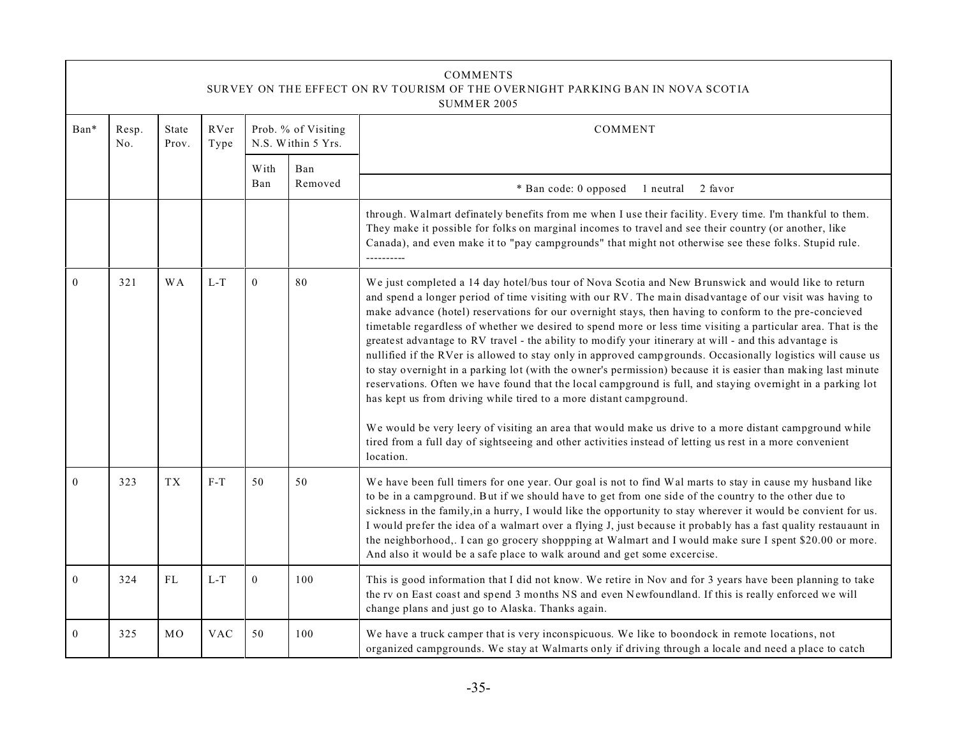|              | COMMENTS<br>SURVEY ON THE EFFECT ON RV TOURISM OF THE OVERNIGHT PARKING BAN IN NOVA SCOTIA<br><b>SUMMER 2005</b> |                |              |                  |                                           |                                                                                                                                                                                                                                                                                                                                                                                                                                                                                                                                                                                                                                                                                                                                                                                                                                                                                                                                                                                                                                                                                                                                                                                                               |  |  |  |  |
|--------------|------------------------------------------------------------------------------------------------------------------|----------------|--------------|------------------|-------------------------------------------|---------------------------------------------------------------------------------------------------------------------------------------------------------------------------------------------------------------------------------------------------------------------------------------------------------------------------------------------------------------------------------------------------------------------------------------------------------------------------------------------------------------------------------------------------------------------------------------------------------------------------------------------------------------------------------------------------------------------------------------------------------------------------------------------------------------------------------------------------------------------------------------------------------------------------------------------------------------------------------------------------------------------------------------------------------------------------------------------------------------------------------------------------------------------------------------------------------------|--|--|--|--|
| Ban*         | Resp.<br>No.                                                                                                     | State<br>Prov. | RVer<br>Type |                  | Prob. % of Visiting<br>N.S. Within 5 Yrs. | <b>COMMENT</b>                                                                                                                                                                                                                                                                                                                                                                                                                                                                                                                                                                                                                                                                                                                                                                                                                                                                                                                                                                                                                                                                                                                                                                                                |  |  |  |  |
|              |                                                                                                                  |                |              | With<br>Ban      | Ban<br>Removed                            | 1 neutral<br>2 favor                                                                                                                                                                                                                                                                                                                                                                                                                                                                                                                                                                                                                                                                                                                                                                                                                                                                                                                                                                                                                                                                                                                                                                                          |  |  |  |  |
|              |                                                                                                                  |                |              |                  |                                           | * Ban code: 0 opposed<br>through. Walmart definately benefits from me when I use their facility. Every time. I'm thankful to them.                                                                                                                                                                                                                                                                                                                                                                                                                                                                                                                                                                                                                                                                                                                                                                                                                                                                                                                                                                                                                                                                            |  |  |  |  |
|              |                                                                                                                  |                |              |                  |                                           | They make it possible for folks on marginal incomes to travel and see their country (or another, like<br>Canada), and even make it to "pay campgrounds" that might not otherwise see these folks. Stupid rule.<br>----------                                                                                                                                                                                                                                                                                                                                                                                                                                                                                                                                                                                                                                                                                                                                                                                                                                                                                                                                                                                  |  |  |  |  |
| $\mathbf{0}$ | 321                                                                                                              | <b>WA</b>      | $L-T$        | $\boldsymbol{0}$ | 80                                        | We just completed a 14 day hotel/bus tour of Nova Scotia and New Brunswick and would like to return<br>and spend a longer period of time visiting with our RV. The main disadvantage of our visit was having to<br>make advance (hotel) reservations for our overnight stays, then having to conform to the pre-concieved<br>timetable regardless of whether we desired to spend more or less time visiting a particular area. That is the<br>greatest advantage to RV travel - the ability to modify your itinerary at will - and this advantage is<br>nullified if the RVer is allowed to stay only in approved campgrounds. Occasionally logistics will cause us<br>to stay overnight in a parking lot (with the owner's permission) because it is easier than making last minute<br>reservations. Often we have found that the local campground is full, and staying overnight in a parking lot<br>has kept us from driving while tired to a more distant campground.<br>We would be very leery of visiting an area that would make us drive to a more distant campground while<br>tired from a full day of sightseeing and other activities instead of letting us rest in a more convenient<br>location. |  |  |  |  |
| $\theta$     | 323                                                                                                              | <b>TX</b>      | $F-T$        | 50               | 50                                        | We have been full timers for one year. Our goal is not to find Wal marts to stay in cause my husband like<br>to be in a campground. But if we should have to get from one side of the country to the other due to<br>sickness in the family, in a hurry, I would like the opportunity to stay wherever it would be convient for us.<br>I would prefer the idea of a walmart over a flying J, just because it probably has a fast quality restauaunt in<br>the neighborhood,. I can go grocery shoppping at Walmart and I would make sure I spent \$20.00 or more.<br>And also it would be a safe place to walk around and get some excercise.                                                                                                                                                                                                                                                                                                                                                                                                                                                                                                                                                                 |  |  |  |  |
| $\theta$     | 324                                                                                                              | FL             | $L-T$        | $\boldsymbol{0}$ | 100                                       | This is good information that I did not know. We retire in Nov and for 3 years have been planning to take<br>the rv on East coast and spend 3 months NS and even Newfoundland. If this is really enforced we will<br>change plans and just go to Alaska. Thanks again.                                                                                                                                                                                                                                                                                                                                                                                                                                                                                                                                                                                                                                                                                                                                                                                                                                                                                                                                        |  |  |  |  |
| $\bf{0}$     | 325                                                                                                              | MO             | <b>VAC</b>   | 50               | 100                                       | We have a truck camper that is very inconspicuous. We like to boondock in remote locations, not<br>organized campgrounds. We stay at Walmarts only if driving through a locale and need a place to catch                                                                                                                                                                                                                                                                                                                                                                                                                                                                                                                                                                                                                                                                                                                                                                                                                                                                                                                                                                                                      |  |  |  |  |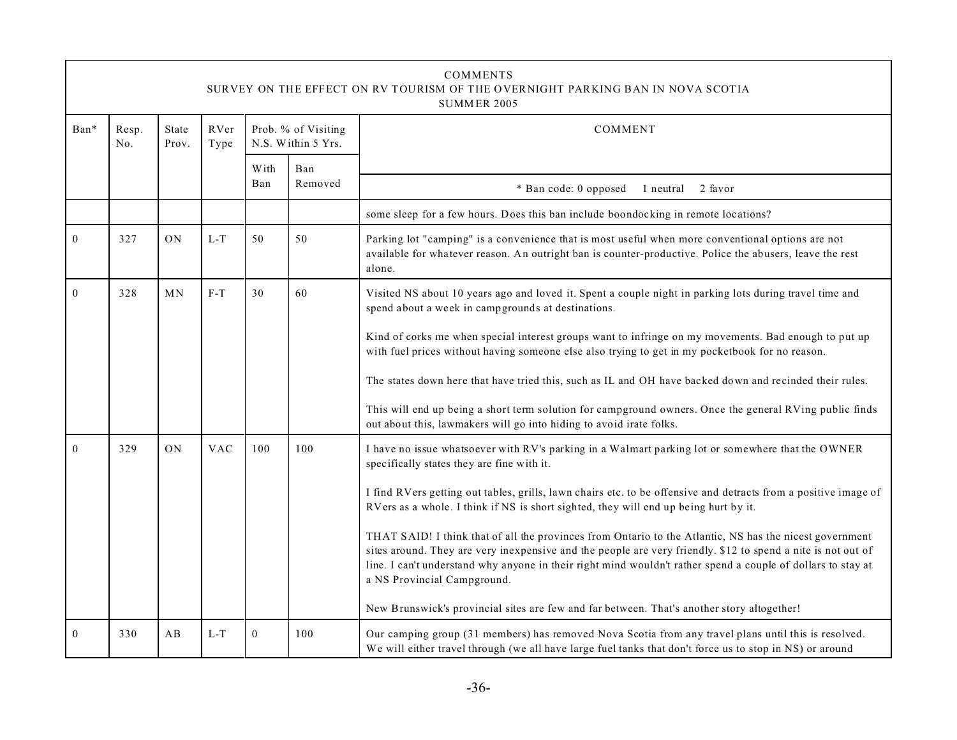|              | <b>COMMENTS</b><br>SURVEY ON THE EFFECT ON RV TOURISM OF THE OVERNIGHT PARKING BAN IN NOVA SCOTIA<br><b>SUMMER 2005</b> |                |              |                                           |                |                                                                                                                                                                                                                                                                                                                                                                        |  |  |  |
|--------------|-------------------------------------------------------------------------------------------------------------------------|----------------|--------------|-------------------------------------------|----------------|------------------------------------------------------------------------------------------------------------------------------------------------------------------------------------------------------------------------------------------------------------------------------------------------------------------------------------------------------------------------|--|--|--|
| Ban*         | Resp.<br>No.                                                                                                            | State<br>Prov. | RVer<br>Type | Prob. % of Visiting<br>N.S. Within 5 Yrs. |                | COMMENT                                                                                                                                                                                                                                                                                                                                                                |  |  |  |
|              |                                                                                                                         |                |              | With<br>Ban                               | Ban<br>Removed |                                                                                                                                                                                                                                                                                                                                                                        |  |  |  |
|              |                                                                                                                         |                |              |                                           |                | * Ban code: 0 opposed<br>1 neutral<br>2 favor                                                                                                                                                                                                                                                                                                                          |  |  |  |
|              |                                                                                                                         |                |              |                                           |                | some sleep for a few hours. Does this ban include boondocking in remote locations?                                                                                                                                                                                                                                                                                     |  |  |  |
| $\mathbf{0}$ | 327                                                                                                                     | <b>ON</b>      | $L-T$        | 50                                        | 50             | Parking lot "camping" is a convenience that is most useful when more conventional options are not<br>available for whatever reason. An outright ban is counter-productive. Police the abusers, leave the rest<br>alone.                                                                                                                                                |  |  |  |
| $\theta$     | 328                                                                                                                     | MN             | $F-T$        | 30                                        | 60             | Visited NS about 10 years ago and loved it. Spent a couple night in parking lots during travel time and<br>spend about a week in campgrounds at destinations.<br>Kind of corks me when special interest groups want to infringe on my movements. Bad enough to put up                                                                                                  |  |  |  |
|              |                                                                                                                         |                |              |                                           |                | with fuel prices without having someone else also trying to get in my pocketbook for no reason.<br>The states down here that have tried this, such as IL and OH have backed down and recinded their rules.                                                                                                                                                             |  |  |  |
|              |                                                                                                                         |                |              |                                           |                | This will end up being a short term solution for campground owners. Once the general RVing public finds<br>out about this, lawmakers will go into hiding to avoid irate folks.                                                                                                                                                                                         |  |  |  |
| $\theta$     | 329                                                                                                                     | <b>ON</b>      | <b>VAC</b>   | 100                                       | 100            | I have no issue whatsoever with RV's parking in a Walmart parking lot or somewhere that the OWNER<br>specifically states they are fine with it.                                                                                                                                                                                                                        |  |  |  |
|              |                                                                                                                         |                |              |                                           |                | I find RVers getting out tables, grills, lawn chairs etc. to be offensive and detracts from a positive image of<br>RVers as a whole. I think if NS is short sighted, they will end up being hurt by it.                                                                                                                                                                |  |  |  |
|              |                                                                                                                         |                |              |                                           |                | THAT SAID! I think that of all the provinces from Ontario to the Atlantic, NS has the nicest government<br>sites around. They are very inexpensive and the people are very friendly. \$12 to spend a nite is not out of<br>line. I can't understand why anyone in their right mind wouldn't rather spend a couple of dollars to stay at<br>a NS Provincial Campground. |  |  |  |
|              |                                                                                                                         |                |              |                                           |                | New Brunswick's provincial sites are few and far between. That's another story altogether!                                                                                                                                                                                                                                                                             |  |  |  |
| $\mathbf{0}$ | 330                                                                                                                     | AB             | $L-T$        | $\mathbf{0}$                              | 100            | Our camping group (31 members) has removed Nova Scotia from any travel plans until this is resolved.<br>We will either travel through (we all have large fuel tanks that don't force us to stop in NS) or around                                                                                                                                                       |  |  |  |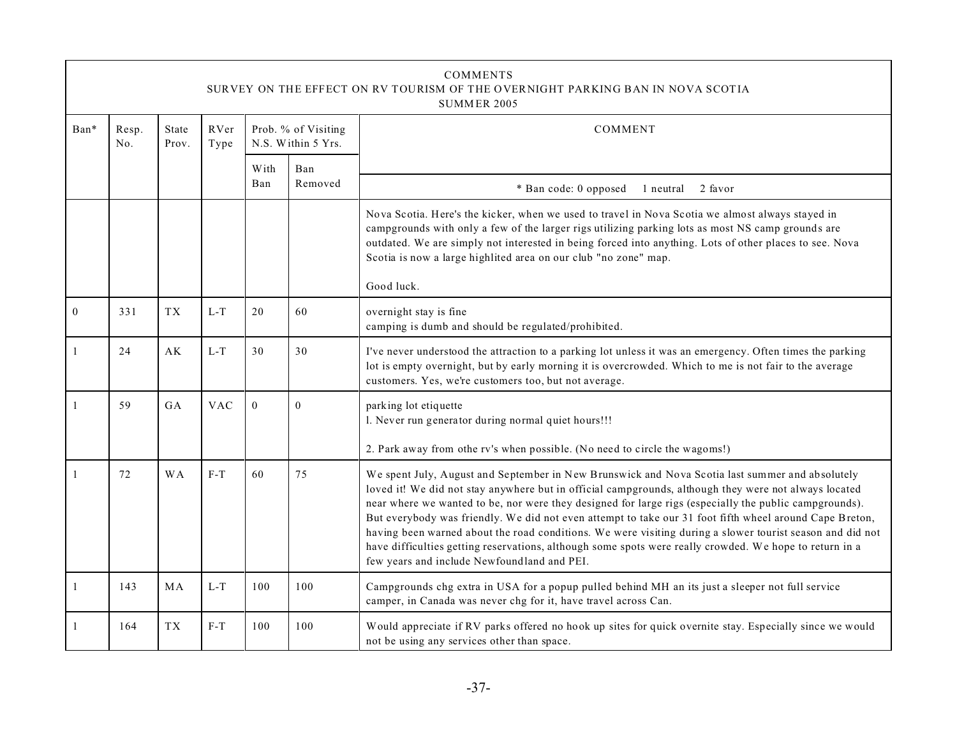|              | <b>COMMENTS</b><br>SURVEY ON THE EFFECT ON RV TOURISM OF THE OVERNIGHT PARKING BAN IN NOVA SCOTIA<br><b>SUMMER 2005</b> |                        |              |                                           |                |                                                                                                                                                                                                                                                                                                                                                                                                                                                                                                                                                                                                                                                                                                      |  |  |
|--------------|-------------------------------------------------------------------------------------------------------------------------|------------------------|--------------|-------------------------------------------|----------------|------------------------------------------------------------------------------------------------------------------------------------------------------------------------------------------------------------------------------------------------------------------------------------------------------------------------------------------------------------------------------------------------------------------------------------------------------------------------------------------------------------------------------------------------------------------------------------------------------------------------------------------------------------------------------------------------------|--|--|
| Ban*         | Resp.<br>No.                                                                                                            | State<br>Prov.         | RVer<br>Type | Prob. % of Visiting<br>N.S. Within 5 Yrs. |                | <b>COMMENT</b>                                                                                                                                                                                                                                                                                                                                                                                                                                                                                                                                                                                                                                                                                       |  |  |
|              |                                                                                                                         |                        |              | With<br>Ban                               | Ban<br>Removed |                                                                                                                                                                                                                                                                                                                                                                                                                                                                                                                                                                                                                                                                                                      |  |  |
|              |                                                                                                                         |                        |              |                                           |                | * Ban code: 0 opposed<br>1 neutral<br>2 favor                                                                                                                                                                                                                                                                                                                                                                                                                                                                                                                                                                                                                                                        |  |  |
|              |                                                                                                                         |                        |              |                                           |                | Nova Scotia. Here's the kicker, when we used to travel in Nova Scotia we almost always stayed in<br>campgrounds with only a few of the larger rigs utilizing parking lots as most NS camp grounds are<br>outdated. We are simply not interested in being forced into anything. Lots of other places to see. Nova<br>Scotia is now a large highlited area on our club "no zone" map.<br>Good luck.                                                                                                                                                                                                                                                                                                    |  |  |
| $\mathbf{0}$ | 331                                                                                                                     | ${\rm T}{\rm X}$       | $L-T$        | 20                                        | 60             | overnight stay is fine<br>camping is dumb and should be regulated/prohibited.                                                                                                                                                                                                                                                                                                                                                                                                                                                                                                                                                                                                                        |  |  |
| 1            | 24                                                                                                                      | $\mathbf{A}\mathbf{K}$ | $L-T$        | 30                                        | 30             | I've never understood the attraction to a parking lot unless it was an emergency. Often times the parking<br>lot is empty overnight, but by early morning it is overcrowded. Which to me is not fair to the average<br>customers. Yes, we're customers too, but not average.                                                                                                                                                                                                                                                                                                                                                                                                                         |  |  |
| $\mathbf{1}$ | 59                                                                                                                      | GA                     | <b>VAC</b>   | $\mathbf{0}$                              | $\Omega$       | parking lot etiquette<br>l. Never run generator during normal quiet hours!!!                                                                                                                                                                                                                                                                                                                                                                                                                                                                                                                                                                                                                         |  |  |
|              |                                                                                                                         |                        |              |                                           |                | 2. Park away from othe rv's when possible. (No need to circle the wagoms!)                                                                                                                                                                                                                                                                                                                                                                                                                                                                                                                                                                                                                           |  |  |
| -1           | 72                                                                                                                      | <b>WA</b>              | $F-T$        | 60                                        | 75             | We spent July, August and September in New Brunswick and Nova Scotia last summer and absolutely<br>loved it! We did not stay anywhere but in official campgrounds, although they were not always located<br>near where we wanted to be, nor were they designed for large rigs (especially the public campgrounds).<br>But everybody was friendly. We did not even attempt to take our 31 foot fifth wheel around Cape Breton,<br>having been warned about the road conditions. We were visiting during a slower tourist season and did not<br>have difficulties getting reservations, although some spots were really crowded. We hope to return in a<br>few years and include Newfoundland and PEI. |  |  |
| 1            | 143                                                                                                                     | MA                     | $L-T$        | 100                                       | 100            | Campgrounds chg extra in USA for a popup pulled behind MH an its just a sleeper not full service<br>camper, in Canada was never chg for it, have travel across Can.                                                                                                                                                                                                                                                                                                                                                                                                                                                                                                                                  |  |  |
| $\mathbf{1}$ | 164                                                                                                                     | <b>TX</b>              | $F-T$        | 100                                       | 100            | Would appreciate if RV parks offered no hook up sites for quick overnite stay. Especially since we would<br>not be using any services other than space.                                                                                                                                                                                                                                                                                                                                                                                                                                                                                                                                              |  |  |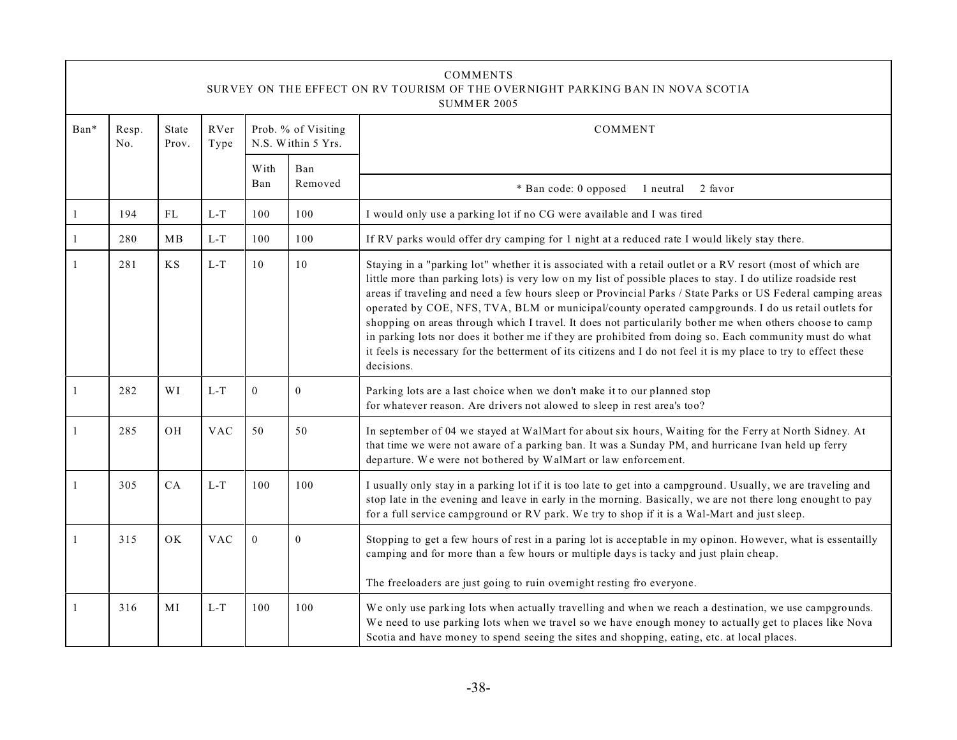|      | <b>COMMENTS</b><br>SURVEY ON THE EFFECT ON RV TOURISM OF THE OVERNIGHT PARKING BAN IN NOVA SCOTIA<br><b>SUMMER 2005</b> |                |                                |                                           |                |                                                                                                                                                                                                                                                                                                                                                                                                                                                                                                                                                                                                                                                                                                                                                                                                           |  |
|------|-------------------------------------------------------------------------------------------------------------------------|----------------|--------------------------------|-------------------------------------------|----------------|-----------------------------------------------------------------------------------------------------------------------------------------------------------------------------------------------------------------------------------------------------------------------------------------------------------------------------------------------------------------------------------------------------------------------------------------------------------------------------------------------------------------------------------------------------------------------------------------------------------------------------------------------------------------------------------------------------------------------------------------------------------------------------------------------------------|--|
| Ban* | Resp.<br>No.                                                                                                            | State<br>Prov. | RVer<br>Type                   | Prob. % of Visiting<br>N.S. Within 5 Yrs. |                | COMMENT                                                                                                                                                                                                                                                                                                                                                                                                                                                                                                                                                                                                                                                                                                                                                                                                   |  |
|      |                                                                                                                         |                |                                | With<br>Ban                               | Ban<br>Removed |                                                                                                                                                                                                                                                                                                                                                                                                                                                                                                                                                                                                                                                                                                                                                                                                           |  |
|      |                                                                                                                         |                |                                |                                           |                | * Ban code: 0 opposed<br>1 neutral 2 favor                                                                                                                                                                                                                                                                                                                                                                                                                                                                                                                                                                                                                                                                                                                                                                |  |
|      | 194                                                                                                                     | FL             | $\mathbf{L}\text{-}\mathbf{T}$ | 100                                       | 100            | I would only use a parking lot if no CG were available and I was tired                                                                                                                                                                                                                                                                                                                                                                                                                                                                                                                                                                                                                                                                                                                                    |  |
|      | 280                                                                                                                     | MB             | $\mathbf{L}\text{-}\mathbf{T}$ | 100                                       | 100            | If RV parks would offer dry camping for 1 night at a reduced rate I would likely stay there.                                                                                                                                                                                                                                                                                                                                                                                                                                                                                                                                                                                                                                                                                                              |  |
| 1    | 281                                                                                                                     | <b>KS</b>      | $\mathbf{L}\text{-}\mathbf{T}$ | 10                                        | 10             | Staying in a "parking lot" whether it is associated with a retail outlet or a RV resort (most of which are<br>little more than parking lots) is very low on my list of possible places to stay. I do utilize roadside rest<br>areas if traveling and need a few hours sleep or Provincial Parks / State Parks or US Federal camping areas<br>operated by COE, NFS, TVA, BLM or municipal/county operated campgrounds. I do us retail outlets for<br>shopping on areas through which I travel. It does not particularily bother me when others choose to camp<br>in parking lots nor does it bother me if they are prohibited from doing so. Each community must do what<br>it feels is necessary for the betterment of its citizens and I do not feel it is my place to try to effect these<br>decisions. |  |
| 1    | 282                                                                                                                     | WI             | $L-T$                          | $\overline{0}$                            | $\mathbf{0}$   | Parking lots are a last choice when we don't make it to our planned stop<br>for whatever reason. Are drivers not alowed to sleep in rest area's too?                                                                                                                                                                                                                                                                                                                                                                                                                                                                                                                                                                                                                                                      |  |
| 1    | 285                                                                                                                     | OH             | <b>VAC</b>                     | 50                                        | 50             | In september of 04 we stayed at WalMart for about six hours, Waiting for the Ferry at North Sidney. At<br>that time we were not aware of a parking ban. It was a Sunday PM, and hurricane Ivan held up ferry<br>departure. We were not bothered by WalMart or law enforcement.                                                                                                                                                                                                                                                                                                                                                                                                                                                                                                                            |  |
| 1    | 305                                                                                                                     | CA             | $L-T$                          | 100                                       | 100            | I usually only stay in a parking lot if it is too late to get into a campground. Usually, we are traveling and<br>stop late in the evening and leave in early in the morning. Basically, we are not there long enought to pay<br>for a full service campground or RV park. We try to shop if it is a Wal-Mart and just sleep.                                                                                                                                                                                                                                                                                                                                                                                                                                                                             |  |
|      | 315                                                                                                                     | OK             | <b>VAC</b>                     | $\mathbf{0}$                              | $\mathbf{0}$   | Stopping to get a few hours of rest in a paring lot is acceptable in my opinon. However, what is essentailly<br>camping and for more than a few hours or multiple days is tacky and just plain cheap.<br>The freeloaders are just going to ruin overnight resting fro everyone.                                                                                                                                                                                                                                                                                                                                                                                                                                                                                                                           |  |
| 1    | 316                                                                                                                     | MI             | $L-T$                          | 100                                       | 100            | We only use parking lots when actually travelling and when we reach a destination, we use campgrounds.<br>We need to use parking lots when we travel so we have enough money to actually get to places like Nova<br>Scotia and have money to spend seeing the sites and shopping, eating, etc. at local places.                                                                                                                                                                                                                                                                                                                                                                                                                                                                                           |  |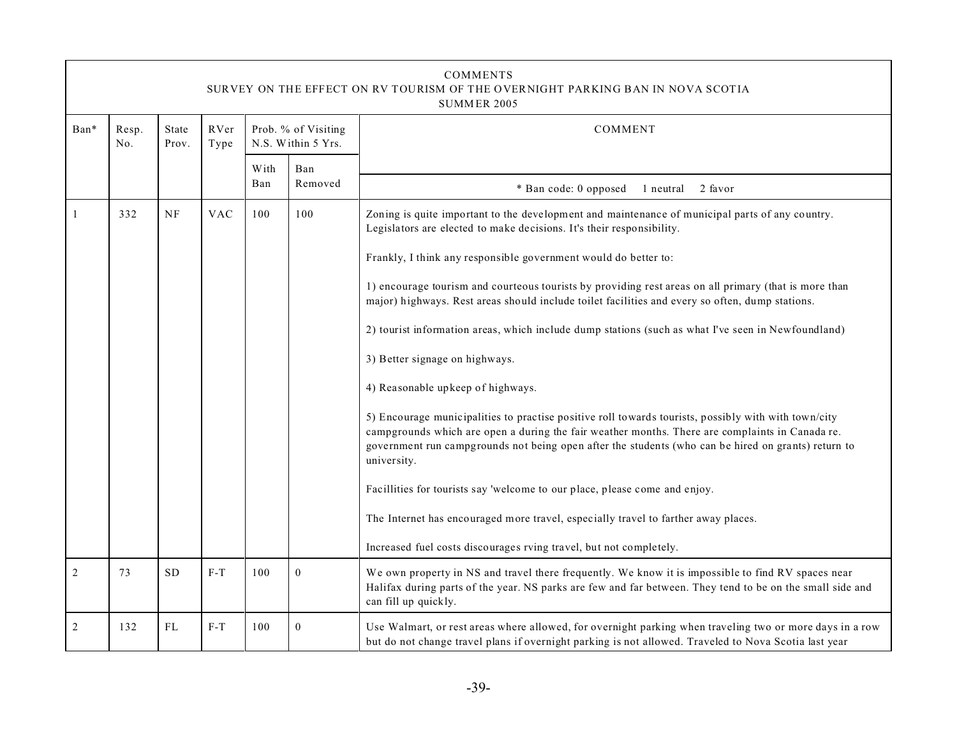|                | <b>COMMENTS</b><br>SURVEY ON THE EFFECT ON RV TOURISM OF THE OVERNIGHT PARKING BAN IN NOVA SCOTIA<br><b>SUMMER 2005</b> |                |              |                                           |                  |                                                                                                                                                                                                                                                                                                                               |  |  |  |
|----------------|-------------------------------------------------------------------------------------------------------------------------|----------------|--------------|-------------------------------------------|------------------|-------------------------------------------------------------------------------------------------------------------------------------------------------------------------------------------------------------------------------------------------------------------------------------------------------------------------------|--|--|--|
| Ban*           | Resp.<br>No.                                                                                                            | State<br>Prov. | RVer<br>Type | Prob. % of Visiting<br>N.S. Within 5 Yrs. |                  | <b>COMMENT</b>                                                                                                                                                                                                                                                                                                                |  |  |  |
|                |                                                                                                                         |                |              | With<br>Ban                               | Ban<br>Removed   | * Ban code: 0 opposed<br>1 neutral 2 favor                                                                                                                                                                                                                                                                                    |  |  |  |
|                | 332                                                                                                                     | NF             | <b>VAC</b>   | 100                                       | 100              | Zoning is quite important to the development and maintenance of municipal parts of any country.                                                                                                                                                                                                                               |  |  |  |
|                |                                                                                                                         |                |              |                                           |                  | Legislators are elected to make decisions. It's their responsibility.                                                                                                                                                                                                                                                         |  |  |  |
|                |                                                                                                                         |                |              |                                           |                  | Frankly, I think any responsible government would do better to:                                                                                                                                                                                                                                                               |  |  |  |
|                |                                                                                                                         |                |              |                                           |                  | 1) encourage tourism and courteous tourists by providing rest areas on all primary (that is more than<br>major) highways. Rest areas should include toilet facilities and every so often, dump stations.                                                                                                                      |  |  |  |
|                |                                                                                                                         |                |              |                                           |                  | 2) tourist information areas, which include dump stations (such as what I've seen in Newfoundland)                                                                                                                                                                                                                            |  |  |  |
|                |                                                                                                                         |                |              |                                           |                  | 3) Better signage on highways.                                                                                                                                                                                                                                                                                                |  |  |  |
|                |                                                                                                                         |                |              |                                           |                  | 4) Reasonable upkeep of highways.                                                                                                                                                                                                                                                                                             |  |  |  |
|                |                                                                                                                         |                |              |                                           |                  | 5) Encourage municipalities to practise positive roll towards tourists, possibly with with town/city<br>campgrounds which are open a during the fair weather months. There are complaints in Canada re.<br>government run campgrounds not being open after the students (who can be hired on grants) return to<br>university. |  |  |  |
|                |                                                                                                                         |                |              |                                           |                  | Facillities for tourists say 'welcome to our place, please come and enjoy.                                                                                                                                                                                                                                                    |  |  |  |
|                |                                                                                                                         |                |              |                                           |                  | The Internet has encouraged more travel, especially travel to farther away places.                                                                                                                                                                                                                                            |  |  |  |
|                |                                                                                                                         |                |              |                                           |                  | Increased fuel costs discourages rving travel, but not completely.                                                                                                                                                                                                                                                            |  |  |  |
| 2              | 73                                                                                                                      | <b>SD</b>      | $F-T$        | 100                                       | $\boldsymbol{0}$ | We own property in NS and travel there frequently. We know it is impossible to find RV spaces near<br>Halifax during parts of the year. NS parks are few and far between. They tend to be on the small side and<br>can fill up quickly.                                                                                       |  |  |  |
| $\overline{c}$ | 132                                                                                                                     | FL             | $F-T$        | 100                                       | $\boldsymbol{0}$ | Use Walmart, or rest areas where allowed, for overnight parking when traveling two or more days in a row<br>but do not change travel plans if overnight parking is not allowed. Traveled to Nova Scotia last year                                                                                                             |  |  |  |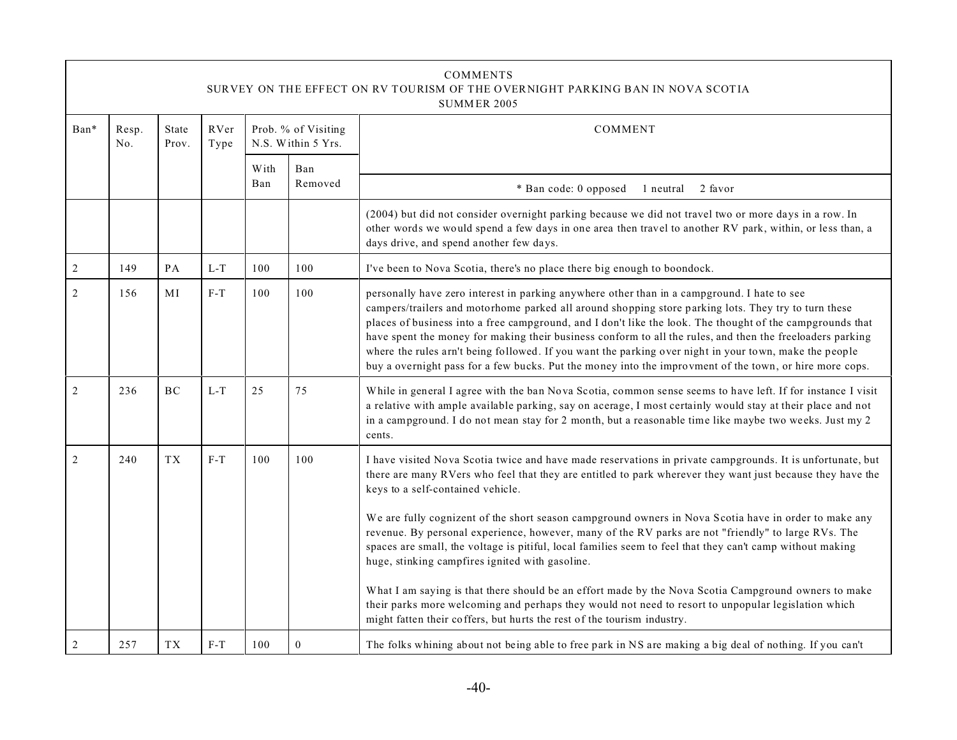|                | <b>COMMENTS</b><br>SURVEY ON THE EFFECT ON RV TOURISM OF THE OVERNIGHT PARKING BAN IN NOVA SCOTIA<br><b>SUMMER 2005</b> |                |              |                                           |                |                                                                                                                                                                                                                                                                                                                                                                                                                                                                                                                                                                                                                                                                                                                                                                                                                                                                                                                                         |  |  |
|----------------|-------------------------------------------------------------------------------------------------------------------------|----------------|--------------|-------------------------------------------|----------------|-----------------------------------------------------------------------------------------------------------------------------------------------------------------------------------------------------------------------------------------------------------------------------------------------------------------------------------------------------------------------------------------------------------------------------------------------------------------------------------------------------------------------------------------------------------------------------------------------------------------------------------------------------------------------------------------------------------------------------------------------------------------------------------------------------------------------------------------------------------------------------------------------------------------------------------------|--|--|
| Ban*           | Resp.<br>No.                                                                                                            | State<br>Prov. | RVer<br>Type | Prob. % of Visiting<br>N.S. Within 5 Yrs. |                | <b>COMMENT</b>                                                                                                                                                                                                                                                                                                                                                                                                                                                                                                                                                                                                                                                                                                                                                                                                                                                                                                                          |  |  |
|                |                                                                                                                         |                |              | With<br>Ban                               | Ban<br>Removed |                                                                                                                                                                                                                                                                                                                                                                                                                                                                                                                                                                                                                                                                                                                                                                                                                                                                                                                                         |  |  |
|                |                                                                                                                         |                |              |                                           |                | * Ban code: 0 opposed<br>1 neutral<br>2 favor                                                                                                                                                                                                                                                                                                                                                                                                                                                                                                                                                                                                                                                                                                                                                                                                                                                                                           |  |  |
|                |                                                                                                                         |                |              |                                           |                | (2004) but did not consider overnight parking because we did not travel two or more days in a row. In<br>other words we would spend a few days in one area then travel to another RV park, within, or less than, a<br>days drive, and spend another few days.                                                                                                                                                                                                                                                                                                                                                                                                                                                                                                                                                                                                                                                                           |  |  |
| $\overline{2}$ | 149                                                                                                                     | PA             | $L-T$        | 100                                       | 100            | I've been to Nova Scotia, there's no place there big enough to boondock.                                                                                                                                                                                                                                                                                                                                                                                                                                                                                                                                                                                                                                                                                                                                                                                                                                                                |  |  |
| $\overline{2}$ | 156                                                                                                                     | MI             | $F-T$        | 100                                       | 100            | personally have zero interest in parking anywhere other than in a campground. I hate to see<br>campers/trailers and motorhome parked all around shopping store parking lots. They try to turn these<br>places of business into a free campground, and I don't like the look. The thought of the campgrounds that<br>have spent the money for making their business conform to all the rules, and then the freeloaders parking<br>where the rules arn't being followed. If you want the parking over night in your town, make the people<br>buy a overnight pass for a few bucks. Put the money into the improvment of the town, or hire more cops.                                                                                                                                                                                                                                                                                      |  |  |
| 2              | 236                                                                                                                     | <b>BC</b>      | $L-T$        | 25                                        | 75             | While in general I agree with the ban Nova Scotia, common sense seems to have left. If for instance I visit<br>a relative with ample available parking, say on acerage, I most certainly would stay at their place and not<br>in a campground. I do not mean stay for 2 month, but a reasonable time like maybe two weeks. Just my 2<br>cents.                                                                                                                                                                                                                                                                                                                                                                                                                                                                                                                                                                                          |  |  |
| $\overline{2}$ | 240                                                                                                                     | <b>TX</b>      | $F-T$        | 100                                       | 100            | I have visited Nova Scotia twice and have made reservations in private campgrounds. It is unfortunate, but<br>there are many RVers who feel that they are entitled to park wherever they want just because they have the<br>keys to a self-contained vehicle.<br>We are fully cognizent of the short season campground owners in Nova Scotia have in order to make any<br>revenue. By personal experience, however, many of the RV parks are not "friendly" to large RVs. The<br>spaces are small, the voltage is pitiful, local families seem to feel that they can't camp without making<br>huge, stinking campfires ignited with gasoline.<br>What I am saying is that there should be an effort made by the Nova Scotia Campground owners to make<br>their parks more welcoming and perhaps they would not need to resort to unpopular legislation which<br>might fatten their coffers, but hurts the rest of the tourism industry. |  |  |
| 2              | 257                                                                                                                     | TX             | $F-T$        | 100                                       | $\mathbf{0}$   | The folks whining about not being able to free park in NS are making a big deal of nothing. If you can't                                                                                                                                                                                                                                                                                                                                                                                                                                                                                                                                                                                                                                                                                                                                                                                                                                |  |  |